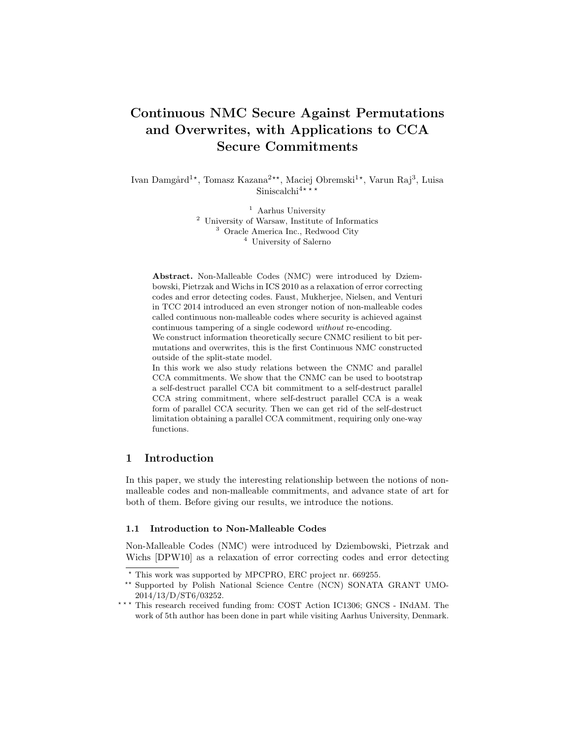# Continuous NMC Secure Against Permutations and Overwrites, with Applications to CCA Secure Commitments

Ivan Damgård<sup>1</sup>\*, Tomasz Kazana<sup>2\*\*</sup>, Maciej Obremski<sup>1\*</sup>, Varun Raj<sup>3</sup>, Luisa Siniscalchi<sup>4\*\*\*</sup>

> $^{\rm 1}$  Aarhus University University of Warsaw, Institute of Informatics Oracle America Inc., Redwood City University of Salerno

Abstract. Non-Malleable Codes (NMC) were introduced by Dziembowski, Pietrzak and Wichs in ICS 2010 as a relaxation of error correcting codes and error detecting codes. Faust, Mukherjee, Nielsen, and Venturi in TCC 2014 introduced an even stronger notion of non-malleable codes called continuous non-malleable codes where security is achieved against continuous tampering of a single codeword without re-encoding.

We construct information theoretically secure CNMC resilient to bit permutations and overwrites, this is the first Continuous NMC constructed outside of the split-state model.

In this work we also study relations between the CNMC and parallel CCA commitments. We show that the CNMC can be used to bootstrap a self-destruct parallel CCA bit commitment to a self-destruct parallel CCA string commitment, where self-destruct parallel CCA is a weak form of parallel CCA security. Then we can get rid of the self-destruct limitation obtaining a parallel CCA commitment, requiring only one-way functions.

# 1 Introduction

In this paper, we study the interesting relationship between the notions of nonmalleable codes and non-malleable commitments, and advance state of art for both of them. Before giving our results, we introduce the notions.

#### 1.1 Introduction to Non-Malleable Codes

Non-Malleable Codes (NMC) were introduced by Dziembowski, Pietrzak and Wichs [DPW10] as a relaxation of error correcting codes and error detecting

<sup>?</sup> This work was supported by MPCPRO, ERC project nr. 669255.

<sup>\*\*</sup> Supported by Polish National Science Centre (NCN) SONATA GRANT UMO-2014/13/D/ST6/03252.

<sup>\*\*\*</sup> This research received funding from: COST Action IC1306; GNCS - INdAM. The work of 5th author has been done in part while visiting Aarhus University, Denmark.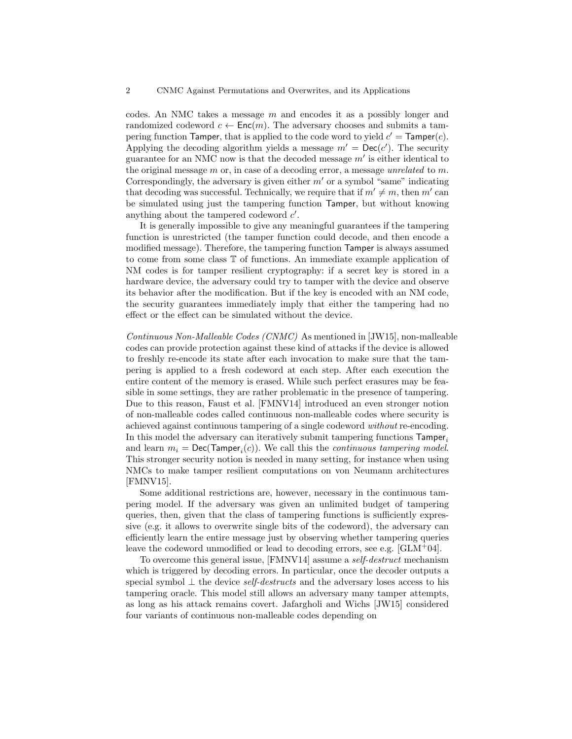codes. An NMC takes a message  $m$  and encodes it as a possibly longer and randomized codeword  $c \leftarrow \mathsf{Enc}(m)$ . The adversary chooses and submits a tampering function Tamper, that is applied to the code word to yield  $c' =$  Tamper(c). Applying the decoding algorithm yields a message  $m' = \mathsf{Dec}(c')$ . The security guarantee for an NMC now is that the decoded message  $m'$  is either identical to the original message  $m$  or, in case of a decoding error, a message unrelated to  $m$ . Correspondingly, the adversary is given either  $m'$  or a symbol "same" indicating that decoding was successful. Technically, we require that if  $m' \neq m$ , then m' can be simulated using just the tampering function Tamper, but without knowing anything about the tampered codeword  $c'$ .

It is generally impossible to give any meaningful guarantees if the tampering function is unrestricted (the tamper function could decode, and then encode a modified message). Therefore, the tampering function Tamper is always assumed to come from some class T of functions. An immediate example application of NM codes is for tamper resilient cryptography: if a secret key is stored in a hardware device, the adversary could try to tamper with the device and observe its behavior after the modification. But if the key is encoded with an NM code, the security guarantees immediately imply that either the tampering had no effect or the effect can be simulated without the device.

Continuous Non-Malleable Codes (CNMC) As mentioned in [JW15], non-malleable codes can provide protection against these kind of attacks if the device is allowed to freshly re-encode its state after each invocation to make sure that the tampering is applied to a fresh codeword at each step. After each execution the entire content of the memory is erased. While such perfect erasures may be feasible in some settings, they are rather problematic in the presence of tampering. Due to this reason, Faust et al. [FMNV14] introduced an even stronger notion of non-malleable codes called continuous non-malleable codes where security is achieved against continuous tampering of a single codeword without re-encoding. In this model the adversary can iteratively submit tampering functions  $\mathsf{Tamper}_i$ and learn  $m_i = \text{Dec}(\text{Tamper}_i(c))$ . We call this the *continuous tampering model*. This stronger security notion is needed in many setting, for instance when using NMCs to make tamper resilient computations on von Neumann architectures [FMNV15].

Some additional restrictions are, however, necessary in the continuous tampering model. If the adversary was given an unlimited budget of tampering queries, then, given that the class of tampering functions is sufficiently expressive (e.g. it allows to overwrite single bits of the codeword), the adversary can efficiently learn the entire message just by observing whether tampering queries leave the codeword unmodified or lead to decoding errors, see e.g.  $\lbrack \text{GLM}^+04 \rbrack$ .

To overcome this general issue, [FMNV14] assume a self-destruct mechanism which is triggered by decoding errors. In particular, once the decoder outputs a special symbol  $\perp$  the device self-destructs and the adversary loses access to his tampering oracle. This model still allows an adversary many tamper attempts, as long as his attack remains covert. Jafargholi and Wichs [JW15] considered four variants of continuous non-malleable codes depending on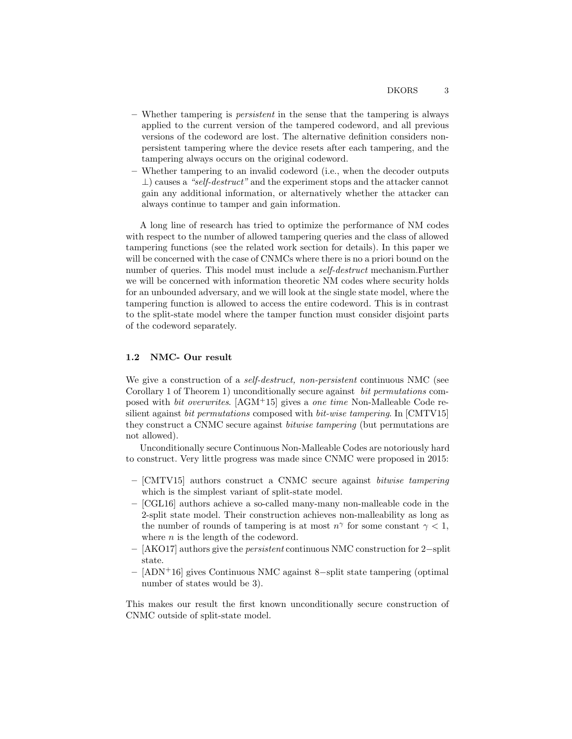- Whether tampering is persistent in the sense that the tampering is always applied to the current version of the tampered codeword, and all previous versions of the codeword are lost. The alternative definition considers nonpersistent tampering where the device resets after each tampering, and the tampering always occurs on the original codeword.
- Whether tampering to an invalid codeword (i.e., when the decoder outputs  $\perp$ ) causes a "self-destruct" and the experiment stops and the attacker cannot gain any additional information, or alternatively whether the attacker can always continue to tamper and gain information.

A long line of research has tried to optimize the performance of NM codes with respect to the number of allowed tampering queries and the class of allowed tampering functions (see the related work section for details). In this paper we will be concerned with the case of CNMCs where there is no a priori bound on the number of queries. This model must include a self-destruct mechanism.Further we will be concerned with information theoretic NM codes where security holds for an unbounded adversary, and we will look at the single state model, where the tampering function is allowed to access the entire codeword. This is in contrast to the split-state model where the tamper function must consider disjoint parts of the codeword separately.

#### 1.2 NMC- Our result

We give a construction of a *self-destruct, non-persistent* continuous NMC (see Corollary 1 of Theorem 1) unconditionally secure against bit permutations composed with bit overwrites. [AGM+15] gives a one time Non-Malleable Code resilient against bit permutations composed with bit-wise tampering. In [CMTV15] they construct a CNMC secure against bitwise tampering (but permutations are not allowed).

Unconditionally secure Continuous Non-Malleable Codes are notoriously hard to construct. Very little progress was made since CNMC were proposed in 2015:

- [CMTV15] authors construct a CNMC secure against bitwise tampering which is the simplest variant of split-state model.
- [CGL16] authors achieve a so-called many-many non-malleable code in the 2-split state model. Their construction achieves non-malleability as long as the number of rounds of tampering is at most  $n^{\gamma}$  for some constant  $\gamma < 1$ , where  $n$  is the length of the codeword.
- [AKO17] authors give the persistent continuous NMC construction for 2−split state.
- [ADN<sup>+</sup>16] gives Continuous NMC against 8−split state tampering (optimal number of states would be 3).

This makes our result the first known unconditionally secure construction of CNMC outside of split-state model.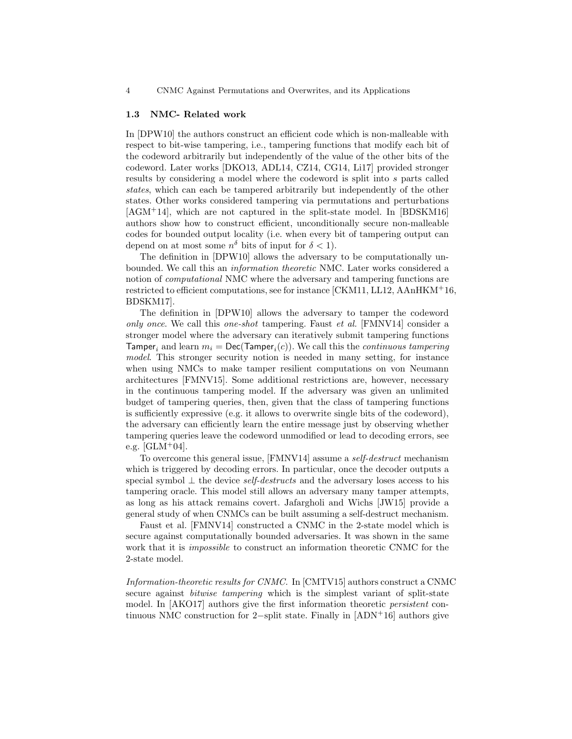#### 1.3 NMC- Related work

In  $[DPW10]$  the authors construct an efficient code which is non-malleable with respect to bit-wise tampering, i.e., tampering functions that modify each bit of the codeword arbitrarily but independently of the value of the other bits of the codeword. Later works [DKO13, ADL14, CZ14, CG14, Li17] provided stronger results by considering a model where the codeword is split into s parts called states, which can each be tampered arbitrarily but independently of the other states. Other works considered tampering via permutations and perturbations [AGM+14], which are not captured in the split-state model. In [BDSKM16] authors show how to construct efficient, unconditionally secure non-malleable codes for bounded output locality (i.e. when every bit of tampering output can depend on at most some  $n^{\delta}$  bits of input for  $\delta < 1$ .

The definition in [DPW10] allows the adversary to be computationally unbounded. We call this an information theoretic NMC. Later works considered a notion of *computational* NMC where the adversary and tampering functions are restricted to efficient computations, see for instance [CKM11, LL12, AAnHKM+16, BDSKM17].

The definition in [DPW10] allows the adversary to tamper the codeword only once. We call this one-shot tampering. Faust et al. [FMNV14] consider a stronger model where the adversary can iteratively submit tampering functions  $\mathsf{Tamper}_i$  and learn  $m_i = \mathsf{Dec}(\mathsf{Tamper}_i(c)).$  We call this the *continuous tampering* model. This stronger security notion is needed in many setting, for instance when using NMCs to make tamper resilient computations on von Neumann architectures [FMNV15]. Some additional restrictions are, however, necessary in the continuous tampering model. If the adversary was given an unlimited budget of tampering queries, then, given that the class of tampering functions is sufficiently expressive (e.g. it allows to overwrite single bits of the codeword), the adversary can efficiently learn the entire message just by observing whether tampering queries leave the codeword unmodified or lead to decoding errors, see e.g.  $[GLM+04]$ .

To overcome this general issue, [FMNV14] assume a self-destruct mechanism which is triggered by decoding errors. In particular, once the decoder outputs a special symbol  $\perp$  the device self-destructs and the adversary loses access to his tampering oracle. This model still allows an adversary many tamper attempts, as long as his attack remains covert. Jafargholi and Wichs [JW15] provide a general study of when CNMCs can be built assuming a self-destruct mechanism.

Faust et al. [FMNV14] constructed a CNMC in the 2-state model which is secure against computationally bounded adversaries. It was shown in the same work that it is *impossible* to construct an information theoretic CNMC for the 2-state model.

Information-theoretic results for CNMC. In [CMTV15] authors construct a CNMC secure against bitwise tampering which is the simplest variant of split-state model. In [AKO17] authors give the first information theoretic persistent continuous NMC construction for 2−split state. Finally in [ADN<sup>+</sup>16] authors give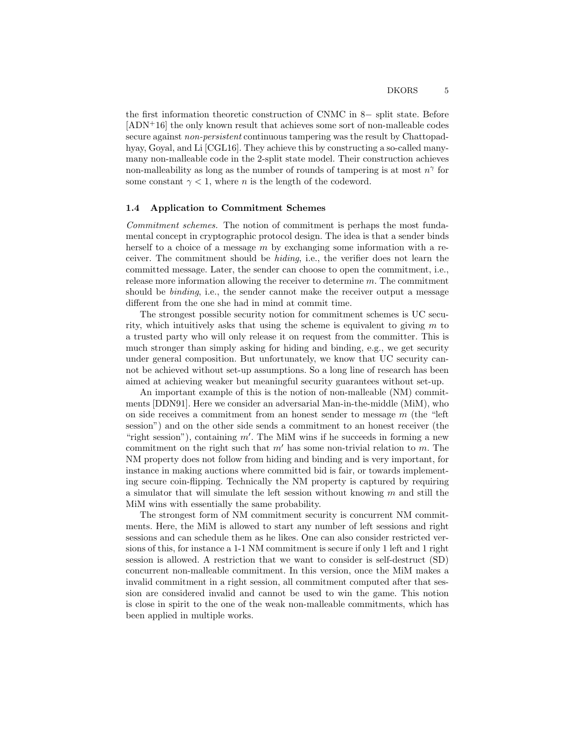the first information theoretic construction of CNMC in 8− split state. Before [ADN+16] the only known result that achieves some sort of non-malleable codes secure against non-persistent continuous tampering was the result by Chattopadhyay, Goyal, and Li [CGL16]. They achieve this by constructing a so-called manymany non-malleable code in the 2-split state model. Their construction achieves non-malleability as long as the number of rounds of tampering is at most  $n^{\gamma}$  for some constant  $\gamma$  < 1, where *n* is the length of the codeword.

#### 1.4 Application to Commitment Schemes

Commitment schemes. The notion of commitment is perhaps the most fundamental concept in cryptographic protocol design. The idea is that a sender binds herself to a choice of a message  $m$  by exchanging some information with a receiver. The commitment should be hiding, i.e., the verifier does not learn the committed message. Later, the sender can choose to open the commitment, i.e., release more information allowing the receiver to determine m. The commitment should be *binding*, i.e., the sender cannot make the receiver output a message different from the one she had in mind at commit time.

The strongest possible security notion for commitment schemes is UC security, which intuitively asks that using the scheme is equivalent to giving  $m$  to a trusted party who will only release it on request from the committer. This is much stronger than simply asking for hiding and binding, e.g., we get security under general composition. But unfortunately, we know that UC security cannot be achieved without set-up assumptions. So a long line of research has been aimed at achieving weaker but meaningful security guarantees without set-up.

An important example of this is the notion of non-malleable (NM) commitments [DDN91]. Here we consider an adversarial Man-in-the-middle (MiM), who on side receives a commitment from an honest sender to message  $m$  (the "left" session") and on the other side sends a commitment to an honest receiver (the "right session"), containing  $m'$ . The MiM wins if he succeeds in forming a new commitment on the right such that  $m'$  has some non-trivial relation to m. The NM property does not follow from hiding and binding and is very important, for instance in making auctions where committed bid is fair, or towards implementing secure coin-flipping. Technically the NM property is captured by requiring a simulator that will simulate the left session without knowing  $m$  and still the MiM wins with essentially the same probability.

The strongest form of NM commitment security is concurrent NM commitments. Here, the MiM is allowed to start any number of left sessions and right sessions and can schedule them as he likes. One can also consider restricted versions of this, for instance a 1-1 NM commitment is secure if only 1 left and 1 right session is allowed. A restriction that we want to consider is self-destruct (SD) concurrent non-malleable commitment. In this version, once the MiM makes a invalid commitment in a right session, all commitment computed after that session are considered invalid and cannot be used to win the game. This notion is close in spirit to the one of the weak non-malleable commitments, which has been applied in multiple works.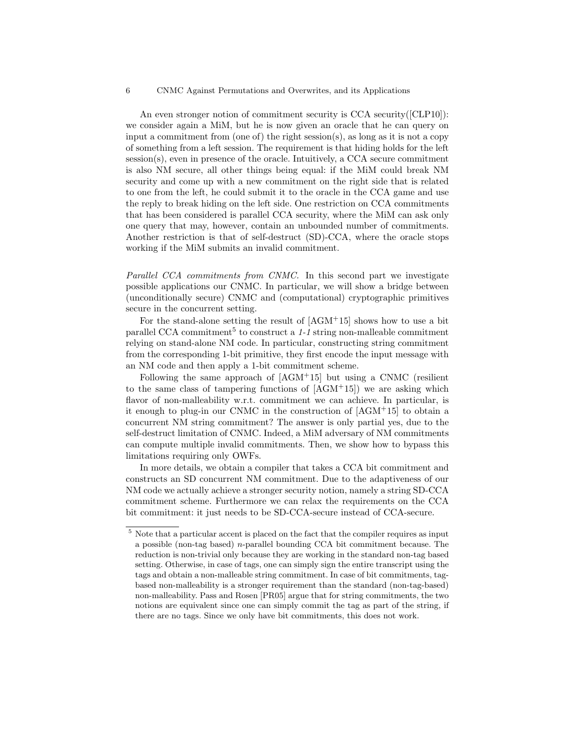An even stronger notion of commitment security is CCA security ([CLP10]): we consider again a MiM, but he is now given an oracle that he can query on input a commitment from (one of) the right session(s), as long as it is not a copy of something from a left session. The requirement is that hiding holds for the left session(s), even in presence of the oracle. Intuitively, a CCA secure commitment is also NM secure, all other things being equal: if the MiM could break NM security and come up with a new commitment on the right side that is related to one from the left, he could submit it to the oracle in the CCA game and use the reply to break hiding on the left side. One restriction on CCA commitments that has been considered is parallel CCA security, where the MiM can ask only one query that may, however, contain an unbounded number of commitments. Another restriction is that of self-destruct (SD)-CCA, where the oracle stops working if the MiM submits an invalid commitment.

Parallel CCA commitments from CNMC. In this second part we investigate possible applications our CNMC. In particular, we will show a bridge between (unconditionally secure) CNMC and (computational) cryptographic primitives secure in the concurrent setting.

For the stand-alone setting the result of [AGM+15] shows how to use a bit parallel CCA commitment<sup>5</sup> to construct a  $1-1$  string non-malleable commitment relying on stand-alone NM code. In particular, constructing string commitment from the corresponding 1-bit primitive, they first encode the input message with an NM code and then apply a 1-bit commitment scheme.

Following the same approach of  $[AGM<sup>+</sup>15]$  but using a CNMC (resilient to the same class of tampering functions of  $[AGM^+15]$  we are asking which flavor of non-malleability w.r.t. commitment we can achieve. In particular, is it enough to plug-in our CNMC in the construction of [AGM+15] to obtain a concurrent NM string commitment? The answer is only partial yes, due to the self-destruct limitation of CNMC. Indeed, a MiM adversary of NM commitments can compute multiple invalid commitments. Then, we show how to bypass this limitations requiring only OWFs.

In more details, we obtain a compiler that takes a CCA bit commitment and constructs an SD concurrent NM commitment. Due to the adaptiveness of our NM code we actually achieve a stronger security notion, namely a string SD-CCA commitment scheme. Furthermore we can relax the requirements on the CCA bit commitment: it just needs to be SD-CCA-secure instead of CCA-secure.

 $5$  Note that a particular accent is placed on the fact that the compiler requires as input a possible (non-tag based)  $n$ -parallel bounding CCA bit commitment because. The reduction is non-trivial only because they are working in the standard non-tag based setting. Otherwise, in case of tags, one can simply sign the entire transcript using the tags and obtain a non-malleable string commitment. In case of bit commitments, tagbased non-malleability is a stronger requirement than the standard (non-tag-based) non-malleability. Pass and Rosen [PR05] argue that for string commitments, the two notions are equivalent since one can simply commit the tag as part of the string, if there are no tags. Since we only have bit commitments, this does not work.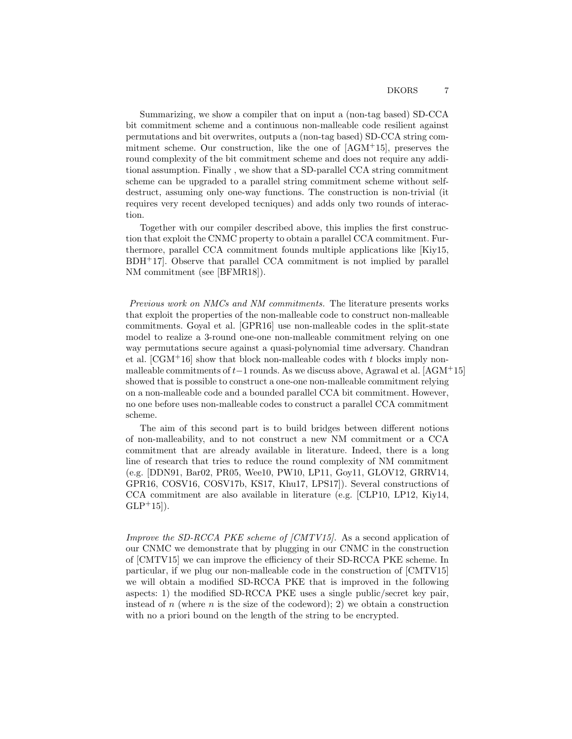Summarizing, we show a compiler that on input a (non-tag based) SD-CCA bit commitment scheme and a continuous non-malleable code resilient against permutations and bit overwrites, outputs a (non-tag based) SD-CCA string commitment scheme. Our construction, like the one of [AGM+15], preserves the round complexity of the bit commitment scheme and does not require any additional assumption. Finally , we show that a SD-parallel CCA string commitment scheme can be upgraded to a parallel string commitment scheme without selfdestruct, assuming only one-way functions. The construction is non-trivial (it requires very recent developed tecniques) and adds only two rounds of interaction.

Together with our compiler described above, this implies the first construction that exploit the CNMC property to obtain a parallel CCA commitment. Furthermore, parallel CCA commitment founds multiple applications like [Kiy15,  $BDH<sup>+</sup>17$ . Observe that parallel CCA commitment is not implied by parallel NM commitment (see [BFMR18]).

Previous work on NMCs and NM commitments. The literature presents works that exploit the properties of the non-malleable code to construct non-malleable commitments. Goyal et al. [GPR16] use non-malleable codes in the split-state model to realize a 3-round one-one non-malleable commitment relying on one way permutations secure against a quasi-polynomial time adversary. Chandran et al.  $[\text{CGM}^+16]$  show that block non-malleable codes with t blocks imply nonmalleable commitments of  $t-1$  rounds. As we discuss above, Agrawal et al. [AGM+15] showed that is possible to construct a one-one non-malleable commitment relying on a non-malleable code and a bounded parallel CCA bit commitment. However, no one before uses non-malleable codes to construct a parallel CCA commitment scheme.

The aim of this second part is to build bridges between different notions of non-malleability, and to not construct a new NM commitment or a CCA commitment that are already available in literature. Indeed, there is a long line of research that tries to reduce the round complexity of NM commitment (e.g. [DDN91, Bar02, PR05, Wee10, PW10, LP11, Goy11, GLOV12, GRRV14, GPR16, COSV16, COSV17b, KS17, Khu17, LPS17]). Several constructions of CCA commitment are also available in literature (e.g. [CLP10, LP12, Kiy14,  $GLP+15$ .

Improve the SD-RCCA PKE scheme of [CMTV15]. As a second application of our CNMC we demonstrate that by plugging in our CNMC in the construction of [CMTV15] we can improve the efficiency of their SD-RCCA PKE scheme. In particular, if we plug our non-malleable code in the construction of [CMTV15] we will obtain a modified SD-RCCA PKE that is improved in the following aspects: 1) the modified SD-RCCA PKE uses a single public/secret key pair, instead of  $n$  (where  $n$  is the size of the codeword); 2) we obtain a construction with no a priori bound on the length of the string to be encrypted.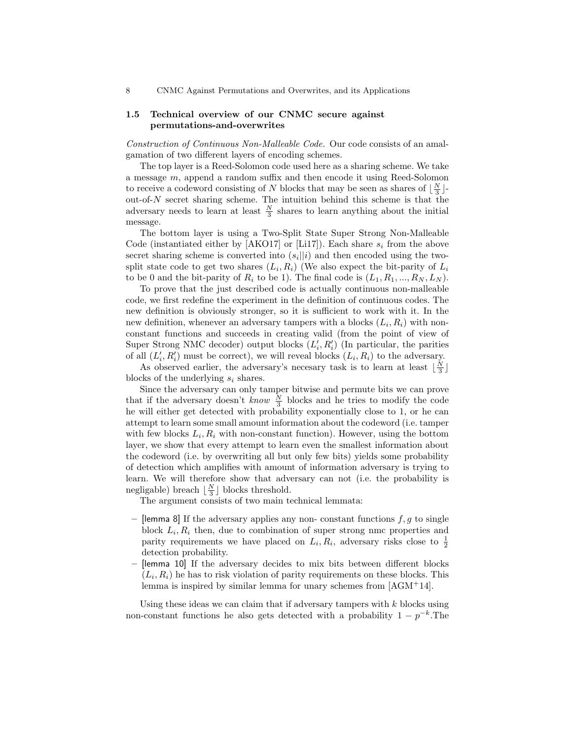# 1.5 Technical overview of our CNMC secure against permutations-and-overwrites

Construction of Continuous Non-Malleable Code. Our code consists of an amalgamation of two different layers of encoding schemes.

The top layer is a Reed-Solomon code used here as a sharing scheme. We take a message m, append a random suffix and then encode it using Reed-Solomon to receive a codeword consisting of N blocks that may be seen as shares of  $\lfloor \frac{N}{3} \rfloor$ out-of- $N$  secret sharing scheme. The intuition behind this scheme is that the adversary needs to learn at least  $\frac{N}{3}$  shares to learn anything about the initial message.

The bottom layer is using a Two-Split State Super Strong Non-Malleable Code (instantiated either by [AKO17] or [Li17]). Each share  $s_i$  from the above secret sharing scheme is converted into  $(s_i||i)$  and then encoded using the twosplit state code to get two shares  $(L_i, R_i)$  (We also expect the bit-parity of  $L_i$ to be 0 and the bit-parity of  $R_i$  to be 1). The final code is  $(L_1, R_1, ..., R_N, L_N)$ .

To prove that the just described code is actually continuous non-malleable code, we first redefine the experiment in the definition of continuous codes. The new definition is obviously stronger, so it is sufficient to work with it. In the new definition, whenever an adversary tampers with a blocks  $(L_i, R_i)$  with nonconstant functions and succeeds in creating valid (from the point of view of Super Strong NMC decoder) output blocks  $(L'_i, R'_i)$  (In particular, the parities of all  $(L'_i, R'_i)$  must be correct), we will reveal blocks  $(L_i, R_i)$  to the adversary.

As observed earlier, the adversary's necesary task is to learn at least  $\lfloor \frac{N}{3} \rfloor$ blocks of the underlying  $s_i$  shares.

Since the adversary can only tamper bitwise and permute bits we can prove that if the adversary doesn't *know*  $\frac{N}{3}$  blocks and he tries to modify the code he will either get detected with probability exponentially close to 1, or he can attempt to learn some small amount information about the codeword (i.e. tamper with few blocks  $L_i, R_i$  with non-constant function). However, using the bottom layer, we show that every attempt to learn even the smallest information about the codeword (i.e. by overwriting all but only few bits) yields some probability of detection which amplifies with amount of information adversary is trying to learn. We will therefore show that adversary can not (i.e. the probability is negligable) breach  $\lfloor \frac{N}{3} \rfloor$  blocks threshold.

The argument consists of two main technical lemmata:

- [lemma 8] If the adversary applies any non-constant functions  $f, g$  to single block  $L_i, R_i$  then, due to combination of super strong nmc properties and parity requirements we have placed on  $L_i, R_i$ , adversary risks close to  $\frac{1}{2}$ detection probability.
- [lemma 10] If the adversary decides to mix bits between different blocks  $(L_i, R_i)$  he has to risk violation of parity requirements on these blocks. This lemma is inspired by similar lemma for unary schemes from [AGM<sup>+</sup>14].

Using these ideas we can claim that if adversary tampers with  $k$  blocks using non-constant functions he also gets detected with a probability  $1 - p^{-k}$ . The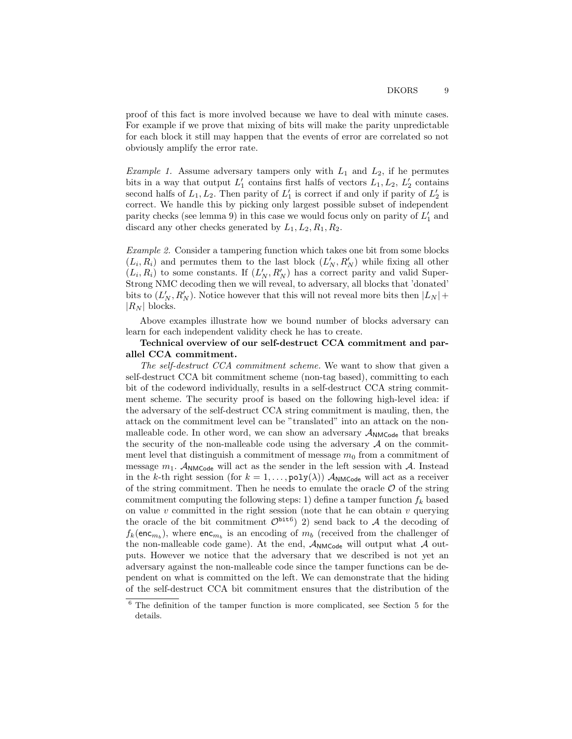proof of this fact is more involved because we have to deal with minute cases. For example if we prove that mixing of bits will make the parity unpredictable for each block it still may happen that the events of error are correlated so not obviously amplify the error rate.

*Example 1.* Assume adversary tampers only with  $L_1$  and  $L_2$ , if he permutes bits in a way that output  $L'_1$  contains first halfs of vectors  $L_1, L_2, L'_2$  contains second halfs of  $L_1, L_2$ . Then parity of  $L'_1$  is correct if and only if parity of  $L'_2$  is correct. We handle this by picking only largest possible subset of independent parity checks (see lemma 9) in this case we would focus only on parity of  $L'_1$  and discard any other checks generated by  $L_1, L_2, R_1, R_2$ .

Example 2. Consider a tampering function which takes one bit from some blocks  $(L_i, R_i)$  and permutes them to the last block  $(L'_N, R'_N)$  while fixing all other  $(L_i, R_i)$  to some constants. If  $(L'_N, R'_N)$  has a correct parity and valid Super-Strong NMC decoding then we will reveal, to adversary, all blocks that 'donated' bits to  $(L'_N, R'_N)$ . Notice however that this will not reveal more bits then  $|L_N|$  +  $|R_N|$  blocks.

Above examples illustrate how we bound number of blocks adversary can learn for each independent validity check he has to create.

# Technical overview of our self-destruct CCA commitment and parallel CCA commitment.

The self-destruct CCA commitment scheme. We want to show that given a self-destruct CCA bit commitment scheme (non-tag based), committing to each bit of the codeword individually, results in a self-destruct CCA string commitment scheme. The security proof is based on the following high-level idea: if the adversary of the self-destruct CCA string commitment is mauling, then, the attack on the commitment level can be "translated" into an attack on the nonmalleable code. In other word, we can show an adversary  $A_{\text{NMCode}}$  that breaks the security of the non-malleable code using the adversary  $A$  on the commitment level that distinguish a commitment of message  $m_0$  from a commitment of message  $m_1$ .  $A_{\text{NMCode}}$  will act as the sender in the left session with A. Instead in the k-th right session (for  $k = 1, \ldots, \text{poly}(\lambda)$ )  $\mathcal{A}_{\text{NMCode}}$  will act as a receiver of the string commitment. Then he needs to emulate the oracle  $\mathcal O$  of the string commitment computing the following steps: 1) define a tamper function  $f_k$  based on value  $v$  committed in the right session (note that he can obtain  $v$  querying the oracle of the bit commitment  $\mathcal{O}^{bit6}$  (2) send back to A the decoding of  $f_k(\mathsf{enc}_{m_b})$ , where  $\mathsf{enc}_{m_b}$  is an encoding of  $m_b$  (received from the challenger of the non-malleable code game). At the end,  $A_{\text{NMCode}}$  will output what A outputs. However we notice that the adversary that we described is not yet an adversary against the non-malleable code since the tamper functions can be dependent on what is committed on the left. We can demonstrate that the hiding of the self-destruct CCA bit commitment ensures that the distribution of the

 $6$  The definition of the tamper function is more complicated, see Section 5 for the details.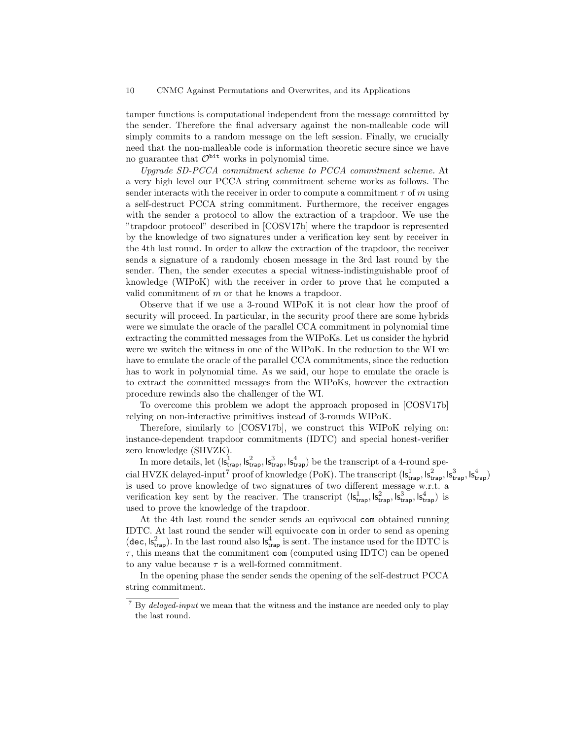tamper functions is computational independent from the message committed by the sender. Therefore the final adversary against the non-malleable code will simply commits to a random message on the left session. Finally, we crucially need that the non-malleable code is information theoretic secure since we have no guarantee that  $\mathcal{O}^{\text{bit}}$  works in polynomial time.

Upgrade SD-PCCA commitment scheme to PCCA commitment scheme. At a very high level our PCCA string commitment scheme works as follows. The sender interacts with the receiver in order to compute a commitment  $\tau$  of m using a self-destruct PCCA string commitment. Furthermore, the receiver engages with the sender a protocol to allow the extraction of a trapdoor. We use the "trapdoor protocol" described in [COSV17b] where the trapdoor is represented by the knowledge of two signatures under a verification key sent by receiver in the 4th last round. In order to allow the extraction of the trapdoor, the receiver sends a signature of a randomly chosen message in the 3rd last round by the sender. Then, the sender executes a special witness-indistinguishable proof of knowledge (WIPoK) with the receiver in order to prove that he computed a valid commitment of m or that he knows a trapdoor.

Observe that if we use a 3-round WIPoK it is not clear how the proof of security will proceed. In particular, in the security proof there are some hybrids were we simulate the oracle of the parallel CCA commitment in polynomial time extracting the committed messages from the WIPoKs. Let us consider the hybrid were we switch the witness in one of the WIPoK. In the reduction to the WI we have to emulate the oracle of the parallel CCA commitments, since the reduction has to work in polynomial time. As we said, our hope to emulate the oracle is to extract the committed messages from the WIPoKs, however the extraction procedure rewinds also the challenger of the WI.

To overcome this problem we adopt the approach proposed in [COSV17b] relying on non-interactive primitives instead of 3-rounds WIPoK.

Therefore, similarly to [COSV17b], we construct this WIPoK relying on: instance-dependent trapdoor commitments (IDTC) and special honest-verifier zero knowledge (SHVZK).

In more details, let  $(I_{trap}^1, I_{trap}^2, I_{trap}^3, I_{trap}^4)$  be the transcript of a 4-round special HVZK delayed-input<sup>7</sup> proof of knowledge (PoK). The transcript  $(Is_{trap}^1, Is_{trap}^2, Is_{trap}^3, Is_{trap}^4)$ is used to prove knowledge of two signatures of two different message w.r.t. a verification key sent by the reaciver. The transcript  $(|s_{trap}^1, s_{trap}^2, s_{trap}^3, s_{trap}^4)$  is used to prove the knowledge of the trapdoor.

At the 4th last round the sender sends an equivocal com obtained running IDTC. At last round the sender will equivocate com in order to send as opening (dec,  $\mathsf{ls}_{\mathsf{trap}}^2$ ). In the last round also  $\mathsf{ls}_{\mathsf{trap}}^4$  is sent. The instance used for the IDTC is  $\tau$ , this means that the commitment com (computed using IDTC) can be opened to any value because  $\tau$  is a well-formed commitment.

In the opening phase the sender sends the opening of the self-destruct PCCA string commitment.

 $7$  By *delayed-input* we mean that the witness and the instance are needed only to play the last round.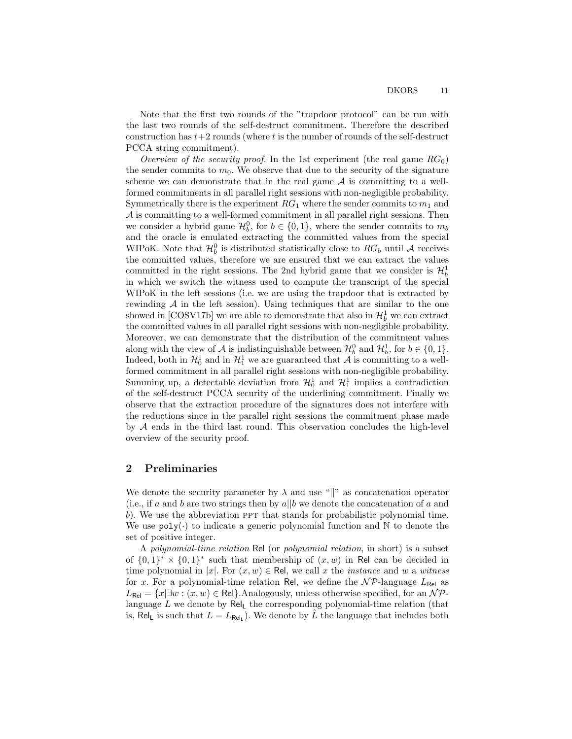Note that the first two rounds of the "trapdoor protocol" can be run with the last two rounds of the self-destruct commitment. Therefore the described construction has  $t+2$  rounds (where t is the number of rounds of the self-destruct PCCA string commitment).

Overview of the security proof. In the 1st experiment (the real game  $RG_0$ ) the sender commits to  $m_0$ . We observe that due to the security of the signature scheme we can demonstrate that in the real game  $A$  is committing to a wellformed commitments in all parallel right sessions with non-negligible probability. Symmetrically there is the experiment  $RG<sub>1</sub>$  where the sender commits to  $m<sub>1</sub>$  and  $A$  is committing to a well-formed commitment in all parallel right sessions. Then we consider a hybrid game  $\mathcal{H}_b^0$ , for  $b \in \{0,1\}$ , where the sender commits to  $m_b$ and the oracle is emulated extracting the committed values from the special WIPoK. Note that  $\mathcal{H}_{b}^{0}$  is distributed statistically close to  $RG_{b}$  until A receives the committed values, therefore we are ensured that we can extract the values committed in the right sessions. The 2nd hybrid game that we consider is  $\mathcal{H}_{b}^{1}$ in which we switch the witness used to compute the transcript of the special WIPoK in the left sessions (i.e. we are using the trapdoor that is extracted by rewinding  $A$  in the left session). Using techniques that are similar to the one showed in [COSV17b] we are able to demonstrate that also in  $\mathcal{H}_{b}^{1}$  we can extract the committed values in all parallel right sessions with non-negligible probability. Moreover, we can demonstrate that the distribution of the commitment values along with the view of A is indistinguishable between  $\mathcal{H}_b^0$  and  $\mathcal{H}_b^1$ , for  $b \in \{0,1\}$ . Indeed, both in  $\mathcal{H}_0^1$  and in  $\mathcal{H}_1^1$  we are guaranteed that  $\mathcal A$  is committing to a wellformed commitment in all parallel right sessions with non-negligible probability. Summing up, a detectable deviation from  $\mathcal{H}_0^1$  and  $\mathcal{H}_1^1$  implies a contradiction of the self-destruct PCCA security of the underlining commitment. Finally we observe that the extraction procedure of the signatures does not interfere with the reductions since in the parallel right sessions the commitment phase made by  $A$  ends in the third last round. This observation concludes the high-level overview of the security proof.

# 2 Preliminaries

We denote the security parameter by  $\lambda$  and use "||" as concatenation operator (i.e., if a and b are two strings then by  $a||b$  we denote the concatenation of a and b). We use the abbreviation ppt that stands for probabilistic polynomial time. We use  $poly(\cdot)$  to indicate a generic polynomial function and N to denote the set of positive integer.

A polynomial-time relation Rel (or polynomial relation, in short) is a subset of  $\{0,1\}^* \times \{0,1\}^*$  such that membership of  $(x, w)$  in Rel can be decided in time polynomial in |x|. For  $(x, w) \in \mathbb{R}$ el, we call x the *instance* and w a witness for x. For a polynomial-time relation Rel, we define the  $\mathcal{NP}$ -language  $L_{\text{Rel}}$  as  $L_{\text{Rel}} = \{x | \exists w : (x, w) \in \text{Rel}\}\.$ Analogously, unless otherwise specified, for an  $\mathcal{NP}$ language  $L$  we denote by  $\text{Rel}_L$  the corresponding polynomial-time relation (that is, Rel<sub>L</sub> is such that  $L = L_{\text{Rel}_L}$ ). We denote by  $\hat{L}$  the language that includes both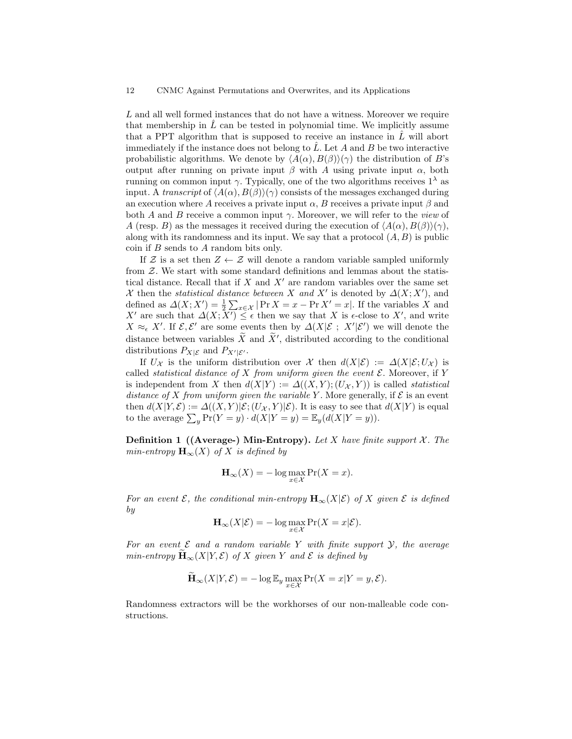L and all well formed instances that do not have a witness. Moreover we require that membership in  $\tilde{L}$  can be tested in polynomial time. We implicitly assume that a PPT algorithm that is supposed to receive an instance in  $\tilde{L}$  will abort immediately if the instance does not belong to  $\hat{L}$ . Let A and B be two interactive probabilistic algorithms. We denote by  $\langle A(\alpha), B(\beta)\rangle(\gamma)$  the distribution of B's output after running on private input  $\beta$  with A using private input  $\alpha$ , both running on common input  $\gamma$ . Typically, one of the two algorithms receives  $1^{\lambda}$  as input. A transcript of  $\langle A(\alpha), B(\beta) \rangle(\gamma)$  consists of the messages exchanged during an execution where A receives a private input  $\alpha$ , B receives a private input  $\beta$  and both A and B receive a common input  $\gamma$ . Moreover, we will refer to the *view* of A (resp. B) as the messages it received during the execution of  $\langle A(\alpha), B(\beta)\rangle(\gamma)$ , along with its randomness and its input. We say that a protocol  $(A, B)$  is public coin if B sends to A random bits only.

If Z is a set then  $Z \leftarrow Z$  will denote a random variable sampled uniformly from  $Z$ . We start with some standard definitions and lemmas about the statistical distance. Recall that if  $X$  and  $X'$  are random variables over the same set X then the *statistical distance between* X and X' is denoted by  $\Delta(X; X')$ , and defined as  $\Delta(X; X') = \frac{1}{2} \sum_{x \in \mathcal{X}} |Pr X = x - Pr X' = x|$ . If the variables X and X' are such that  $\Delta(X; X') \leq \epsilon$  then we say that X is  $\epsilon$ -close to X', and write  $X \approx_{\epsilon} X'$ . If  $\mathcal{E}, \mathcal{E}'$  are some events then by  $\Delta(X|\mathcal{E} ; X'|\mathcal{E}')$  we will denote the distance between variables  $\widetilde{X}$  and  $\widetilde{X}'$ , distributed according to the conditional distributions  $P_{X|\mathcal{E}}$  and  $P_{X'|\mathcal{E}'}$ .

If  $U_{\mathcal{X}}$  is the uniform distribution over  $\mathcal{X}$  then  $d(X|\mathcal{E}) := \Delta(X|\mathcal{E};U_{\mathcal{X}})$  is called statistical distance of  $X$  from uniform given the event  $\mathcal E$ . Moreover, if  $Y$ is independent from X then  $d(X|Y) := \Delta((X,Y); (U_X, Y))$  is called *statistical* distance of X from uniform given the variable Y. More generally, if  $\mathcal E$  is an event then  $d(X|Y,\mathcal{E}) := \Delta((X,Y)|\mathcal{E};(U_{\mathcal{X}},Y)|\mathcal{E})$ . It is easy to see that  $d(X|Y)$  is equal to the average  $\sum_{y} \Pr(Y = y) \cdot d(X|Y = y) = \mathbb{E}_y(d(X|Y = y)).$ 

**Definition 1** ((Average-) Min-Entropy). Let X have finite support  $\mathcal{X}$ . The min-entropy  $\mathbf{H}_{\infty}(X)$  of X is defined by

$$
\mathbf{H}_{\infty}(X) = -\log \max_{x \in \mathcal{X}} \Pr(X = x).
$$

For an event  $\mathcal E$ , the conditional min-entropy  $\mathbf H_{\infty}(X|\mathcal E)$  of X given  $\mathcal E$  is defined by

$$
\mathbf{H}_{\infty}(X|\mathcal{E}) = -\log \max_{x \in \mathcal{X}} \Pr(X = x|\mathcal{E}).
$$

For an event  $\mathcal E$  and a random variable Y with finite support  $\mathcal Y$ , the average min-entropy  $\mathbf{H}_{\infty}(X|Y,\mathcal{E})$  of X given Y and  $\mathcal E$  is defined by

$$
\widetilde{\mathbf{H}}_{\infty}(X|Y,\mathcal{E}) = -\log \mathbb{E}_y \max_{x \in \mathcal{X}} \Pr(X = x|Y = y, \mathcal{E}).
$$

Randomness extractors will be the workhorses of our non-malleable code constructions.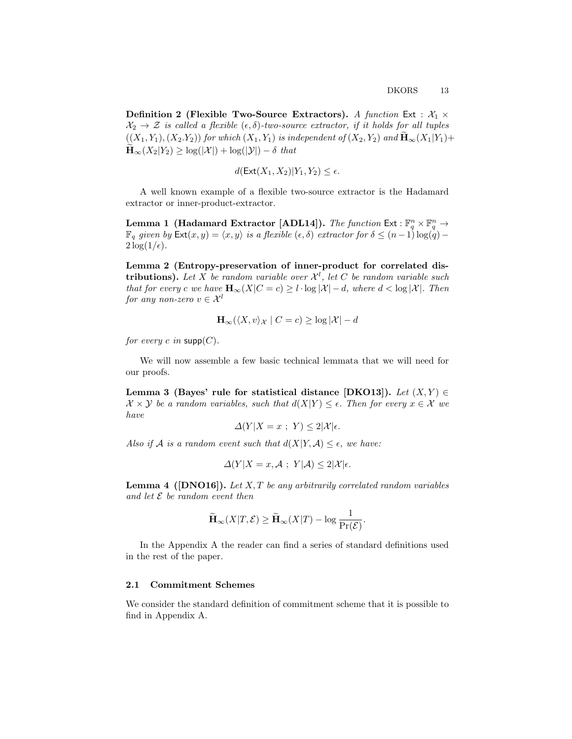**Definition 2 (Flexible Two-Source Extractors).** A function Ext :  $\mathcal{X}_1 \times$  $X_2 \rightarrow \mathcal{Z}$  is called a flexible  $(\epsilon, \delta)$ -two-source extractor, if it holds for all tuples  $((X_1,Y_1),(X_2,Y_2))$  for which  $(X_1,Y_1)$  is independent of  $(X_2,Y_2)$  and  $\widetilde{\mathbf{H}}_{\infty}(X_1|Y_1)+$  $\mathbf{H}_{\infty}(X_2|Y_2) \geq \log(|\mathcal{X}|) + \log(|\mathcal{Y}|) - \delta$  that

$$
d(\mathsf{Ext}(X_1, X_2)|Y_1, Y_2) \le \epsilon.
$$

A well known example of a flexible two-source extractor is the Hadamard extractor or inner-product-extractor.

Lemma 1 (Hadamard Extractor [ADL14]). The function  $\mathsf{Ext} : \mathbb{F}_q^n \times \mathbb{F}_q^n \to$  $\mathbb{F}_q$  given by  $\mathsf{Ext}(x, y) = \langle x, y \rangle$  is a flexible  $(\epsilon, \delta)$  extractor for  $\delta \leq (n-1) \log(q) - \delta$  $2\log(1/\epsilon)$ .

Lemma 2 (Entropy-preservation of inner-product for correlated dis**tributions).** Let X be random variable over  $\mathcal{X}^l$ , let C be random variable such that for every c we have  $\mathbf{H}_{\infty}(X|C = c) \geq l \cdot \log |\mathcal{X}| - d$ , where  $d < \log |\mathcal{X}|$ . Then for any non-zero  $v \in \mathcal{X}^l$ 

$$
\mathbf{H}_{\infty}(\langle X, v \rangle_{\mathcal{X}} \mid C = c) \ge \log |\mathcal{X}| - d
$$

for every c in  $\text{supp}(C)$ .

We will now assemble a few basic technical lemmata that we will need for our proofs.

Lemma 3 (Bayes' rule for statistical distance [DKO13]). Let  $(X, Y) \in$  $\mathcal{X} \times \mathcal{Y}$  be a random variables, such that  $d(X|Y) \leq \epsilon$ . Then for every  $x \in \mathcal{X}$  we have

$$
\Delta(Y|X=x ; Y) \le 2|\mathcal{X}|\epsilon.
$$

Also if A is a random event such that  $d(X|Y, A) \leq \epsilon$ , we have:

$$
\Delta(Y|X=x,\mathcal{A} ; Y|\mathcal{A}) \le 2|\mathcal{X}|\epsilon.
$$

**Lemma 4** ( $[DNO16]$ ). Let X, T be any arbitrarily correlated random variables and let  $\mathcal E$  be random event then

$$
\widetilde{\mathbf{H}}_{\infty}(X|T,\mathcal{E}) \ge \widetilde{\mathbf{H}}_{\infty}(X|T) - \log \frac{1}{\Pr(\mathcal{E})}.
$$

In the Appendix A the reader can find a series of standard definitions used in the rest of the paper.

#### 2.1 Commitment Schemes

We consider the standard definition of commitment scheme that it is possible to find in Appendix A.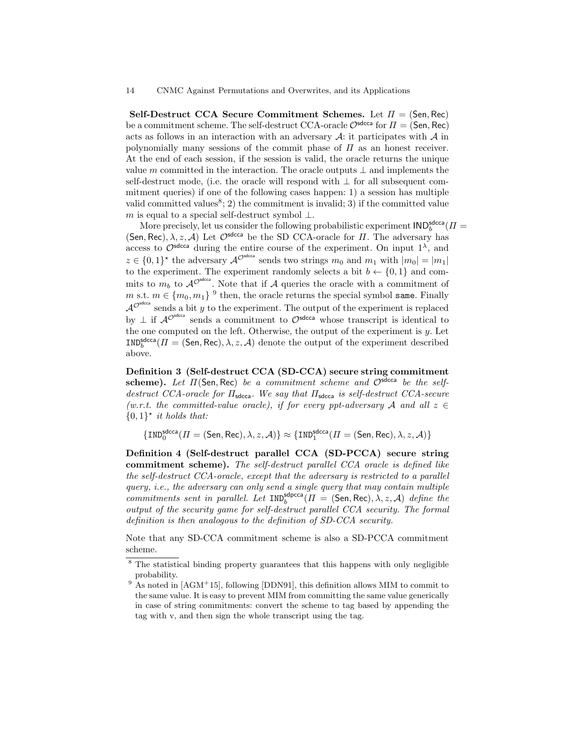Self-Destruct CCA Secure Commitment Schemes. Let  $\Pi = ($ Sen, Rec) be a commitment scheme. The self-destruct CCA-oracle  $\mathcal{O}^{\text{sdcca}}$  for  $\Pi = (\mathsf{Sen}, \mathsf{Rec})$ acts as follows in an interaction with an adversary  $A$ : it participates with  $A$  in polynomially many sessions of the commit phase of  $\Pi$  as an honest receiver. At the end of each session, if the session is valid, the oracle returns the unique value m committed in the interaction. The oracle outputs  $\perp$  and implements the self-destruct mode, (i.e. the oracle will respond with  $\perp$  for all subsequent commitment queries) if one of the following cases happen: 1) a session has multiple valid committed values<sup>8</sup>; 2) the commitment is invalid; 3) if the committed value m is equal to a special self-destruct symbol  $\bot$ .

More precisely, let us consider the following probabilistic experiment  $\mathsf{IND}_b^{\mathsf{sdcca}}( \varPi =$ (Sen, Rec),  $\lambda$ , z, A) Let Osdcca be the SD CCA-oracle for  $\Pi$ . The adversary has access to  $\mathcal{O}^{\text{sdcca}}$  during the entire course of the experiment. On input  $1^{\lambda}$ , and  $z \in \{0,1\}^*$  the adversary  $\mathcal{A}^{\mathcal{O}^{sdcc} }$  sends two strings  $m_0$  and  $m_1$  with  $|m_0| = |m_1|$ to the experiment. The experiment randomly selects a bit  $b \leftarrow \{0, 1\}$  and commits to  $m_b$  to  $\mathcal{A}^{\mathcal{O}^{sdcca}}$ . Note that if A queries the oracle with a commitment of  $m$  s.t.  $m \in \{m_0, m_1\}$  <sup>9</sup> then, the oracle returns the special symbol **same**. Finally  $A^{\mathcal{O}^{sdcca}}$  sends a bit y to the experiment. The output of the experiment is replaced by  $\perp$  if  $\mathcal{A}^{\mathcal{O}^{\text{sdcca}}}$  sends a commitment to  $\mathcal{O}^{\text{sdcca}}$  whose transcript is identical to the one computed on the left. Otherwise, the output of the experiment is  $y$ . Let  $\text{IND}_{b}^{\text{sdcca}}(H = (\text{Sen}, \text{Rec}), \lambda, z, \mathcal{A})$  denote the output of the experiment described above.

Definition 3 (Self-destruct CCA (SD-CCA) secure string commitment scheme). Let  $\Pi$ (Sen, Rec) be a commitment scheme and  $\mathcal{O}^{\text{sdcca}}$  be the selfdestruct CCA-oracle for  $\Pi_{\text{sdcca}}$ . We say that  $\Pi_{\text{sdcca}}$  is self-destruct CCA-secure (w.r.t. the committed-value oracle), if for every ppt-adversary A and all  $z \in$  ${0,1}^{\star}$  it holds that:

 $\{\mathtt{IND}_0^{\mathsf{sdcca}}(\varPi = (\mathsf{Sen}, \mathsf{Rec}), \lambda, z, \mathcal{A})\} \approx \{\mathtt{IND}_1^{\mathsf{sdcca}}(\varPi = (\mathsf{Sen}, \mathsf{Rec}), \lambda, z, \mathcal{A})\}$ 

Definition 4 (Self-destruct parallel CCA (SD-PCCA) secure string commitment scheme). The self-destruct parallel CCA oracle is defined like the self-destruct CCA-oracle, except that the adversary is restricted to a parallel query, i.e., the adversary can only send a single query that may contain multiple commitments sent in parallel. Let  $\text{IND}_{b}^{\text{sdpcca}}(II = (\text{Sen}, \text{Rec}), \lambda, z, \mathcal{A})$  define the output of the security game for self-destruct parallel CCA security. The formal definition is then analogous to the definition of SD-CCA security.

Note that any SD-CCA commitment scheme is also a SD-PCCA commitment scheme.

<sup>&</sup>lt;sup>8</sup> The statistical binding property guarantees that this happens with only negligible probability.

 $9\text{ As noted in [AGM+15], following [DDN91], this definition allows MIM to commit to$ the same value. It is easy to prevent MIM from committing the same value generically in case of string commitments: convert the scheme to tag based by appending the tag with v, and then sign the whole transcript using the tag.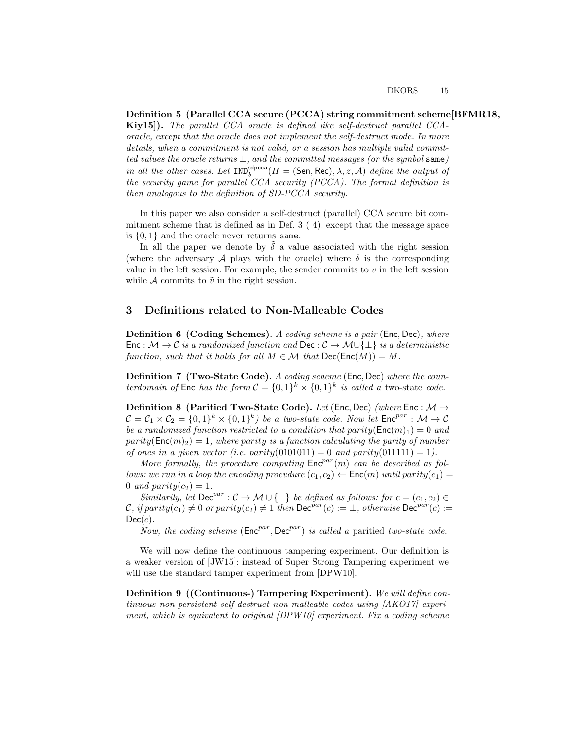#### DKORS 15

Definition 5 (Parallel CCA secure (PCCA) string commitment scheme[BFMR18, Kiy15]). The parallel CCA oracle is defined like self-destruct parallel CCAoracle, except that the oracle does not implement the self-destruct mode. In more details, when a commitment is not valid, or a session has multiple valid committed values the oracle returns  $\perp$ , and the committed messages (or the symbol same) in all the other cases. Let  $\text{IND}_{b}^{\text{sdpcca}}(H = (\text{Sen}, \text{Rec}), \lambda, z, \mathcal{A})$  define the output of the security game for parallel CCA security (PCCA). The formal definition is then analogous to the definition of SD-PCCA security.

In this paper we also consider a self-destruct (parallel) CCA secure bit commitment scheme that is defined as in Def. 3 ( 4), except that the message space is  $\{0, 1\}$  and the oracle never returns same.

In all the paper we denote by  $\delta$  a value associated with the right session (where the adversary A plays with the oracle) where  $\delta$  is the corresponding value in the left session. For example, the sender commits to  $v$  in the left session while A commits to  $\tilde{v}$  in the right session.

# 3 Definitions related to Non-Malleable Codes

Definition 6 (Coding Schemes). A coding scheme is a pair (Enc, Dec), where Enc :  $\mathcal{M} \to \mathcal{C}$  is a randomized function and Dec :  $\mathcal{C} \to \mathcal{M} \cup \{\perp\}$  is a deterministic function, such that it holds for all  $M \in \mathcal{M}$  that  $\mathsf{Dec}(\mathsf{Enc}(M)) = M$ .

Definition 7 (Two-State Code). A coding scheme (Enc, Dec) where the counterdomain of Enc has the form  $C = \{0,1\}^k \times \{0,1\}^k$  is called a two-state code.

Definition 8 (Paritied Two-State Code). Let (Enc, Dec) (where Enc :  $M \rightarrow$  $C = C_1 \times C_2 = \{0,1\}^k \times \{0,1\}^k$  be a two-state code. Now let  $\mathsf{Enc}^{par} : \mathcal{M} \to \mathcal{C}$ be a randomized function restricted to a condition that  $parity(\text{Enc}(m)_1) = 0$  and  $parity(\text{Enc}(m)_2) = 1$ , where parity is a function calculating the parity of number of ones in a given vector (i.e. parity(0101011) = 0 and parity(011111) = 1).

More formally, the procedure computing  $Enc^{par}(m)$  can be described as follows: we run in a loop the encoding procudure  $(c_1, c_2) \leftarrow \text{Enc}(m)$  until parity $(c_1)$  = 0 and parity $(c_2) = 1$ .

Similarily, let  $\text{Dec}^{par}: \mathcal{C} \to \mathcal{M} \cup \{\perp\}$  be defined as follows: for  $c = (c_1, c_2) \in$ C, if parity $(c_1) \neq 0$  or parity $(c_2) \neq 1$  then  $\mathsf{Dec}^{par}(c) := \bot$ , otherwise  $\mathsf{Dec}^{par}(c) :=$  $Dec(c).$ 

Now, the coding scheme  $(Enc<sup>par</sup>, Dec<sup>par</sup>)$  is called a paritied two-state code.

We will now define the continuous tampering experiment. Our definition is a weaker version of [JW15]: instead of Super Strong Tampering experiment we will use the standard tamper experiment from [DPW10].

Definition 9 ((Continuous-) Tampering Experiment). We will define continuous non-persistent self-destruct non-malleable codes using [AKO17] experiment, which is equivalent to original [DPW10] experiment. Fix a coding scheme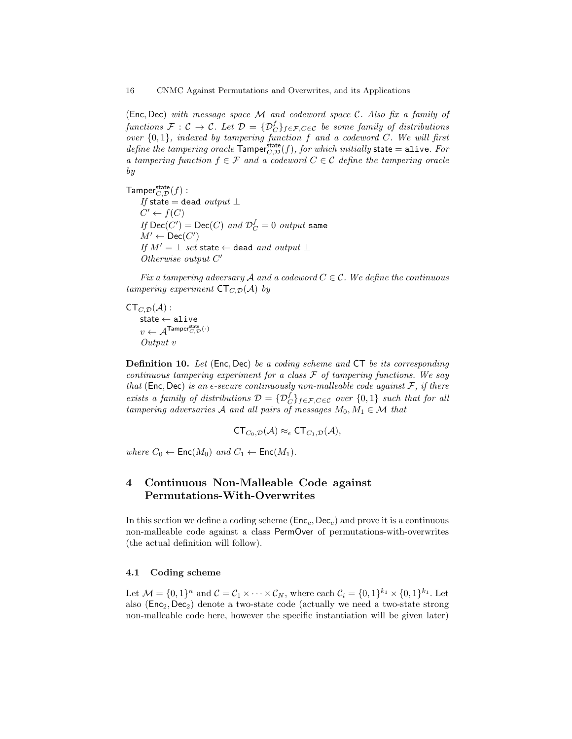(Enc, Dec) with message space M and codeword space C. Also fix a family of functions  $\mathcal{F}: \mathcal{C} \to \mathcal{C}$ . Let  $\mathcal{D} = \{ \mathcal{D}_C^f \}_{f \in \mathcal{F}, C \in \mathcal{C}}$  be some family of distributions panelions  $\mathcal{F} : \mathcal{C} \to \mathcal{C}$ . Let  $\mathcal{D} = \{ \mathcal{P}_{C} f \in \mathcal{F}, C \in \mathcal{C} \}$  be some jumily by assistantly over  $\{0,1\}$ , indexed by tampering function f and a codeword C. We will first define the tampering oracle  $\mathsf{Tame}^{\mathsf{state}}(f)$ , for which initially state = alive. For a tampering function  $f \in \mathcal{F}$  and a codeword  $C \in \mathcal{C}$  define the tampering oracle by

 $\mathsf{Tamper}_{C,\mathcal{D}}^{\mathsf{state}}(f):$ If state = dead output  $\bot$  $C' \leftarrow f(C)$ If  $\mathsf{Dec}(C') = \mathsf{Dec}(C)$  and  $\mathcal{D}_C^f = 0$  output same  $M' \leftarrow \mathsf{Dec}(C')$ If  $M' = \bot$  set state  $\leftarrow$  dead and output  $\bot$ Otherwise output C'

Fix a tampering adversary A and a codeword  $C \in \mathcal{C}$ . We define the continuous tampering experiment  $CT_{C,D}(\mathcal{A})$  by

 $CT_{C,\mathcal{D}}(\mathcal{A}):$ state  $\leftarrow$  alive  $v \leftarrow \mathcal{A}^{\mathsf{Tamper}^{\mathsf{state}}_{C,\mathcal{D}}(\cdot)}$ Output v

**Definition 10.** Let (Enc, Dec) be a coding scheme and CT be its corresponding continuous tampering experiment for a class  $\mathcal F$  of tampering functions. We say that (Enc, Dec) is an  $\epsilon$ -secure continuously non-malleable code against F, if there exists a family of distributions  $\mathcal{D} = \{ \mathcal{D}_C^f \}_{f \in \mathcal{F}, C \in \mathcal{C}}$  over  $\{0,1\}$  such that for all tampering adversaries A and all pairs of messages  $M_0, M_1 \in \mathcal{M}$  that

$$
\mathsf{CT}_{C_0,\mathcal{D}}(\mathcal{A})\approx_{\epsilon}\mathsf{CT}_{C_1,\mathcal{D}}(\mathcal{A}),
$$

where  $C_0 \leftarrow \text{Enc}(M_0)$  and  $C_1 \leftarrow \text{Enc}(M_1)$ .

# 4 Continuous Non-Malleable Code against Permutations-With-Overwrites

In this section we define a coding scheme ( $\mathsf{Enc}_c$ ,  $\mathsf{Dec}_c$ ) and prove it is a continuous non-malleable code against a class PermOver of permutations-with-overwrites (the actual definition will follow).

#### 4.1 Coding scheme

Let  $\mathcal{M} = \{0,1\}^n$  and  $\mathcal{C} = \mathcal{C}_1 \times \cdots \times \mathcal{C}_N$ , where each  $\mathcal{C}_i = \{0,1\}^{k_1} \times \{0,1\}^{k_1}$ . Let also ( $Enc_2, Dec_2$ ) denote a two-state code (actually we need a two-state strong non-malleable code here, however the specific instantiation will be given later)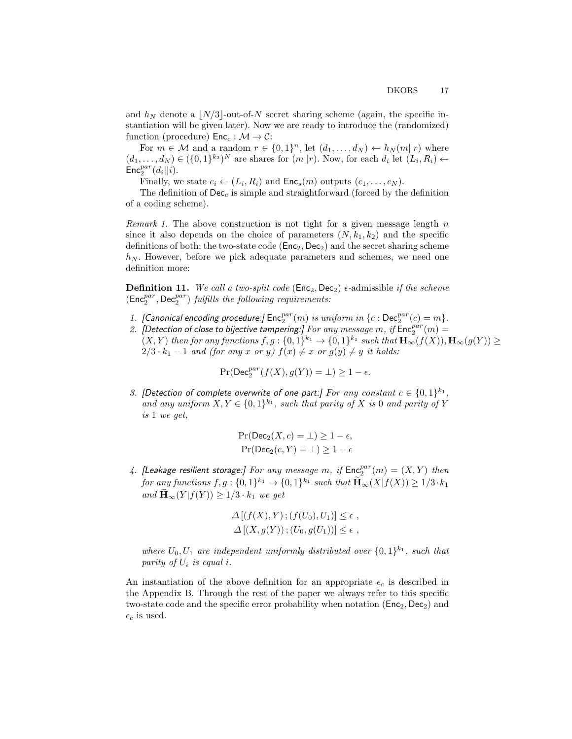and  $h_N$  denote a  $\lfloor N/3 \rfloor$ -out-of-N secret sharing scheme (again, the specific instantiation will be given later). Now we are ready to introduce the (randomized) function (procedure)  $\mathsf{Enc}_c : \mathcal{M} \to \mathcal{C}$ :

For  $m \in \mathcal{M}$  and a random  $r \in \{0,1\}^n$ , let  $(d_1, \ldots, d_N) \leftarrow h_N(m||r)$  where  $(d_1, \ldots, d_N) \in (\{0,1\}^{k_2})^N$  are shares for  $(m||r)$ . Now, for each  $d_i$  let  $(L_i, R_i) \leftarrow$  $\mathsf{Enc}^{par}_2(d_i || i).$ 

Finally, we state  $c_i \leftarrow (L_i, R_i)$  and  $\mathsf{Enc}_s(m)$  outputs  $(c_1, \ldots, c_N)$ .

The definition of  $\text{Dec}_c$  is simple and straightforward (forced by the definition of a coding scheme).

*Remark 1.* The above construction is not tight for a given message length  $n$ since it also depends on the choice of parameters  $(N, k_1, k_2)$  and the specific definitions of both: the two-state code ( $Enc_2, Dec_2$ ) and the secret sharing scheme  $h_N$ . However, before we pick adequate parameters and schemes, we need one definition more:

**Definition 11.** We call a two-split code ( $Enc_2, Dec_2$ )  $\epsilon$ -admissible if the scheme  $(\textsf{Enc}^{par}_{2}, \textsf{Dec}^{par}_{2})$  fulfills the following requirements:

- 1. [Canonical encoding procedure:]  $\mathsf{Enc}^{par}_2(m)$  is uniform in  $\{c : \mathsf{Dec}^{par}_2(c) = m\}$ .
- 2. [Detection of close to bijective tampering:] For any message m, if  $\overline{\mathsf{Enc}^{par}_2}(m)$  =  $(X, Y)$  then for any functions  $f, g: \{0, 1\}^{k_1} \to \{0, 1\}^{k_1}$  such that  $\mathbf{H}_{\infty}(f(X)), \mathbf{H}_{\infty}(g(Y)) \ge$  $2/3 \cdot k_1 - 1$  and (for any x or y)  $f(x) \neq x$  or  $g(y) \neq y$  it holds:

$$
\Pr(\mathsf{Dec}_2^{par}(f(X), g(Y)) = \bot) \ge 1 - \epsilon.
$$

3. [Detection of complete overwrite of one part:] For any constant  $c \in \{0,1\}^{k_1}$ , and any uniform  $X, Y \in \{0,1\}^{k_1}$ , such that parity of X is 0 and parity of Y is 1 we get,

$$
\Pr(\mathsf{Dec}_2(X, c) = \bot) \ge 1 - \epsilon,
$$
  

$$
\Pr(\mathsf{Dec}_2(c, Y) = \bot) \ge 1 - \epsilon
$$

4. [Leakage resilient storage:] For any message m, if  $\mathsf{Enc}_2^{par}(m) = (X, Y)$  then for any functions  $f, g: \{0,1\}^{k_1} \to \{0,1\}^{k_1}$  such that  $\widetilde{H}_{\infty}(X|f(X)) \geq 1/3 \cdot k_1$ and  $\mathbf{H}_{\infty}(Y | f(Y)) \geq 1/3 \cdot k_1$  we get

$$
\Delta\left[\left(f(X), Y\right); \left(f(U_0), U_1\right)\right] \le \epsilon ,
$$
  

$$
\Delta\left[\left(X, g(Y)\right); \left(U_0, g(U_1)\right)\right] \le \epsilon ,
$$

where  $U_0, U_1$  are independent uniformly distributed over  $\{0,1\}^{k_1}$ , such that parity of  $U_i$  is equal i.

An instantiation of the above definition for an appropriate  $\epsilon_c$  is described in the Appendix B. Through the rest of the paper we always refer to this specific two-state code and the specific error probability when notation ( $Enc_2, Dec_2$ ) and  $\epsilon_c$  is used.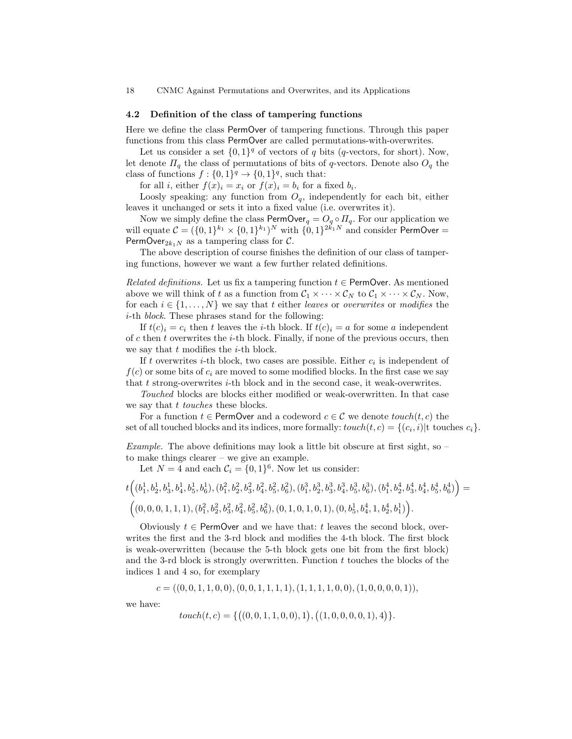#### 4.2 Definition of the class of tampering functions

Here we define the class PermOver of tampering functions. Through this paper functions from this class PermOver are called permutations-with-overwrites.

Let us consider a set  $\{0,1\}^q$  of vectors of q bits (q-vectors, for short). Now, let denote  $\Pi_q$  the class of permutations of bits of q-vectors. Denote also  $O_q$  the class of functions  $f: \{0,1\}^q \to \{0,1\}^q$ , such that:

for all *i*, either  $f(x)_i = x_i$  or  $f(x)_i = b_i$  for a fixed  $b_i$ .

Loosly speaking: any function from  $O_q$ , independently for each bit, either leaves it unchanged or sets it into a fixed value (i.e. overwrites it).

Now we simply define the class PermOver<sub>q</sub> =  $O_q \circ \Pi_q$ . For our application we will equate  $C = (\{0,1\}^{k_1} \times \{0,1\}^{k_1})^N$  with  $\{0,1\}^{2k_1N}$  and consider PermOver = PermOver<sub>2k1</sub>N as a tampering class for  $C$ .

The above description of course finishes the definition of our class of tampering functions, however we want a few further related definitions.

*Related definitions.* Let us fix a tampering function  $t \in$  PermOver. As mentioned above we will think of t as a function from  $C_1 \times \cdots \times C_N$  to  $C_1 \times \cdots \times C_N$ . Now, for each  $i \in \{1, \ldots, N\}$  we say that t either leaves or overwrites or modifies the i-th block. These phrases stand for the following:

If  $t(c)_i = c_i$  then t leaves the *i*-th block. If  $t(c)_i = a$  for some a independent of c then t overwrites the  $i$ -th block. Finally, if none of the previous occurs, then we say that  $t$  modifies the  $i$ -th block.

If t overwrites *i*-th block, two cases are possible. Either  $c_i$  is independent of  $f(c)$  or some bits of  $c_i$  are moved to some modified blocks. In the first case we say that  $t$  strong-overwrites  $i$ -th block and in the second case, it weak-overwrites.

Touched blocks are blocks either modified or weak-overwritten. In that case we say that t touches these blocks.

For a function  $t \in \text{PermOver}$  and a codeword  $c \in \mathcal{C}$  we denote  $touch(t, c)$  the set of all touched blocks and its indices, more formally:  $touch(t, c) = \{(c_i, i) | t \text{ touches } c_i\}.$ 

*Example.* The above definitions may look a little bit obscure at first sight, so  $$ to make things clearer – we give an example.

Let  $N = 4$  and each  $C_i = \{0, 1\}^6$ . Now let us consider:

$$
\begin{aligned} &t\Big((b^1_1,b^1_2,b^1_3,b^1_4,b^1_5,b^1_6),(b^2_1,b^2_2,b^2_3,b^2_4,b^2_5,b^2_6),(b^3_1,b^3_2,b^3_3,b^3_4,b^3_5,b^3_6),(b^4_1,b^4_2,b^4_3,b^4_4,b^4_5,b^4_6)\Big)=\\ &\Big((0,0,0,1,1,1),(b^2_1,b^2_2,b^2_3,b^2_4,b^2_5,b^2_6),(0,1,0,1,0,1),(0,b^1_5,b^4_4,1,b^4_2,b^1_1)\Big). \end{aligned}
$$

Obviously  $t \in \text{PermOver}$  and we have that: t leaves the second block, overwrites the first and the 3-rd block and modifies the 4-th block. The first block is weak-overwritten (because the 5-th block gets one bit from the first block) and the 3-rd block is strongly overwritten. Function  $t$  touches the blocks of the indices 1 and 4 so, for exemplary

$$
c = ((0, 0, 1, 1, 0, 0), (0, 0, 1, 1, 1, 1), (1, 1, 1, 1, 0, 0), (1, 0, 0, 0, 0, 1)),
$$

we have:

$$
touch(t, c) = \{ \big( (0, 0, 1, 1, 0, 0), 1), \big( (1, 0, 0, 0, 0, 1), 4 \big) \}.
$$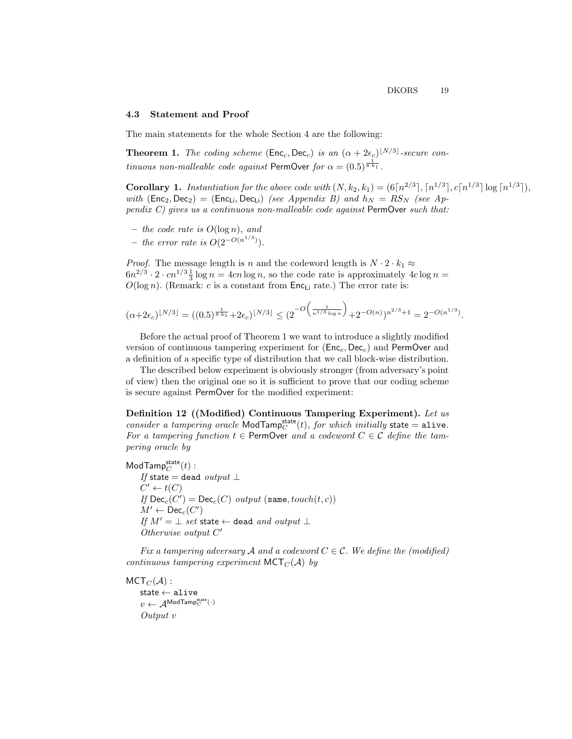#### 4.3 Statement and Proof

The main statements for the whole Section 4 are the following:

**Theorem 1.** The coding scheme ( $\text{Enc}_c, \text{Dec}_c$ ) is an  $(\alpha + 2\epsilon_c)^{\lfloor N/3 \rfloor}$ -secure continuous non-malleable code against PermOver for  $\alpha = (0.5)^{\frac{1}{8 \cdot k_1}}$ .

**Corollary 1.** Instantiation for the above code with  $(N, k_2, k_1) = (6\lceil n^{2/3} \rceil, \lceil n^{1/3} \rceil, c\lceil n^{1/3} \rceil \log \lceil n^{1/3} \rceil)$ , with  $(Enc_2, Dec_2) = (Enc_{Li}, Dec_{Li})$  (see Appendix B) and  $h_N = RS_N$  (see Appendix C) gives us a continuous non-malleable code against PermOver such that:

- the code rate is  $O(\log n)$ , and
- the error rate is  $O(2^{-O(n^{1/3})}).$

*Proof.* The message length is n and the codeword length is  $N \cdot 2 \cdot k_1 \approx$  $6n^{2/3} \cdot 2 \cdot cn^{1/3} \frac{1}{3} \log n = 4cn \log n$ , so the code rate is approximately  $4c \log n =$  $O(\log n)$ . (Remark: c is a constant from Enc<sub>Li</sub> rate.) The error rate is:

$$
(\alpha+2\epsilon_c)^{\lfloor N/3\rfloor}=((0.5)^{\frac{1}{8\cdot k_1}}+2\epsilon_c)^{\lfloor N/3\rfloor}\leq (2^{-O\left(\frac{1}{n^{1/3}\log n}\right)}+2^{-O(n)})^{n^{2/3}+1}=2^{-O(n^{1/3})}.
$$

Before the actual proof of Theorem 1 we want to introduce a slightly modified version of continuous tampering experiment for  $(Enc<sub>c</sub>, Dec<sub>c</sub>)$  and PermOver and a definition of a specific type of distribution that we call block-wise distribution.

The described below experiment is obviously stronger (from adversary's point of view) then the original one so it is sufficient to prove that our coding scheme is secure against PermOver for the modified experiment:

Definition 12 ((Modified) Continuous Tampering Experiment). Let us consider a tampering oracle  $\textsf{ModTamp}^{\textsf{state}}_C(t)$ , for which initially state = alive. For a tampering function  $t \in$  PermOver and a codeword  $C \in \mathcal{C}$  define the tampering oracle by

 $\mathsf{ModTamp}^{\mathsf{state}}_C(t)$  : If state = dead  $output \perp$  $C' \leftarrow t(C)$ If  $\mathsf{Dec}_c(C') = \mathsf{Dec}_c(C)$  output  $(\mathsf{same}, touch(t, c))$  $M' \leftarrow \mathsf{Dec}_c(C')$ If  $M' = \bot$  set state  $\leftarrow$  dead and output  $\bot$ Otherwise output C'

Fix a tampering adversary A and a codeword  $C \in \mathcal{C}$ . We define the (modified) continuous tampering experiment  $MCT_C(\mathcal{A})$  by

 $MCT_C(\mathcal{A})$ : state ← alive  $v \leftarrow \mathcal{A}^{\textsf{ModTamp}^{\textsf{state}}_C(\cdot)}$ Output v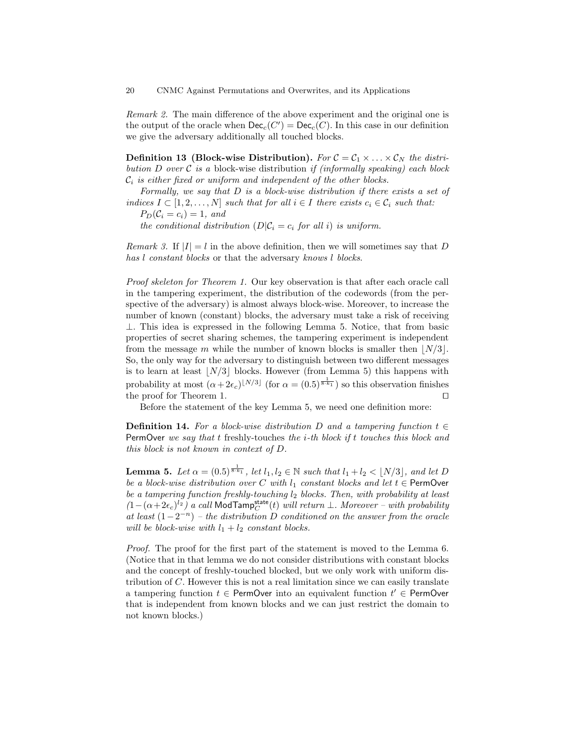Remark 2. The main difference of the above experiment and the original one is the output of the oracle when  $\mathsf{Dec}_c(C') = \mathsf{Dec}_c(C)$ . In this case in our definition we give the adversary additionally all touched blocks.

**Definition 13 (Block-wise Distribution).** For  $C = C_1 \times ... \times C_N$  the distribution D over C is a block-wise distribution if (informally speaking) each block  $C_i$  is either fixed or uniform and independent of the other blocks.

Formally, we say that D is a block-wise distribution if there exists a set of indices  $I \subset [1, 2, \ldots, N]$  such that for all  $i \in I$  there exists  $c_i \in C_i$  such that:

 $P_D(\mathcal{C}_i = c_i) = 1$ , and

the conditional distribution  $(D|\mathcal{C}_i = c_i \text{ for all } i)$  is uniform.

Remark 3. If  $|I| = l$  in the above definition, then we will sometimes say that D has l constant blocks or that the adversary knows l blocks.

Proof skeleton for Theorem 1. Our key observation is that after each oracle call in the tampering experiment, the distribution of the codewords (from the perspective of the adversary) is almost always block-wise. Moreover, to increase the number of known (constant) blocks, the adversary must take a risk of receiving  $\perp$ . This idea is expressed in the following Lemma 5. Notice, that from basic properties of secret sharing schemes, the tampering experiment is independent from the message m while the number of known blocks is smaller then  $|N/3|$ . So, the only way for the adversary to distinguish between two different messages is to learn at least  $\lfloor N/3 \rfloor$  blocks. However (from Lemma 5) this happens with probability at most  $(\alpha + 2\epsilon_c)^{\lfloor N/3 \rfloor}$  (for  $\alpha = (0.5)^{\frac{1}{8 \cdot k_1}}$ ) so this observation finishes the proof for Theorem 1.  $\Box$ 

Before the statement of the key Lemma 5, we need one definition more:

**Definition 14.** For a block-wise distribution D and a tampering function  $t \in$ PermOver we say that t freshly-touches the i-th block if t touches this block and this block is not known in context of D.

**Lemma 5.** Let  $\alpha = (0.5)^{\frac{1}{8 \cdot k_1}}$ , let  $l_1, l_2 \in \mathbb{N}$  such that  $l_1 + l_2 < \lfloor N/3 \rfloor$ , and let D be a block-wise distribution over C with  $l_1$  constant blocks and let  $t \in$  PermOver be a tampering function freshly-touching  $l_2$  blocks. Then, with probability at least  $(1-(\alpha+2\epsilon_c)^{l_2})$  a call ModTamp $_c^{\text{state}}(t)$  will return  $\perp$ . Moreover – with probability at least  $(1-2^{-n})$  – the distribution D conditioned on the answer from the oracle will be block-wise with  $l_1 + l_2$  constant blocks.

Proof. The proof for the first part of the statement is moved to the Lemma 6. (Notice that in that lemma we do not consider distributions with constant blocks and the concept of freshly-touched blocked, but we only work with uniform distribution of  $C$ . However this is not a real limitation since we can easily translate a tampering function  $t \in$  PermOver into an equivalent function  $t' \in$  PermOver that is independent from known blocks and we can just restrict the domain to not known blocks.)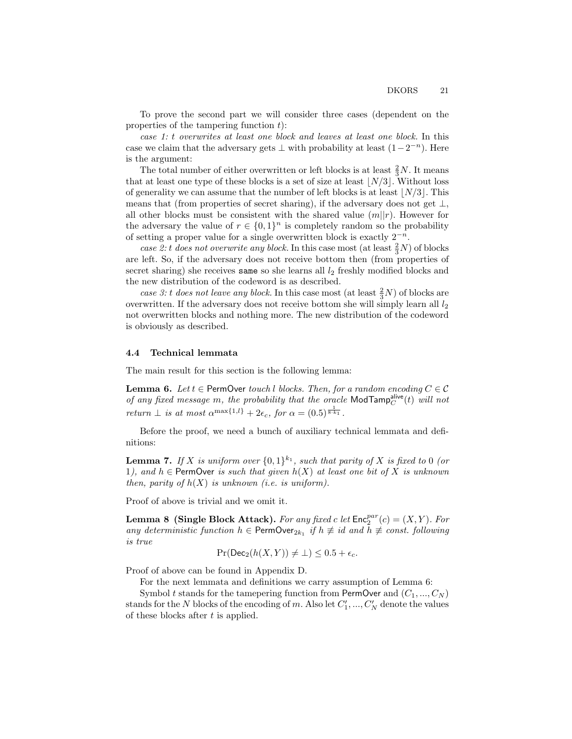To prove the second part we will consider three cases (dependent on the properties of the tampering function  $t$ :

case 1: t overwrites at least one block and leaves at least one block. In this case we claim that the adversary gets  $\perp$  with probability at least  $(1-2^{-n})$ . Here is the argument:

The total number of either overwritten or left blocks is at least  $\frac{2}{3}N$ . It means that at least one type of these blocks is a set of size at least  $\lfloor N/3 \rfloor$ . Without loss of generality we can assume that the number of left blocks is at least  $\lfloor N/3 \rfloor$ . This means that (from properties of secret sharing), if the adversary does not get  $\perp$ , all other blocks must be consistent with the shared value  $(m||r)$ . However for the adversary the value of  $r \in \{0,1\}^n$  is completely random so the probability of setting a proper value for a single overwritten block is exactly  $2^{-n}$ .

*case 2: t does not overwrite any block*. In this case most (at least  $\frac{2}{3}N$ ) of blocks are left. So, if the adversary does not receive bottom then (from properties of secret sharing) she receives same so she learns all  $l_2$  freshly modified blocks and the new distribution of the codeword is as described.

*case 3: t does not leave any block*. In this case most (at least  $\frac{2}{3}N$ ) of blocks are overwritten. If the adversary does not receive bottom she will simply learn all  $l_2$ not overwritten blocks and nothing more. The new distribution of the codeword is obviously as described.

#### 4.4 Technical lemmata

The main result for this section is the following lemma:

**Lemma 6.** Let  $t \in$  PermOver touch l blocks. Then, for a random encoding  $C \in \mathcal{C}$ of any fixed message m, the probability that the oracle  $\textsf{ModTamp}^{\textsf{alive}}_C(t)$  will not return  $\perp$  is at most  $\alpha^{\max\{1,l\}} + 2\epsilon_c$ , for  $\alpha = (0.5)^{\frac{1}{8 \cdot k_1}}$ .

Before the proof, we need a bunch of auxiliary technical lemmata and definitions:

**Lemma 7.** If X is uniform over  $\{0,1\}^{k_1}$ , such that parity of X is fixed to 0 (or 1), and  $h \in$  PermOver is such that given  $h(X)$  at least one bit of X is unknown then, parity of  $h(X)$  is unknown (i.e. is uniform).

Proof of above is trivial and we omit it.

**Lemma 8 (Single Block Attack).** For any fixed c let  $\mathsf{Enc}^{par}_2(c) = (X, Y)$ . For any deterministic function  $h \in \text{PermOver}_{2k_1}$  if  $h \not\equiv id$  and  $h \not\equiv const.$  following is true

$$
\Pr(\mathsf{Dec}_2(h(X, Y)) \neq \bot) \leq 0.5 + \epsilon_c.
$$

Proof of above can be found in Appendix D.

For the next lemmata and definitions we carry assumption of Lemma 6:

Symbol t stands for the tamepering function from PermOver and  $(C_1, ..., C_N)$ stands for the  $N$  blocks of the encoding of  $m$ . Also let  $C'_1, ..., C'_N$  denote the values of these blocks after  $t$  is applied.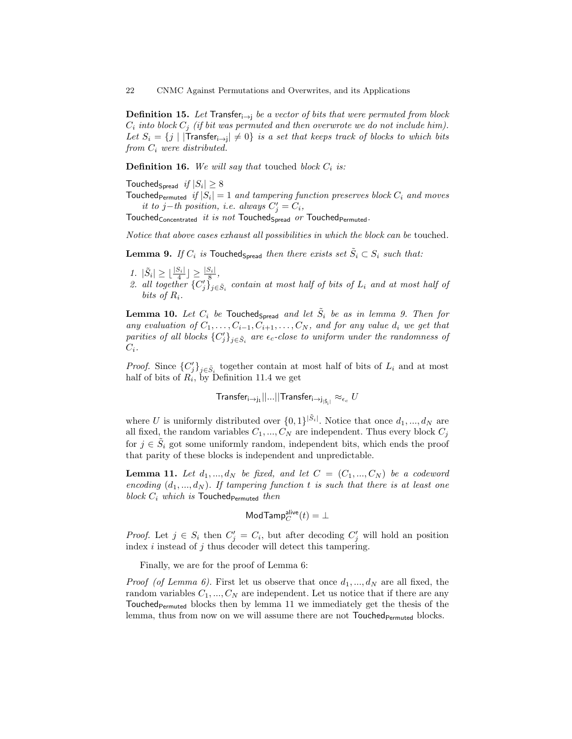**Definition 15.** Let Transfer<sub>i→j</sub> be a vector of bits that were permuted from block  $C_i$  into block  $C_j$  (if bit was permuted and then overwrote we do not include him). Let  $S_i = \{j \mid |\mathsf{Transfer}_{i \to j}| \neq 0\}$  is a set that keeps track of blocks to which bits from  $C_i$  were distributed.

**Definition 16.** We will say that touched block  $C_i$  is:

Touched $_{\mathsf{Spread}}$  if  $|S_i|\geq 8$ 

Touched<sub>Permuted</sub> if  $|S_i| = 1$  and tampering function preserves block  $C_i$  and moves it to j−th position, i.e. always  $C'_j = C_i$ ,

Touched<sub>Concentrated</sub> it is not Touched<sub>Spread</sub> or Touched<sub>Permuted</sub>.

Notice that above cases exhaust all possibilities in which the block can be touched.

**Lemma 9.** If  $C_i$  is Touched<sub>Spread</sub> then there exists set  $\tilde{S}_i \subset S_i$  such that:

- 1.  $|\tilde{S}_i| \geq \lfloor \frac{|S_i|}{4} \rfloor \geq \frac{|S_i|}{8},$
- 2. all together  $\{C_j'\}_{j\in\tilde{S}_i}$  contain at most half of bits of  $L_i$  and at most half of bits of  $R_i$ .

**Lemma 10.** Let  $C_i$  be Touched<sub>Spread</sub> and let  $\tilde{S}_i$  be as in lemma 9. Then for any evaluation of  $C_1, \ldots, C_{i-1}, C_{i+1}, \ldots, C_N$ , and for any value  $d_i$  we get that parities of all blocks  $\{C'_j\}_{j\in\tilde{S}_i}$  are  $\epsilon_c$ -close to uniform under the randomness of  $C_i$ .

*Proof.* Since  $\{C'_j\}_{j\in\tilde{S}_i}$  together contain at most half of bits of  $L_i$  and at most half of bits of  $R_i$ , by Definition 11.4 we get

$$
\mathsf{Transfer}_{\mathsf{i} \rightarrow \mathsf{j}_1} ||...||\mathsf{Transfer}_{\mathsf{i} \rightarrow \mathsf{j}_{|\tilde{\mathsf{S}}_{\mathsf{i}}|}} \approx_{\epsilon_c} U
$$

where U is uniformly distributed over  $\{0,1\}^{|\tilde{S}_i|}$ . Notice that once  $d_1, ..., d_N$  are all fixed, the random variables  $C_1, ..., C_N$  are independent. Thus every block  $C_j$ for  $j \in \tilde{S}_i$  got some uniformly random, independent bits, which ends the proof that parity of these blocks is independent and unpredictable.

**Lemma 11.** Let  $d_1, ..., d_N$  be fixed, and let  $C = (C_1, ..., C_N)$  be a codeword encoding  $(d_1, ..., d_N)$ . If tampering function t is such that there is at least one block  $C_i$  which is Touched<sub>Permuted</sub> then

$$
\mathsf{ModTamp}^{\mathsf{alive}}_C(t) = \bot
$$

*Proof.* Let  $j \in S_i$  then  $C'_j = C_i$ , but after decoding  $C'_j$  will hold an position index  $i$  instead of  $j$  thus decoder will detect this tampering.

Finally, we are for the proof of Lemma 6:

*Proof (of Lemma 6)*. First let us observe that once  $d_1, ..., d_N$  are all fixed, the random variables  $C_1, ..., C_N$  are independent. Let us notice that if there are any Touched<sub>Permuted</sub> blocks then by lemma 11 we immediately get the thesis of the lemma, thus from now on we will assume there are not Touched<sub>Permuted</sub> blocks.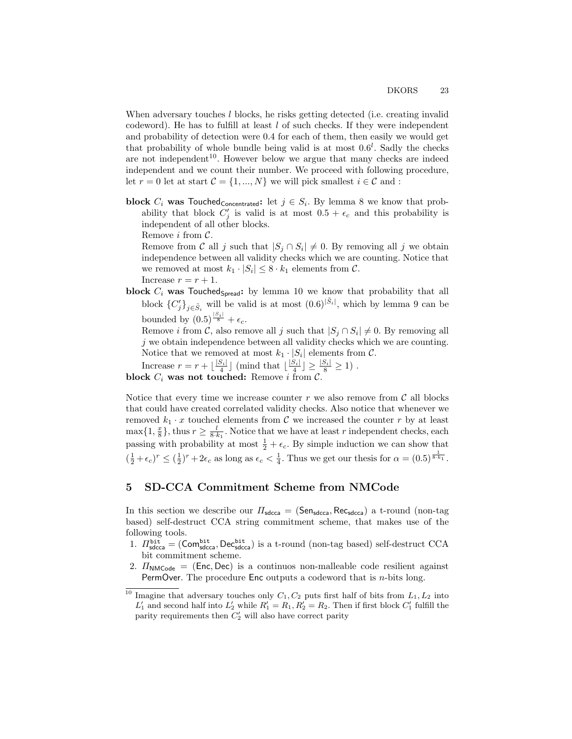When adversary touches l blocks, he risks getting detected (i.e. creating invalid codeword). He has to fulfill at least  $l$  of such checks. If they were independent and probability of detection were 0.4 for each of them, then easily we would get that probability of whole bundle being valid is at most  $0.6<sup>l</sup>$ . Sadly the checks are not independent<sup>10</sup>. However below we argue that many checks are indeed independent and we count their number. We proceed with following procedure, let  $r = 0$  let at start  $C = \{1, ..., N\}$  we will pick smallest  $i \in C$  and :

block  $C_i$  was Touched<sub>Concentrated</sub>: let  $j \in S_i$ . By lemma 8 we know that probability that block  $C'_j$  is valid is at most  $0.5 + \epsilon_c$  and this probability is independent of all other blocks.

Remove  $i$  from  $\mathcal{C}$ .

Remove from C all j such that  $|S_j \cap S_i| \neq 0$ . By removing all j we obtain independence between all validity checks which we are counting. Notice that we removed at most  $k_1 \cdot |S_i| \leq 8 \cdot k_1$  elements from C. Increase  $r = r + 1$ .

block  $C_i$  was Touched<sub>Spread</sub>: by lemma 10 we know that probability that all block  ${C'_j}_{j \in \tilde{S}_i}$  will be valid is at most  $(0.6)^{|\tilde{S}_i|}$ , which by lemma 9 can be bounded by  $(0.5)^{\frac{|S_i|}{8}} + \epsilon_c$ .

Remove *i* from C, also remove all j such that  $|S_j \cap S_i| \neq 0$ . By removing all  $j$  we obtain independence between all validity checks which we are counting. Notice that we removed at most  $k_1 \cdot |S_i|$  elements from C.

Increase  $r = r + \lfloor \frac{|S_i|}{4} \rfloor$  (mind that  $\lfloor \frac{|S_i|}{4} \rfloor \ge \frac{|S_i|}{8} \ge 1$ ).

block  $C_i$  was not touched: Remove i from  $\mathcal{C}$ .

Notice that every time we increase counter  $r$  we also remove from  $\mathcal C$  all blocks that could have created correlated validity checks. Also notice that whenever we removed  $k_1 \cdot x$  touched elements from C we increased the counter r by at least  $\max\{1, \frac{x}{8}\},\$  thus  $r \geq \frac{l}{8 \cdot k_1}$ . Notice that we have at least r independent checks, each passing with probability at most  $\frac{1}{2} + \epsilon_c$ . By simple induction we can show that  $(\frac{1}{2} + \epsilon_c)^r \leq (\frac{1}{2})^r + 2\epsilon_c$  as long as  $\epsilon_c < \frac{1}{4}$ . Thus we get our thesis for  $\alpha = (0.5)^{\frac{1}{8 \cdot k_1}}$ .

# 5 SD-CCA Commitment Scheme from NMCode

In this section we describe our  $\Pi_{\text{sdcca}} = (\mathsf{Sen}_{\text{sdcca}}, \mathsf{Rec}_{\text{sdcca}})$  a t-round (non-tag based) self-destruct CCA string commitment scheme, that makes use of the following tools.

- 1.  $\Pi_{\text{sdcca}}^{\text{bit}} = (\text{Com}_{\text{sdcca}}^{\text{bit}}, \text{Dec}_{\text{sdcca}}^{\text{bit}})$  is a t-round (non-tag based) self-destruct CCA bit commitment scheme.
- 2.  $\Pi_{\text{NMCode}} = (\text{Enc}, \text{Dec})$  is a continuos non-malleable code resilient against PermOver. The procedure  $Enc$  outputs a codeword that is *n*-bits long.

<sup>&</sup>lt;sup>10</sup> Imagine that adversary touches only  $C_1, C_2$  puts first half of bits from  $L_1, L_2$  into  $L'_1$  and second half into  $L'_2$  while  $R'_1 = R_1, R'_2 = R_2$ . Then if first block  $C'_1$  fulfill the parity requirements then  $C_2'$  will also have correct parity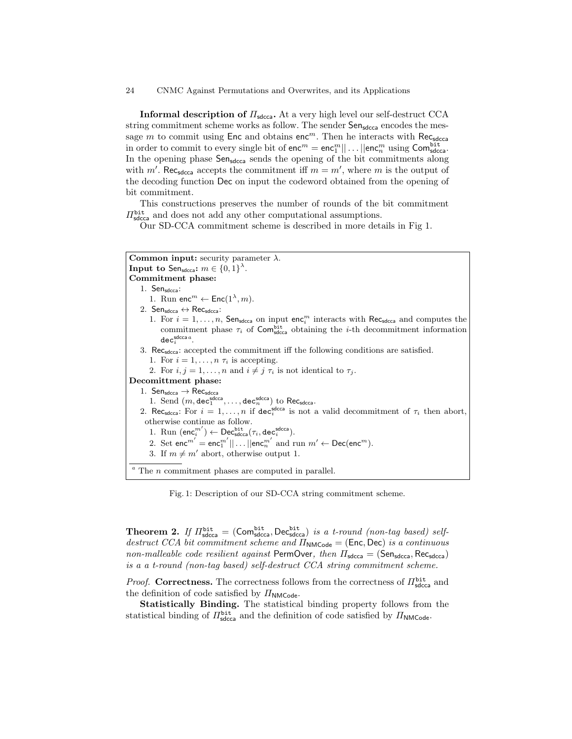**Informal description of**  $\Pi_{\text{sdcca}}$ **.** At a very high level our self-destruct CCA string commitment scheme works as follow. The sender Sen<sub>sdcca</sub> encodes the message m to commit using Enc and obtains enc<sup>m</sup>. Then he interacts with Rec<sub>sdcca</sub> in order to commit to every single bit of  $\mathsf{enc}^m = \mathsf{enc}^m_1 || \dots || \mathsf{enc}^m_n$  using  $\mathsf{Com}^\mathtt{bit}_\mathsf{sdcca}.$ In the opening phase Sen<sub>sdcca</sub> sends the opening of the bit commitments along with m'. Rec<sub>sdcca</sub> accepts the commitment iff  $m = m'$ , where m is the output of the decoding function Dec on input the codeword obtained from the opening of bit commitment.

This constructions preserves the number of rounds of the bit commitment  $\Pi^\mathtt{bit}_\mathtt{sdcca}$  and does not add any other computational assumptions.

Our SD-CCA commitment scheme is described in more details in Fig 1.

```
Common input: security parameter \lambda.
Input to Sen<sub>sdcca</sub>: m \in \{0,1\}^{\lambda}.
Commitment phase:
    1. Sen<sub>sdcca</sub>:
         1. Run enc<sup>m</sup> \leftarrow Enc(1^{\lambda}, m).
    2. Sen<sub>sdcca</sub> \leftrightarrow Rec<sub>sdcca</sub>:
         1. For i = 1, \ldots, n, Sen<sub>sdcca</sub> on input enc<sub>i</sub><sup>m</sup> interacts with Rec<sub>sdcca</sub> and computes the
             commitment phase \tau_i of Com<sup>bit</sup> obtaining the i-th decommitment information
             \mathtt{dec}_i^{\mathtt{sdcca}\,a}.3. \text{Rec}_{\text{sdcca}}: accepted the commitment iff the following conditions are satisfied.
        1. For i = 1, \ldots, n \tau_i is accepting.
        2. For i, j = 1, \ldots, n and i \neq j \tau_i is not identical to \tau_j.
Decomittment phase:
    1. Sen<sub>sdcca</sub> \rightarrow Rec<sub>sdcca</sub>
         1. Send (m, \texttt{dec}_1^{\texttt{sdcca}}, \ldots, \texttt{dec}_n^{\texttt{sdcca}}) to \texttt{Rec}_{\texttt{sdcca}}.
     2. Rec<sub>sdcca</sub>: For i = 1, ..., n if dec<sup>sdcca</sup> is not a valid decommitment of \tau_i then abort,
      otherwise continue as follow.
         1. Run (\mathsf{enc}_i^{m'}) \leftarrow \mathsf{Dec}_{\mathsf{sdcca}}^{\mathsf{bit}}(\tau_i, \mathsf{dec}_i^{\mathsf{sdcca}}).2. Set \mathsf{enc}^{m'} = \mathsf{enc}_1^{m'} || \dots || \mathsf{enc}_n^{m'} and \text{run } m' \leftarrow \mathsf{Dec}(\mathsf{enc}^m).
         3. If m \neq m' abort, otherwise output 1.
 a<sup>a</sup> The n commitment phases are computed in parallel.
```
Fig. 1: Description of our SD-CCA string commitment scheme.

**Theorem 2.** If  $\Pi_{\text{sdcca}}^{\text{bit}} = (\text{Com}_{\text{sdcca}}^{\text{bit}}, \text{Dec}_{\text{sdcca}}^{\text{bit}})$  is a t-round (non-tag based) selfdestruct CCA bit commitment scheme and  $\Pi_{\text{NMCode}} = (\text{Enc}, \text{Dec})$  is a continuous non-malleable code resilient against PermOver, then  $\Pi_{\text{sdcca}} = (\mathsf{Sen}_{\text{sdcca}}, \mathsf{Rec}_{\text{sdcca}})$ is a a t-round (non-tag based) self-destruct CCA string commitment scheme.

*Proof.* Correctness. The correctness follows from the correctness of  $\Pi_{\text{sdcca}}^{\text{bit}}$  and the definition of code satisfied by  $\Pi_{\text{NMCode}}$ .

Statistically Binding. The statistical binding property follows from the statistical binding of  $\pi_{\text{sdcc}}^{\text{bit}}$  and the definition of code satisfied by  $\pi_{\text{NMCode}}$ .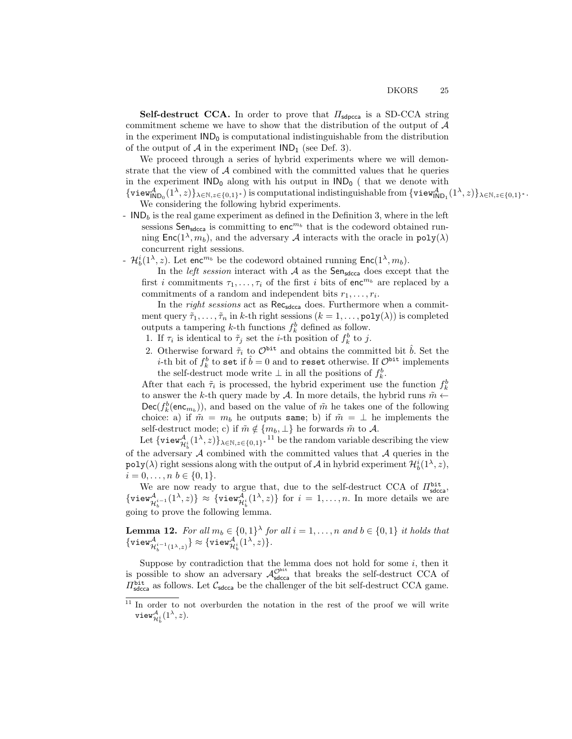Self-destruct CCA. In order to prove that  $\Pi_{\text{sdpcca}}$  is a SD-CCA string commitment scheme we have to show that the distribution of the output of A in the experiment  $\mathsf{IND}_0$  is computational indistinguishable from the distribution of the output of  $A$  in the experiment  $\mathsf{IND}_1$  (see Def. 3).

We proceed through a series of hybrid experiments where we will demonstrate that the view of  $A$  combined with the committed values that he queries in the experiment  $IND_0$  along with his output in  $IND_0$  (that we denote with  $\{\textsf{view}_\mathsf{IND_0}^\mathcal{A}(1^\lambda,z)\}_{\lambda\in\mathbb{N},z\in\{0,1\}^*})$  is computational indistinguishable from  $\{\textsf{view}_\mathsf{IND_1}^\mathcal{A}(1^\lambda,z)\}_{\lambda\in\mathbb{N},z\in\{0,1\}^*}.$ 

We considering the following hybrid experiments.

- $IND<sub>b</sub>$  is the real game experiment as defined in the Definition 3, where in the left sessions Sen<sub>sdcca</sub> is committing to enc<sup>m<sub>b</sup></sub> that is the codeword obtained run-</sup> ning  $Enc(1^{\lambda}, m_b)$ , and the adversary A interacts with the oracle in  $poly(\lambda)$ concurrent right sessions.
- $\mathcal{H}_{b}^{i}(1^{\lambda}, z)$ . Let enc<sup>m<sub>b</sub></sup> be the codeword obtained running  $Enc(1^{\lambda}, m_{b})$ .

In the *left session* interact with  $A$  as the Sen<sub>sdcca</sub> does except that the first *i* commitments  $\tau_1, \ldots, \tau_i$  of the first *i* bits of enc<sup> $m_b$ </sup> are replaced by a commitments of a random and independent bits  $r_1, \ldots, r_i$ .

In the *right sessions* act as  $\text{Rec}_{\text{sdcca}}$  does. Furthermore when a commitment query  $\tilde{\tau}_1, \ldots, \tilde{\tau}_n$  in k-th right sessions  $(k = 1, \ldots, \text{poly}(\lambda))$  is completed outputs a tampering k-th functions  $f_k^b$  defined as follow.

- 1. If  $\tau_i$  is identical to  $\tilde{\tau}_j$  set the *i*-th position of  $f_k^b$  to *j*.
- 2. Otherwise forward  $\tilde{\tau}_i$  to  $\mathcal{O}^{\text{bit}}$  and obtains the committed bit  $\hat{b}$ . Set the *i*-th bit of  $f_k^b$  to set if  $\hat{b} = 0$  and to reset otherwise. If  $\mathcal{O}^{\text{bit}}$  implements the self-destruct mode write  $\perp$  in all the positions of  $f_k^b$ .

After that each  $\tilde{\tau}_i$  is processed, the hybrid experiment use the function  $f_k^b$ to answer the k-th query made by A. In more details, the hybrid runs  $\tilde{m} \leftarrow$  $\mathsf{Dec}(f_k^b(\mathsf{enc}_{m_b}))$ , and based on the value of  $\tilde{m}$  he takes one of the following choice: a) if  $\tilde{m} = m_b$  he outputs same; b) if  $\tilde{m} = \perp$  he implements the self-destruct mode; c) if  $\tilde{m} \notin \{m_b, \perp\}$  he forwards  $\tilde{m}$  to A.

Let  $\{ \texttt{view}^{\mathcal{A}}_{\mathcal{H}^i_b}(1^\lambda,z) \}_{\lambda \in \mathbb{N}, z \in \{0,1\}^\ast}$  and the random variable describing the view of the adversary  $A$  combined with the committed values that  $A$  queries in the  $\texttt{poly}(\lambda)$  right sessions along with the output of  $\mathcal A$  in hybrid experiment  $\mathcal H_b^i(1^\lambda,z),$  $i = 0, \ldots, n \; b \in \{0, 1\}.$ 

We are now ready to argue that, due to the self-destruct CCA of  $\Pi_{\text{sdcca}}^{\text{bit}}$ ,  $\{\textsf{view}^{\mathcal{A}}_{\mathcal{H}^{i-1}_b}(1^\lambda,z)\} \approx \{\textsf{view}^{\mathcal{A}}_{\mathcal{H}^{i}_b}(1^\lambda,z)\}$  for  $i=1,\ldots,n.$  In more details we are going to prove the following lemma.

**Lemma 12.** For all  $m_b \in \{0,1\}^{\lambda}$  for all  $i = 1, ..., n$  and  $b \in \{0,1\}$  it holds that  $\{\textsf{view}^{\mathcal{A}}_{\mathcal{H}^{i-1}_b(1^\lambda,z)}\} \approx \{\textsf{view}^{\mathcal{A}}_{\mathcal{H}^i_b}(1^\lambda,z)\}.$ 

Suppose by contradiction that the lemma does not hold for some  $i$ , then it is possible to show an adversary  $\mathcal{A}^{\mathcal{O}^{bit}}_{sdcca}$  that breaks the self-destruct CCA of  $\Pi^{\texttt{bit}}_{\texttt{sdcca}}$  as follows. Let  $\mathcal{C}_{\texttt{sdcca}}$  be the challenger of the bit self-destruct CCA game.

<sup>&</sup>lt;sup>11</sup> In order to not overburden the notation in the rest of the proof we will write  $\textsf{view}^{\mathcal{A}}_{\mathcal{H}^i_b}(1^\lambda,z).$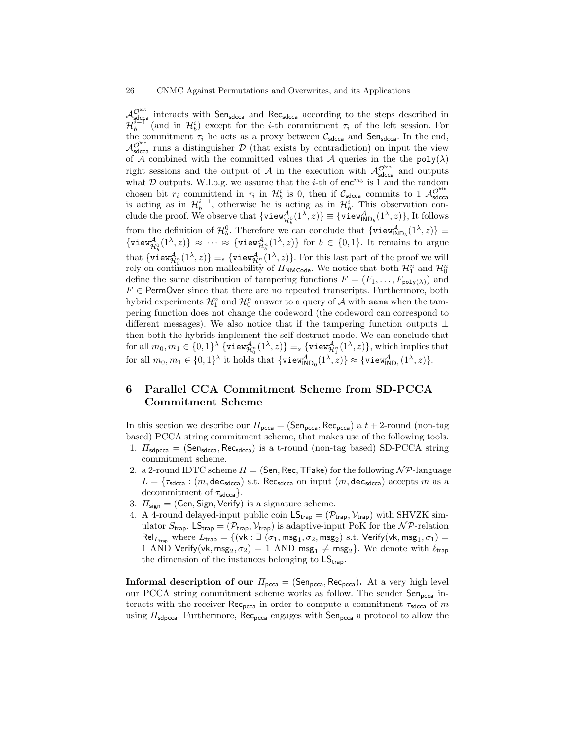$\mathcal{A}_{\text{g}_\text{ccas}}^{\mathcal{O}^{\text{bit}}}$  interacts with Sen<sub>sdcca</sub> and Rec<sub>sdcca</sub> according to the steps described in  $\mathcal{U}^{i-1}$  (and in  $\mathcal{U}^{i}$ ) oxeont for the *i* th commitment  $\tau$ , of the left session. For  ${\mathcal H}$ b (and in  $\mathcal{H}_{b}^{i}$ ) except for the *i*-th commitment  $\tau_{i}$  of the left session. For the commitment  $\tau_i$  he acts as a proxy between  $\mathcal{C}_{\text{sdcca}}$  and Sen<sub>sdcca</sub>. In the end,  $\mathcal{A}_{\text{sdcca}}^{\mathcal{O}^{\text{bit}}}$  runs a distinguisher  $\mathcal{D}$  (that exists by contradiction) on input the view of A combined with the committed values that A queries in the the  $poly(\lambda)$ right sessions and the output of A in the execution with  $\mathcal{A}_{\text{sdcca}}^{\mathcal{O}^{\text{bit}}}$  and outputs what D outputs. W.l.o.g. we assume that the *i*-th of enc<sup>m<sub>b</sub></sup> is 1 and the random chosen bit  $r_i$  committend in  $\tau_i$  in  $\mathcal{H}_b^i$  is 0, then if  $\mathcal{C}_{\text{sdcca}}$  commits to 1  $\mathcal{A}_{\text{sdcca}}^{\mathcal{O}^{bit}}$ is acting as in  $\mathcal{H}_b^{i-1}$ , otherwise he is acting as in  $\mathcal{H}_b^i$ . This observation conclude the proof. We observe that  $\{{\tt view}^{\mathcal{A}}_{\mathcal{H}^0_\kappa}(1^\lambda,z)\}\equiv\{{\tt view}^{\mathcal{A}}_{{\sf IND}_b}(1^\lambda,z)\},$  It follows from the definition of  $\mathcal{H}_{b}^{0}$ . Therefore we can conclude that  $\{view_{ND_{b}}^{A}(1^{\lambda},z)\}\equiv$  $\{{\tt view}^{\mathcal{A}}_{{\mathcal{H}}^0_b}(1^\lambda,z)\} \approx \cdots \approx \{{\tt view}^{\mathcal{A}}_{{\mathcal{H}}^n_b}(1^\lambda,z)\}$  for  $b\in\{0,1\}.$  It remains to argue that  $\{ \text{view}_{\mathcal{H}_0^n}^{\mathcal{A}}(1^{\lambda}, z) \} \equiv_s \{ \text{view}_{\mathcal{H}_1^n}^{\mathcal{A}}(1^{\lambda}, z) \}.$  For this last part of the proof we will rely on continuos non-malleability of  $\Pi_{\text{NMCode}}$ . We notice that both  $\mathcal{H}_1^n$  and  $\mathcal{H}_0^n$ define the same distribution of tampering functions  $F = (F_1, \ldots, F_{\text{poly}(\lambda)})$  and  $F \in$  PermOver since that there are no repeated transcripts. Furthermore, both hybrid experiments  $\mathcal{H}_1^n$  and  $\mathcal{H}_0^n$  answer to a query of  $\mathcal A$  with same when the tampering function does not change the codeword (the codeword can correspond to different messages). We also notice that if the tampering function outputs ⊥ then both the hybrids implement the self-destruct mode. We can conclude that for all  $m_0, m_1 \in \{0, 1\}^{\lambda}$  { $\textsf{view}^{\mathcal{A}}_{\mathcal{H}_0^n}(1^{\lambda}, z)$ }  $\equiv_s$  { $\textsf{view}^{\mathcal{A}}_{\mathcal{H}_1^n}(1^{\lambda}, z)$ }, which implies that for all  $m_0, m_1 \in \{0, 1\}^{\lambda}$  it holds that  $\{$ view $_{\mathsf{IND}_0}^{\mathcal{A}}(1^{\lambda}, z)\}$   $\approx$   $\{$ view $_{\mathsf{IND}_1}^{\mathcal{A}}(1^{\lambda}, z)\}.$ 

# 6 Parallel CCA Commitment Scheme from SD-PCCA Commitment Scheme

In this section we describe our  $\Pi_{\text{pcca}} = (\text{Sen}_{\text{pcca}}, \text{Rec}_{\text{pcca}})$  a  $t + 2$ -round (non-tag based) PCCA string commitment scheme, that makes use of the following tools.

- 1.  $\Pi_{\text{sdpcca}} = (\text{Sen}_{\text{sdcca}}, \text{Rec}_{\text{sdcca}})$  is a t-round (non-tag based) SD-PCCA string commitment scheme.
- 2. a 2-round IDTC scheme  $\Pi = (Sen, Rec, TFake)$  for the following  $\mathcal{NP}$ -language  $L = \{\tau_{\text{sdcca}} : (m, \text{dec}_{\text{sdcca}}) \text{ s.t. } \text{Rec}_{\text{sdcca}} \text{ on input } (m, \text{dec}_{\text{sdcca}}) \text{ accepts } m \text{ as a} \}$ decommitment of  $\tau_{\text{sdcca}}$ .
- 3.  $\Pi_{\text{sign}} = (\text{Gen}, \text{Sign}, \text{Verify})$  is a signature scheme.
- 4. A 4-round delayed-input public coin  $LS_{trap} = (\mathcal{P}_{trap}, \mathcal{V}_{trap})$  with SHVZK simulator  $S_{trap}$ .  $\mathsf{LS}_{trap} = (\mathcal{P}_{trap}, \mathcal{V}_{trap})$  is adaptive-input PoK for the  $\mathcal{NP}$ -relation  $\mathsf{Rel}_{L_{\sf trap}}$  where  $L_{\sf trap} = \{(\mathsf{vk} : \exists \; (\sigma_1, \mathsf{msg}_1, \sigma_2, \mathsf{msg}_2) \; \text{s.t.} \; \mathsf{Verify}(\mathsf{vk}, \mathsf{msg}_1, \sigma_1) = \emptyset\}$ 1 AND Verify(vk, msg<sub>2</sub>,  $\sigma_2$ ) = 1 AND msg<sub>1</sub>  $\neq$  msg<sub>2</sub>}. We denote with  $\ell_{\sf trap}$ the dimension of the instances belonging to  $LS_{trap}$ .

**Informal description of our**  $\Pi_{\text{pcca}} = (\text{Sen}_{\text{pcca}}, \text{Rec}_{\text{pcca}})$ . At a very high level our PCCA string commitment scheme works as follow. The sender  $\mathsf{Sen}_{\mathsf{pcca}}$  interacts with the receiver Rec<sub>pcca</sub> in order to compute a commitment  $\tau_{\text{sdcca}}$  of m using  $\Pi_{\text{sdpcca}}$ . Furthermore, Rec<sub>pcca</sub> engages with  $\text{Sen}_{\text{pcca}}$  a protocol to allow the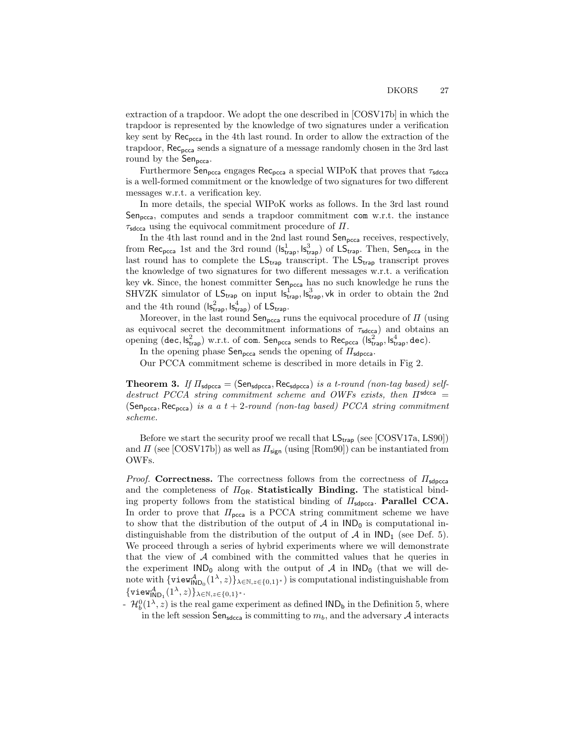extraction of a trapdoor. We adopt the one described in [COSV17b] in which the trapdoor is represented by the knowledge of two signatures under a verification key sent by  $\text{Rec}_{\text{pcca}}$  in the 4th last round. In order to allow the extraction of the trapdoor,  $\text{Rec}_{\text{pcca}}$  sends a signature of a message randomly chosen in the 3rd last round by the Sen<sub>pcca</sub>.

Furthermore  $\mathsf{Sen}_{\mathsf{pcca}}$  engages  $\mathsf{Rec}_{\mathsf{pcca}}$  a special WIPoK that proves that  $\tau_{\mathsf{sdcca}}$ is a well-formed commitment or the knowledge of two signatures for two different messages w.r.t. a verification key.

In more details, the special WIPoK works as follows. In the 3rd last round  $Sen<sub>pcca</sub>$ , computes and sends a trapdoor commitment com w.r.t. the instance  $\tau_{\text{sdcca}}$  using the equivocal commitment procedure of  $\Pi$ .

In the 4th last round and in the 2nd last round  $\text{Sen}_{\text{pcca}}$  receives, respectively, from Rec<sub>pcca</sub> 1st and the 3rd round  $(Is_{trap}^1, Is_{trap}^3)$  of  $LS_{trap}$ . Then, Sen<sub>pcca</sub> in the last round has to complete the  $LS_{trap}$  transcript. The  $LS_{trap}$  transcript proves the knowledge of two signatures for two different messages w.r.t. a verification key vk. Since, the honest committer  $\mathsf{Sen}_{\mathsf{pcca}}$  has no such knowledge he runs the SHVZK simulator of  $LS_{trap}$  on input  $ls_{trap}^1$ ,  $ls_{trap}^3$ ,  $vk$  in order to obtain the 2nd and the 4th round  $(\mathsf{Is}_{\mathsf{trap}}^2, \mathsf{Is}_{\mathsf{trap}}^4)$  of  $\mathsf{LS}_{\mathsf{trap}}$ .

Moreover, in the last round  $\mathsf{Sen}_{\mathsf{pcca}}$  runs the equivocal procedure of  $\Pi$  (using as equivocal secret the decommitment informations of  $\tau_{\text{sdcca}}$  and obtains an opening  $(\texttt{dec}, \textsf{ls}_{\textsf{trap}}^2)$  w.r.t. of com. Sen<sub>pcca</sub> sends to  $\textsf{Rec}_{\textsf{pcca}}$   $(\textsf{ls}_{\textsf{trap}}^2, \textsf{ls}_{\textsf{trap}}^4, \textsf{dec}).$ 

In the opening phase  $\mathsf{Sen}_{\mathsf{pcca}}$  sends the opening of  $\Pi_{\mathsf{sdpcca}}$ .

Our PCCA commitment scheme is described in more details in Fig 2.

**Theorem 3.** If  $\Pi_{\text{sdpcca}} = (\mathsf{Sen}_{\text{sdpcca}}, \mathsf{Rec}_{\text{sdpcca}})$  is a t-round (non-tag based) selfdestruct PCCA string commitment scheme and OWFs exists, then  $\Pi^{\mathsf{sdcca}} =$ (Sen<sub>pcca</sub>, Rec<sub>pcca</sub>) is a a t + 2-round (non-tag based) PCCA string commitment scheme.

Before we start the security proof we recall that  $\mathsf{LS}_{\mathsf{trap}}$  (see [COSV17a, LS90]) and  $\Pi$  (see [COSV17b]) as well as  $\Pi_{\text{sign}}$  (using [Rom90]) can be instantiated from OWFs.

*Proof.* Correctness. The correctness follows from the correctness of  $\Pi_{\text{sdpcca}}$ and the completeness of  $\Pi_{OR}$ . Statistically Binding. The statistical binding property follows from the statistical binding of  $\Pi_{\text{sqpcca}}$ . Parallel CCA. In order to prove that  $\Pi_{\text{pcca}}$  is a PCCA string commitment scheme we have to show that the distribution of the output of  $A$  in  $IND_0$  is computational indistinguishable from the distribution of the output of  $A$  in  $IND_1$  (see Def. 5). We proceed through a series of hybrid experiments where we will demonstrate that the view of  $A$  combined with the committed values that he queries in the experiment  $IND_0$  along with the output of A in  $IND_0$  (that we will denote with  $\{ {\tt view}^{\mathcal{A}}_{{\sf IND}_0}(1^\lambda,z)\}_{\lambda\in\mathbb{N}, z\in\{0,1\}^*})$  is computational indistinguishable from  $\{\texttt{view}_\mathsf{IND_1}^\mathcal{A}(1^\lambda,z)\}_{\lambda\in\mathbb{N},z\in\{0,1\}^*}.$ 

-  $\mathcal{H}_{b}^{0}(1^{\lambda}, z)$  is the real game experiment as defined  $\mathsf{IND}_{b}$  in the Definition 5, where in the left session Sen<sub>sdcca</sub> is committing to  $m_b$ , and the adversary A interacts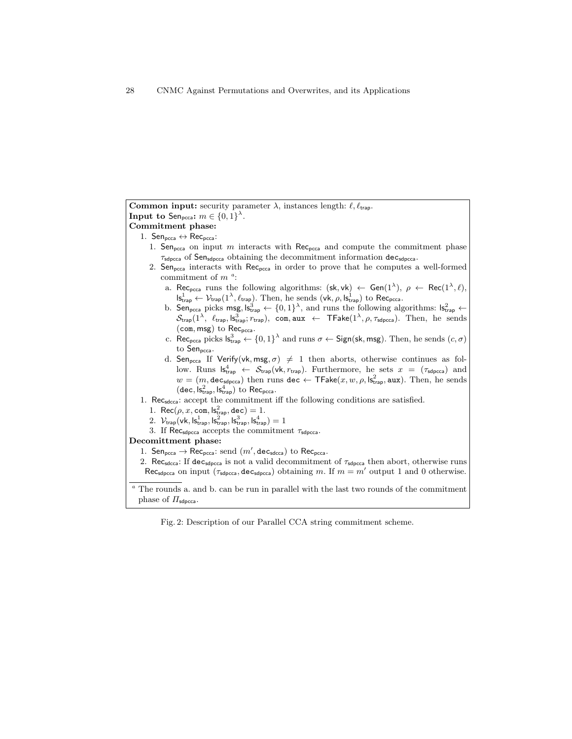**Common input:** security parameter  $\lambda$ , instances length:  $\ell$ ,  $\ell_{trap}$ . Input to Sen<sub>pcca</sub>:  $m \in \{0,1\}^{\lambda}$ . Commitment phase: 1. Sen<sub>pcca</sub>  $\leftrightarrow$  Rec<sub>pcca</sub>: 1. Sen<sub>pcca</sub> on input m interacts with  $\text{Rec}_{\text{pcca}}$  and compute the commitment phase  $\tau_{\text{sdpcca}}$  of Sen<sub>sdpcca</sub> obtaining the decommitment information dec<sub>sdpcca</sub>. 2.  $Sen_{pcca}$  interacts with  $Rec_{pcca}$  in order to prove that he computes a well-formed commitment of  $m<sup>a</sup>$ : a. Rec<sub>pcca</sub> runs the following algorithms:  $(\mathsf{sk}, \mathsf{vk}) \leftarrow \mathsf{Gen}(1^{\lambda}), \ \rho \leftarrow \mathsf{Rec}(1^{\lambda}, \ell),$  $\mathsf{Is}^1_{\mathsf{trap}} \leftarrow \mathcal{V}_{\mathsf{trap}}(1^\lambda, \ell_{\mathsf{trap}})$ . Then, he sends  $(\mathsf{vk}, \rho, \mathsf{Is}^1_{\mathsf{trap}})$  to Rec<sub>pcca</sub>. b. Sen<sub>pcca</sub> picks msg,  $\mathsf{ls}_{\text{trap}}^3 \leftarrow \{0,1\}^{\lambda}$ , and runs the following algorithms:  $\mathsf{ls}_{\text{trap}}^2 \leftarrow$  $\mathcal{S}_{trap}(1^{\lambda}, \ell_{trap}, \mathsf{Is}_{trap}^3; r_{trap}), \text{ com, aux } \leftarrow \mathsf{TFake}(1^{\lambda}, \rho, \tau_{sdpcca}). \text{ Then, he sends }$ (com, msg) to Rec<sub>pcca</sub>. c. Rec<sub>pcca</sub> picks  $\mathsf{ls}_{\text{trap}}^3 \leftarrow \{0,1\}^{\lambda}$  and runs  $\sigma \leftarrow \mathsf{Sign}(\mathsf{sk}, \mathsf{msg})$ . Then, he sends  $(c, \sigma)$ to Sen<sub>pcca</sub>. d. Sen<sub>pcca</sub> If Verify(vk, msg,  $\sigma$ )  $\neq$  1 then aborts, otherwise continues as follow. Runs  $\mathsf{ls}_{\text{trap}}^4 \leftarrow \mathcal{S}_{\text{trap}}(\mathsf{vk}, r_{\text{trap}})$ . Furthermore, he sets  $x = (\tau_{\text{sqpcca}})$  and  $w = (m, \texttt{dec}_{\texttt{sdpcca}})$  then runs  $\texttt{dec} \leftarrow \textsf{TFake}(x, w, \rho, \textsf{ls}_{\textsf{trap}}^2, \textsf{aux})$ . Then, he sends  $(\text{dec}, \text{Is}_{\text{trap}}^2, \text{Is}_{\text{trap}}^4)$  to  $\text{Rec}_{\text{pcca}}$ . 1.  $\text{Rec}_{\text{sdcca}}$ : accept the commitment iff the following conditions are satisfied. 1. Rec( $\rho$ , x, com,  $\mathsf{ls}_{\mathsf{trap}}^2$ , dec) = 1.  $2. \;\mathcal{V}_{\mathsf{trap}}(\mathsf{vk}, \mathsf{ls}_{\mathsf{trap}}^1, \mathsf{ls}_{\mathsf{trap}}^2, \mathsf{ls}_{\mathsf{trap}}^3, \mathsf{ls}_{\mathsf{trap}}^4) = 1$ 3. If  $\mathsf{Rec}_{\mathsf{sdpcca}}$  accepts the commitment  $\tau_{\mathsf{sdpcca}}$ . Decomittment phase: 1. Sen<sub>pcca</sub>  $\rightarrow$  Rec<sub>pcca</sub>: send  $(m', \text{dec}_{\text{sdcca}})$  to Rec<sub>pcca</sub>. 2. Rec<sub>sdcca</sub>: If dec<sub>sdpcca</sub> is not a valid decommitment of  $\tau_{\text{sdpcca}}$  then abort, otherwise runs Rec<sub>sdpcca</sub> on input  $(\tau_{\text{sqpcca}}, \text{dec}_{\text{sqpcca}})$  obtaining m. If  $m = m'$  output 1 and 0 otherwise.

 $^a$  The rounds a. and b. can be run in parallel with the last two rounds of the commitment phase of  $\Pi_{\text{sdpcca}}$ .

Fig. 2: Description of our Parallel CCA string commitment scheme.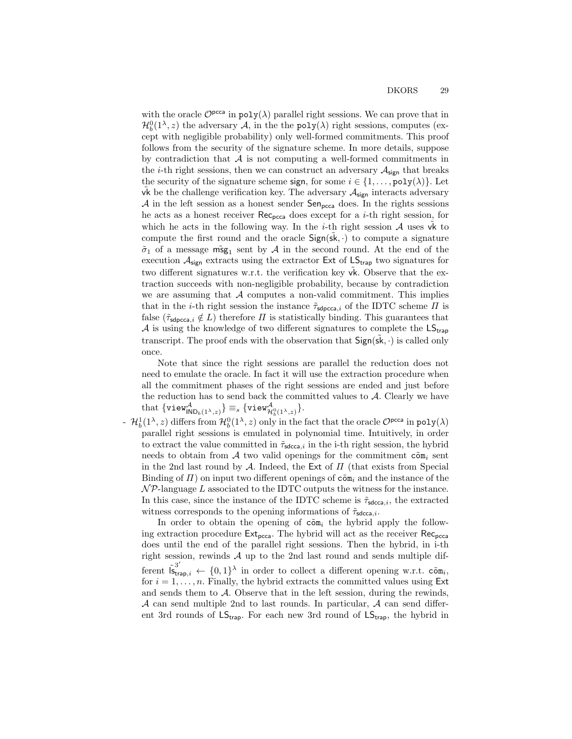with the oracle  $\mathcal{O}^{pcca}$  in  $\text{poly}(\lambda)$  parallel right sessions. We can prove that in  $\mathcal{H}_b^0(1^{\lambda}, z)$  the adversary  $\mathcal{A}$ , in the the poly $(\lambda)$  right sessions, computes (except with negligible probability) only well-formed commitments. This proof follows from the security of the signature scheme. In more details, suppose by contradiction that  $A$  is not computing a well-formed commitments in the *i*-th right sessions, then we can construct an adversary  $A_{sign}$  that breaks the security of the signature scheme sign, for some  $i \in \{1, \ldots, \text{poly}(\lambda)\}\)$ . Let vk be the challenge verification key. The adversary  $A_{sign}$  interacts adversary  $\mathcal A$  in the left session as a honest sender Sen<sub>pcca</sub> does. In the rights sessions he acts as a honest receiver  $\mathsf{Rec}_{\mathsf{pcca}}$  does except for a *i*-th right session, for which he acts in the following way. In the *i*-th right session  $A$  uses vk to compute the first round and the oracle  $Sign(\tilde{s}k, \cdot)$  to compute a signature  $\tilde{\sigma}_1$  of a message  $\tilde{\mathsf{msg}}_1$  sent by  $\mathcal A$  in the second round. At the end of the execution  $A_{sign}$  extracts using the extractor Ext of  $LS_{trap}$  two signatures for two different signatures w.r.t. the verification key vk. Observe that the extraction succeeds with non-negligible probability, because by contradiction we are assuming that  $A$  computes a non-valid commitment. This implies that in the *i*-th right session the instance  $\tilde{\tau}_{\text{sqpcca},i}$  of the IDTC scheme  $\Pi$  is false ( $\tilde{\tau}_{\text{sqpcca},i} \notin L$ ) therefore  $\Pi$  is statistically binding. This guarantees that A is using the knowledge of two different signatures to complete the  $LS_{trap}$ transcript. The proof ends with the observation that  $Sign(\tilde{sk}, \cdot)$  is called only once.

Note that since the right sessions are parallel the reduction does not need to emulate the oracle. In fact it will use the extraction procedure when all the commitment phases of the right sessions are ended and just before the reduction has to send back the committed values to  $A$ . Clearly we have that  $\{\mathsf{view}^{\mathcal{A}}_{\mathsf{IND}_b(1^\lambda,z)}\} \equiv_s \{\mathsf{view}^{\mathcal{A}}_{\mathcal{H}^0_b(1^\lambda,z)}\}.$ 

 $-\mathcal{H}^1_b(1^{\lambda}, z)$  differs from  $\mathcal{H}^0_b(1^{\lambda}, z)$  only in the fact that the oracle  $\mathcal{O}^{pcca}$  in  $\text{poly}(\lambda)$ parallel right sessions is emulated in polynomial time. Intuitively, in order to extract the value committed in  $\tilde{\tau}_{\text{sdcca},i}$  in the i-th right session, the hybrid needs to obtain from A two valid openings for the commitment  $\tilde{\text{com}}_i$  sent in the 2nd last round by  $\mathcal A$ . Indeed, the Ext of  $\Pi$  (that exists from Special Binding of  $\Pi$ ) on input two different openings of  $\tilde{\text{com}}_i$  and the instance of the  $\mathcal{NP}$ -language L associated to the IDTC outputs the witness for the instance. In this case, since the instance of the IDTC scheme is  $\tilde{\tau}_{\text{sdcca},i}$ , the extracted witness corresponds to the opening informations of  $\tilde{\tau}_{\text{sdcca}.i}$ .

In order to obtain the opening of  $\tilde{\text{com}}_i$  the hybrid apply the following extraction procedure  $Ext_{pcca}$ . The hybrid will act as the receiver  $Rec_{pcca}$ does until the end of the parallel right sessions. Then the hybrid, in i-th right session, rewinds  $A$  up to the 2nd last round and sends multiple different  $\tilde{\mathbf{s}}_{\text{trap},i}^{3'} \leftarrow \{0,1\}^{\lambda}$  in order to collect a different opening w.r.t.  $\tilde{\mathbf{c}}_{\text{imp},i}$ for  $i = 1, \ldots, n$ . Finally, the hybrid extracts the committed values using Ext and sends them to  $A$ . Observe that in the left session, during the rewinds,  $\mathcal A$  can send multiple 2nd to last rounds. In particular,  $\mathcal A$  can send different 3rd rounds of  $LS_{trap}$ . For each new 3rd round of  $LS_{trap}$ , the hybrid in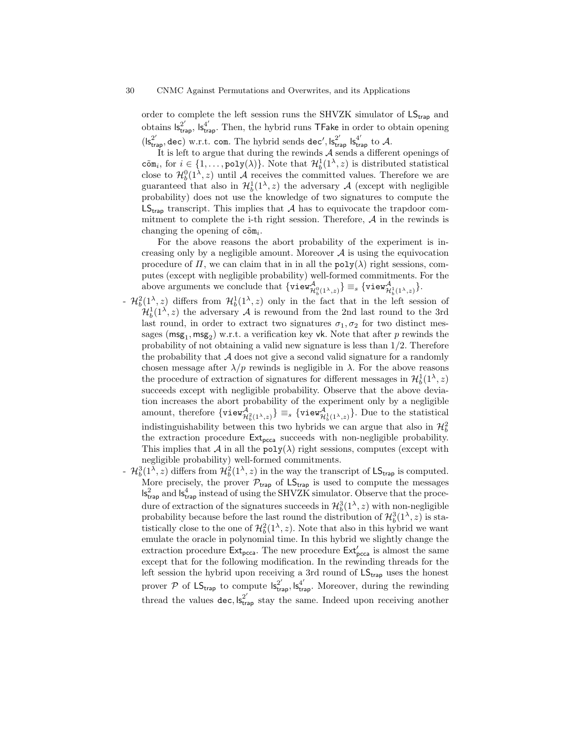order to complete the left session runs the SHVZK simulator of  $LS_{trap}$  and obtains  $\mathsf{ls}_{\mathsf{trap}}^{2'}$ ,  $\mathsf{ls}_{\mathsf{trap}}^{4'}$ . Then, the hybrid runs TFake in order to obtain opening  $(Is^{2'}_{trap}, dec)$  w.r.t. com. The hybrid sends dec',  $Is^{2'}_{trap}$   $Is^{4'}_{trap}$  to A.

It is left to argue that during the rewinds  $A$  sends a different openings of com<sub>*i*</sub>, for  $i \in \{1, ..., \text{poly}(\lambda)\}\$ . Note that  $\mathcal{H}_b^1(1^{\lambda}, z)$  is distributed statistical close to  $\mathcal{H}_b^0(1^{\lambda}, z)$  until A receives the committed values. Therefore we are guaranteed that also in  $\mathcal{H}_b^1(1^{\lambda}, z)$  the adversary  $\mathcal A$  (except with negligible probability) does not use the knowledge of two signatures to compute the  $LS<sub>trap</sub>$  transcript. This implies that A has to equivocate the trapdoor commitment to complete the i-th right session. Therefore,  $A$  in the rewinds is changing the opening of  $\tilde{\text{com}}_i$ .

For the above reasons the abort probability of the experiment is increasing only by a negligible amount. Moreover  $A$  is using the equivocation procedure of  $\Pi$ , we can claim that in in all the  $poly(\lambda)$  right sessions, computes (except with negligible probability) well-formed commitments. For the above arguments we conclude that  $\{\textsf{view}^{\mathcal{A}}_{\mathcal{H}^0_b(1^\lambda, z)}\} \equiv_s \{\textsf{view}^{\mathcal{A}}_{\mathcal{H}^1_b(1^\lambda, z)}\}.$ 

- $\mathcal{H}^2_b(1^{\lambda},z)$  differs from  $\mathcal{H}^1_b(1^{\lambda},z)$  only in the fact that in the left session of  $\mathcal{H}_b^1(1^{\lambda}, z)$  the adversary  $\mathcal A$  is rewound from the 2nd last round to the 3rd last round, in order to extract two signatures  $\sigma_1, \sigma_2$  for two distinct messages  $(\mathsf{msg}_1, \mathsf{msg}_2)$  w.r.t. a verification key vk. Note that after  $p$  rewinds the probability of not obtaining a valid new signature is less than 1/2. Therefore the probability that  $\mathcal A$  does not give a second valid signature for a randomly chosen message after  $\lambda/p$  rewinds is negligible in  $\lambda$ . For the above reasons the procedure of extraction of signatures for different messages in  $\mathcal{H}_b^1(1^{\lambda}, z)$ succeeds except with negligible probability. Observe that the above deviation increases the abort probability of the experiment only by a negligible amount, therefore  $\{ {\tt view}^{\mathcal{A}}_{{\mathcal{H}}^2_b(1^\lambda, z)} \} \equiv_s \{ {\tt view}^{\mathcal{A}}_{{\mathcal{H}}^1_b(1^\lambda, z)} \}.$  Due to the statistical indistinguishability between this two hybrids we can argue that also in  $\mathcal{H}^2_b$ the extraction procedure  $Ext_{\text{pcca}}$  succeeds with non-negligible probability. This implies that A in all the  $poly(\lambda)$  right sessions, computes (except with negligible probability) well-formed commitments.
- $-\mathcal{H}^3_b(1^{\lambda}, z)$  differs from  $\mathcal{H}^2_b(1^{\lambda}, z)$  in the way the transcript of  $\mathsf{LS}_{\mathsf{trap}}$  is computed. More precisely, the prover  $\mathcal{P}_{trap}$  of  $LS_{trap}$  is used to compute the messages  $\mathsf{ls}_{\mathsf{trap}}^2$  and  $\mathsf{ls}_{\mathsf{trap}}^4$  instead of using the SHVZK simulator. Observe that the procedure of extraction of the signatures succeeds in  $\mathcal{H}^3_b(1^\lambda, z)$  with non-negligible probability because before the last round the distribution of  $\mathcal{H}_b^3(1^{\lambda}, z)$  is statistically close to the one of  $\mathcal{H}^2_b(1^{\lambda}, z)$ . Note that also in this hybrid we want emulate the oracle in polynomial time. In this hybrid we slightly change the extraction procedure  $Ext_{\text{pcca}}$ . The new procedure  $Ext_{\text{pcca}}'$  is almost the same except that for the following modification. In the rewinding threads for the left session the hybrid upon receiving a 3rd round of  $LS_{trap}$  uses the honest prover P of  $LS_{trap}$  to compute  $ls_{trap}^{2'}$ ,  $ls_{trap}^{4'}$ . Moreover, during the rewinding thread the values  $\text{dec}, \text{ls}_{\text{trap}}^{2'}$  stay the same. Indeed upon receiving another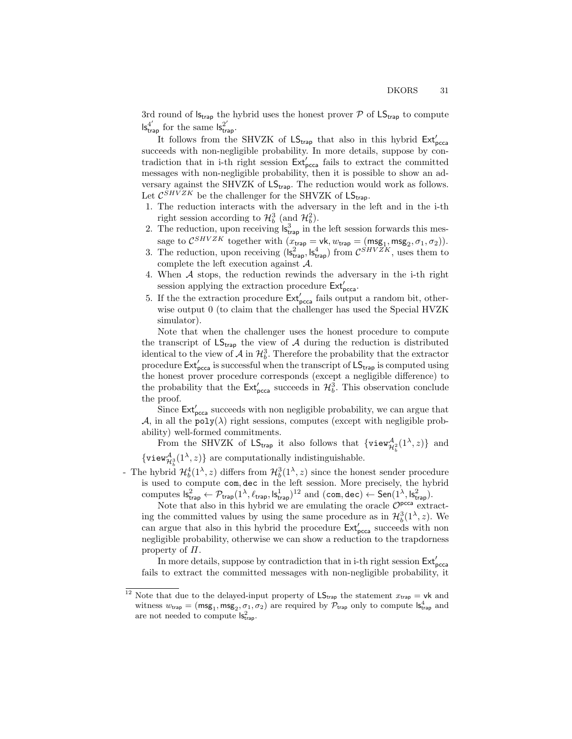3rd round of  $|s_{trap}$  the hybrid uses the honest prover  $P$  of  $LS_{trap}$  to compute  $\mathsf{ls}_{\mathsf{trap}}^{4'}$  for the same  $\mathsf{ls}_{\mathsf{trap}}^{2'}$ .

It follows from the SHVZK of  $LS_{trap}$  that also in this hybrid  $Ext'_{pcca}$ succeeds with non-negligible probability. In more details, suppose by contradiction that in i-th right session  $Ext'_{\text{pcca}}$  fails to extract the committed messages with non-negligible probability, then it is possible to show an adversary against the SHVZK of  $LS_{trap}$ . The reduction would work as follows. Let  $\mathcal{C}^{SHVZK}$  be the challenger for the SHVZK of  $\mathsf{LS}_{\mathsf{trap}}$ .

- 1. The reduction interacts with the adversary in the left and in the i-th right session according to  $\mathcal{H}^3_b$  (and  $\mathcal{H}^2_b$ ).
- 2. The reduction, upon receiving  $\mathbf{s}_{trap}^3$  in the left session forwards this message to  $\mathcal{C}^{SHVZK}$  together with  $(x_{\text{trap}} = \mathsf{vk}, w_{\text{trap}} = (\text{msg}_1, \text{msg}_2, \sigma_1, \sigma_2)).$
- 3. The reduction, upon receiving  $(\mathbf{ls}_{\text{trap}}^2, \mathbf{ls}_{\text{trap}}^4)$  from  $\mathcal{C}^{SHVZK}$ , uses them to complete the left execution against A.
- 4. When A stops, the reduction rewinds the adversary in the i-th right session applying the extraction procedure  $Ext'_{\text{pcca}}$ .
- 5. If the the extraction procedure  $\text{Ext}_{\text{pcca}}^{\prime}$  fails output a random bit, otherwise output 0 (to claim that the challenger has used the Special HVZK simulator).

Note that when the challenger uses the honest procedure to compute the transcript of  $LS_{trap}$  the view of A during the reduction is distributed identical to the view of  $\mathcal{A}$  in  $\mathcal{H}_{b}^{3}$ . Therefore the probability that the extractor procedure  $\textsf{Ext}^\prime_{\textsf{pcca}}$  is successful when the transcript of  $\textsf{LS}_{\textsf{trap}}$  is computed using the honest prover procedure corresponds (except a negligible difference) to the probability that the  $\text{Ext}_{\text{pcca}}'$  succeeds in  $\mathcal{H}_{b}^{3}$ . This observation conclude the proof.

Since  $\text{Ext}_{\text{pcca}}'$  succeeds with non negligible probability, we can argue that A, in all the  $poly(\lambda)$  right sessions, computes (except with negligible probability) well-formed commitments.

From the SHVZK of  $\mathsf{LS}_{\mathsf{trap}}$  it also follows that  $\{\mathsf{view}_{\mathcal{H}_b}^{\mathcal{A}}(1^{\lambda},z)\}\)$  and  $\{\mathsf{view}_{\mathcal{H}^3_b}^{\mathcal{A}}(1^\lambda, z)\}\$  are computationally indistinguishable.

The hybrid  $\mathcal{H}_b^4(1^{\lambda}, z)$  differs from  $\mathcal{H}_b^3(1^{\lambda}, z)$  since the honest sender procedure is used to compute com, dec in the left session. More precisely, the hybrid computes  $\mathsf{Is}_{\textsf{trap}}^2 \leftarrow \mathcal{P}_{\textsf{trap}}(1^\lambda, \ell_{\textsf{trap}}, \mathsf{Is}_{\textsf{trap}}^1)^{12}$  and  $(\textsf{com}, \textsf{dec}) \leftarrow \mathsf{Sen}(1^\lambda, \mathsf{Is}_{\textsf{trap}}^2)$ .

Note that also in this hybrid we are emulating the oracle  $\mathcal{O}^{pcca}$  extracting the committed values by using the same procedure as in  $\mathcal{H}_b^3(1^{\lambda}, z)$ . We can argue that also in this hybrid the procedure  $\text{Ext}_{\text{pcca}}^{\prime}$  succeeds with non negligible probability, otherwise we can show a reduction to the trapdorness property of  $\Pi$ .

In more details, suppose by contradiction that in i-th right session  $\mathsf{Ext}^{\prime}_{\mathsf{pcca}}$ fails to extract the committed messages with non-negligible probability, it

<sup>&</sup>lt;sup>12</sup> Note that due to the delayed-input property of  $LS_{trap}$  the statement  $x_{trap} = vk$  and witness  $w_{trap} = (msg_1, msg_2, \sigma_1, \sigma_2)$  are required by  $\mathcal{P}_{trap}$  only to compute  $ls_{trap}^4$  and are not needed to compute  $\mathsf{Is}^2_{\mathsf{trap}}$ .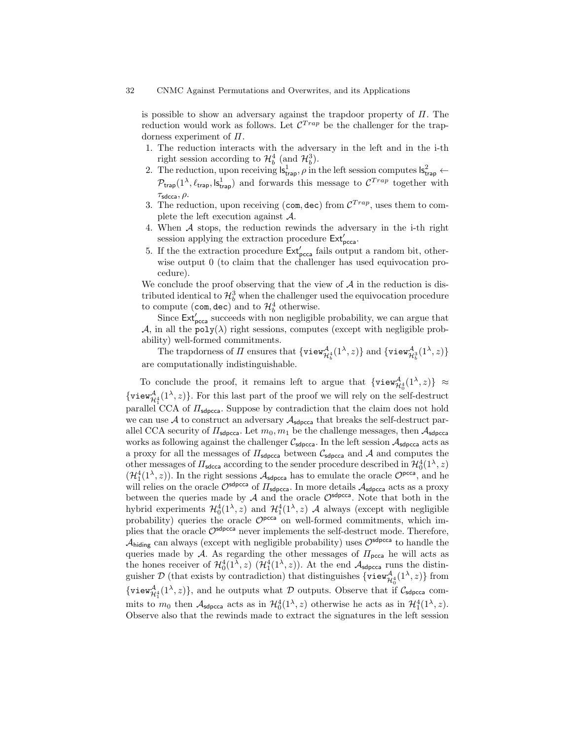is possible to show an adversary against the trapdoor property of  $\Pi$ . The reduction would work as follows. Let  $\mathcal{C}^{Trap}$  be the challenger for the trapdorness experiment of Π.

- 1. The reduction interacts with the adversary in the left and in the i-th right session according to  $\mathcal{H}^4_h$  (and  $\mathcal{H}^3_h$ ).
- between the reduction, upon receiving  $|s_{trap}^1$ ,  $\rho$  in the left session computes  $|s_{trap}^2$   $\leftarrow$  $\mathcal{P}_{trap}(1^{\lambda}, \ell_{trap}, \mathsf{ls}_{trap}^1)$  and forwards this message to  $\mathcal{C}^{Trap}$  together with  $\tau_{\text{sdcca}}, \rho$ .
- 3. The reduction, upon receiving (com, dec) from  $\mathcal{C}^{Trap}$ , uses them to complete the left execution against A.
- 4. When A stops, the reduction rewinds the adversary in the i-th right session applying the extraction procedure  $Ext'_{\text{pcca}}$ .
- 5. If the the extraction procedure  $\text{Ext}_{\text{pcca}}^{\prime}$  fails output a random bit, otherwise output 0 (to claim that the challenger has used equivocation procedure).

We conclude the proof observing that the view of  $A$  in the reduction is distributed identical to  $\mathcal{H}^3_b$  when the challenger used the equivocation procedure to compute (com, dec) and to  $\mathcal{H}^4_b$  otherwise.

Since  $\text{Ext}_{\text{pcca}}'$  succeeds with non negligible probability, we can argue that  $\mathcal{A}$ , in all the poly( $\lambda$ ) right sessions, computes (except with negligible probability) well-formed commitments.

The trapdorness of  $\Pi$  ensures that  $\{ {\tt view}^{\mathcal{A}}_{\mathcal{H}^4_b}(1^\lambda,z)\}$  and  $\{ {\tt view}^{\mathcal{A}}_{\mathcal{H}^3_b}(1^\lambda,z)\}$ are computationally indistinguishable.

To conclude the proof, it remains left to argue that  $\{view_{\mathcal{H}_0^4}^{\mathcal{A}}(1^{\lambda},z)\}\approx$  $\{\mathsf{view}^{\mathcal{A}}_{\mathcal{H}^4_1}(1^\lambda,z)\}\.$  For this last part of the proof we will rely on the self-destruct parallel CCA of  $\Pi_{\text{sdpcca}}$ . Suppose by contradiction that the claim does not hold we can use  $A$  to construct an adversary  $A_{\text{sdpcca}}$  that breaks the self-destruct parallel CCA security of  $\Pi_{\text{sqpcca}}$ . Let  $m_0, m_1$  be the challenge messages, then  $\mathcal{A}_{\text{sqpcca}}$ works as following against the challenger  $C_{\text{sdpcca}}$ . In the left session  $A_{\text{sdpcca}}$  acts as a proxy for all the messages of  $\Pi_{\text{sqpcca}}$  between  $C_{\text{sqpcca}}$  and A and computes the other messages of  $\Pi_{\mathsf{sdcca}}$  according to the sender procedure described in  $\mathcal{H}^4_0(1^\lambda,z)$  $(\mathcal{H}_1^4(1^{\lambda}, z))$ . In the right sessions  $\mathcal{A}_{\text{sdpcca}}$  has to emulate the oracle  $\mathcal{O}^{\text{pcca}}$ , and he will relies on the oracle  $\mathcal{O}^{\text{sdpcca}}$  of  $\Pi_{\text{sdpcca}}$ . In more details  $\mathcal{A}_{\text{sdpcca}}$  acts as a proxy between the queries made by  $A$  and the oracle  $\mathcal{O}^{\text{sdpcca}}$ . Note that both in the hybrid experiments  $\mathcal{H}_0^4(1^{\lambda}, z)$  and  $\mathcal{H}_1^4(1^{\lambda}, z)$  A always (except with negligible probability) queries the oracle  $\mathcal{O}^{pcca}$  on well-formed commitments, which implies that the oracle  $\mathcal{O}^{\text{sdpcca}}$  never implements the self-destruct mode. Therefore,  $\mathcal{A}_{\text{hiding}}$  can always (except with negligible probability) uses  $\mathcal{O}^{\text{sdpcca}}$  to handle the queries made by A. As regarding the other messages of  $\Pi_{\text{pcca}}$  he will acts as the hones receiver of  $\mathcal{H}^4_0(1^{\lambda}, z)$   $(\mathcal{H}^4_1(1^{\lambda}, z))$ . At the end  $\mathcal{A}_{\text{sdpcca}}$  runs the distinguisher  $\mathcal D$  (that exists by contradiction) that distinguishes  $\{ \mathtt{view}_{\mathcal H^4_0}(1^\lambda,z) \}$  from  $\{\text{view}_{\mathcal{H}_1^4}^{\mathcal{A}}(1^{\lambda},z)\}\$ , and he outputs what  $\mathcal D$  outputs. Observe that if  $\mathcal C_{\text{sdpcca}}$  commits to  $m_0$  then  $\mathcal{A}_{\text{sdpcca}}$  acts as in  $\mathcal{H}_0^4(1^{\lambda}, z)$  otherwise he acts as in  $\mathcal{H}_1^4(1^{\lambda}, z)$ . Observe also that the rewinds made to extract the signatures in the left session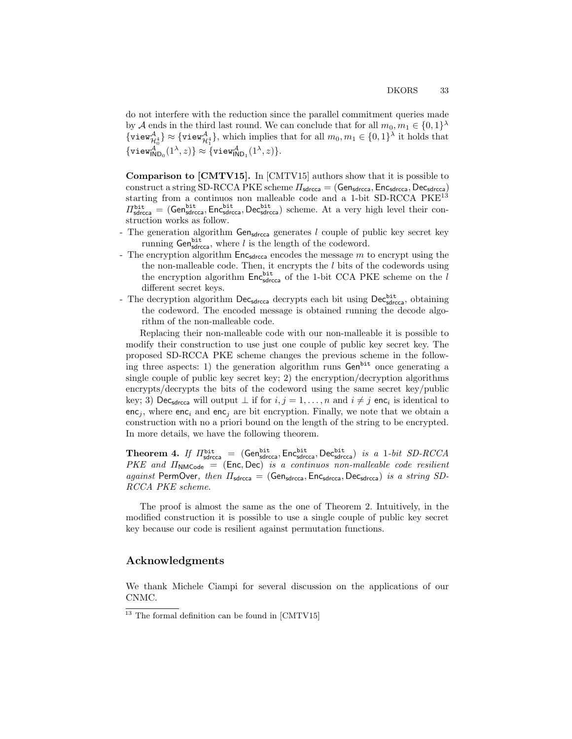do not interfere with the reduction since the parallel commitment queries made by A ends in the third last round. We can conclude that for all  $m_0, m_1 \in \{0, 1\}^{\lambda}$  $\{ {\tt view}^{\mathcal{A}}_{{\mathcal{H}}^4_0} \} \approx \{ {\tt view}^{\mathcal{A}}_{{\mathcal{H}}^4_1} \},$  which implies that for all  $m_0, m_1 \in \{0,1\}^{\lambda}$  it holds that  $\{\textsf{view}^{\mathcal{A}}_{\mathsf{IND}_0}(1^\lambda,z)\}\approx \{\textsf{view}^{\mathcal{A}}_{\mathsf{IND}_1}(1^\lambda,z)\}.$ 

Comparison to [CMTV15]. In [CMTV15] authors show that it is possible to construct a string SD-RCCA PKE scheme  $\Pi_{\text{sdrcca}} = (\mathsf{Gen}_{\text{sdrcca}}, \mathsf{Enc}_{\text{sdrcca}})$ starting from a continuos non malleable code and a 1-bit SD-RCCA PKE<sup>13</sup>  $\Pi^{\text{bit}}_{\text{sdrcca}} = (\text{Gen}_{\text{sdrcca}}^{\text{bit}}, \text{Enc}_{\text{sdrcca}}^{\text{bit}}, \text{Dec}_{\text{sdrcca}}^{\text{bit}})$  scheme. At a very high level their construction works as follow.

- The generation algorithm  $Gen_{sdrcca}$  generates l couple of public key secret key running  $Gen<sup>bit</sup><sub>sdrca</sub>$ , where l is the length of the codeword.
- The encryption algorithm  $Enc_{\text{sdrcca}}$  encodes the message  $m$  to encrypt using the the non-malleable code. Then, it encrypts the  $l$  bits of the codewords using the encryption algorithm  $Enc_{\text{sdrcca}}^{\text{bit}}$  of the 1-bit CCA PKE scheme on the l different secret keys.
- The decryption algorithm Dec<sub>sdrcca</sub> decrypts each bit using Dec<sup>bit</sup> obtaining the codeword. The encoded message is obtained running the decode algorithm of the non-malleable code.

Replacing their non-malleable code with our non-malleable it is possible to modify their construction to use just one couple of public key secret key. The proposed SD-RCCA PKE scheme changes the previous scheme in the following three aspects: 1) the generation algorithm runs  $Gen<sup>bit</sup>$  once generating a single couple of public key secret key; 2) the encryption/decryption algorithms encrypts/decrypts the bits of the codeword using the same secret key/public key; 3) Dec<sub>sdrcca</sub> will output  $\bot$  if for  $i, j = 1, \ldots, n$  and  $i \neq j$  enc<sub>i</sub> is identical to enc<sub>i</sub>, where enc<sub>i</sub> and enc<sub>i</sub> are bit encryption. Finally, we note that we obtain a construction with no a priori bound on the length of the string to be encrypted. In more details, we have the following theorem.

**Theorem 4.** If  $\Pi_{\text{sdrcca}}^{\text{bit}} = (\mathsf{Gen}_{\text{sdrcca}}^{\text{bit}}, \mathsf{Enc}_{\text{sdrcca}}^{\text{bit}}, \mathsf{Dec}_{\text{sdrcca}}^{\text{bit}})$  is a 1-bit SD-RCCA  $PKE$  and  $\Pi_{\text{NMCode}}$  = (Enc, Dec) is a continuos non-malleable code resilient against PermOver, then  $\Pi_{\text{sdrcca}} = (\mathsf{Gen}_{\text{sdrcca}}, \mathsf{Enc}_{\text{sdrcca}})$  is a string SD-RCCA PKE scheme.

The proof is almost the same as the one of Theorem 2. Intuitively, in the modified construction it is possible to use a single couple of public key secret key because our code is resilient against permutation functions.

# Acknowledgments

We thank Michele Ciampi for several discussion on the applications of our CNMC.

 $13$  The formal definition can be found in [CMTV15]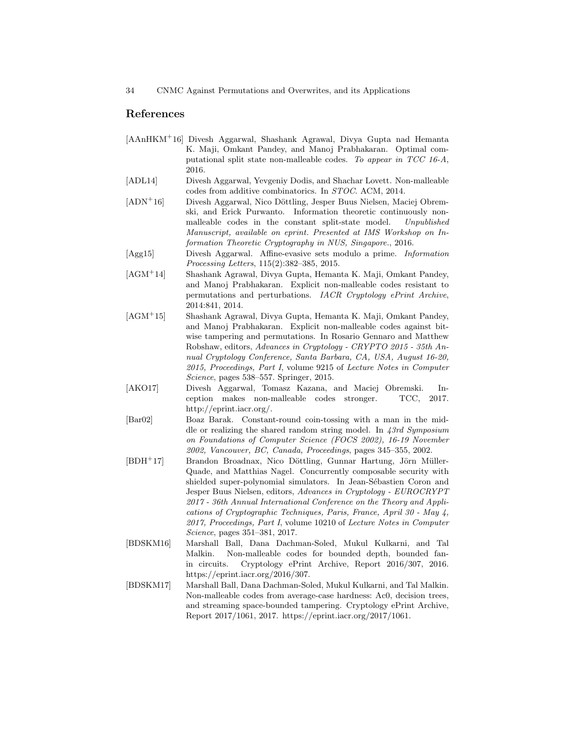# References

- [AAnHKM<sup>+</sup>16] Divesh Aggarwal, Shashank Agrawal, Divya Gupta nad Hemanta K. Maji, Omkant Pandey, and Manoj Prabhakaran. Optimal computational split state non-malleable codes. To appear in TCC 16-A, 2016.
- [ADL14] Divesh Aggarwal, Yevgeniy Dodis, and Shachar Lovett. Non-malleable codes from additive combinatorics. In STOC. ACM, 2014.
- $[ADN<sup>+</sup>16]$  Divesh Aggarwal, Nico Döttling, Jesper Buus Nielsen, Maciej Obremski, and Erick Purwanto. Information theoretic continuously nonmalleable codes in the constant split-state model. Unpublished Manuscript, available on eprint. Presented at IMS Workshop on Information Theoretic Cryptography in NUS, Singapore., 2016.
- [Agg15] Divesh Aggarwal. Affine-evasive sets modulo a prime. Information Processing Letters, 115(2):382–385, 2015.
- [AGM<sup>+</sup>14] Shashank Agrawal, Divya Gupta, Hemanta K. Maji, Omkant Pandey, and Manoj Prabhakaran. Explicit non-malleable codes resistant to permutations and perturbations. IACR Cryptology ePrint Archive, 2014:841, 2014.
- [AGM<sup>+</sup>15] Shashank Agrawal, Divya Gupta, Hemanta K. Maji, Omkant Pandey, and Manoj Prabhakaran. Explicit non-malleable codes against bitwise tampering and permutations. In Rosario Gennaro and Matthew Robshaw, editors, Advances in Cryptology - CRYPTO 2015 - 35th Annual Cryptology Conference, Santa Barbara, CA, USA, August 16-20, 2015, Proceedings, Part I, volume 9215 of Lecture Notes in Computer Science, pages 538–557. Springer, 2015.
- [AKO17] Divesh Aggarwal, Tomasz Kazana, and Maciej Obremski. Inception makes non-malleable codes stronger. TCC, 2017. http://eprint.iacr.org/.
- [Bar02] Boaz Barak. Constant-round coin-tossing with a man in the middle or realizing the shared random string model. In 43rd Symposium on Foundations of Computer Science (FOCS 2002), 16-19 November 2002, Vancouver, BC, Canada, Proceedings, pages 345–355, 2002.
- [BDH<sup>+</sup>17] Brandon Broadnax, Nico Döttling, Gunnar Hartung, Jörn Müller-Quade, and Matthias Nagel. Concurrently composable security with shielded super-polynomial simulators. In Jean-Sébastien Coron and Jesper Buus Nielsen, editors, Advances in Cryptology - EUROCRYPT 2017 - 36th Annual International Conference on the Theory and Applications of Cryptographic Techniques, Paris, France, April 30 - May 4, 2017, Proceedings, Part I, volume 10210 of Lecture Notes in Computer Science, pages 351–381, 2017.
- [BDSKM16] Marshall Ball, Dana Dachman-Soled, Mukul Kulkarni, and Tal Malkin. Non-malleable codes for bounded depth, bounded fanin circuits. Cryptology ePrint Archive, Report 2016/307, 2016. https://eprint.iacr.org/2016/307.
- [BDSKM17] Marshall Ball, Dana Dachman-Soled, Mukul Kulkarni, and Tal Malkin. Non-malleable codes from average-case hardness: Ac0, decision trees, and streaming space-bounded tampering. Cryptology ePrint Archive, Report 2017/1061, 2017. https://eprint.iacr.org/2017/1061.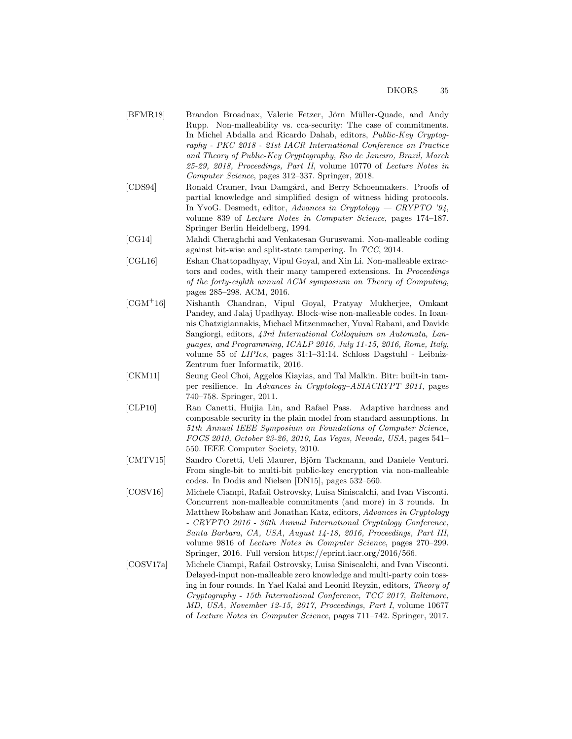- [BFMR18] Brandon Broadnax, Valerie Fetzer, Jörn Müller-Quade, and Andy Rupp. Non-malleability vs. cca-security: The case of commitments. In Michel Abdalla and Ricardo Dahab, editors, Public-Key Cryptography - PKC 2018 - 21st IACR International Conference on Practice and Theory of Public-Key Cryptography, Rio de Janeiro, Brazil, March 25-29, 2018, Proceedings, Part II, volume 10770 of Lecture Notes in Computer Science, pages 312–337. Springer, 2018.
- [CDS94] Ronald Cramer, Ivan Damgård, and Berry Schoenmakers. Proofs of partial knowledge and simplified design of witness hiding protocols. In YvoG. Desmedt, editor, Advances in Cryptology — CRYPTO '94, volume 839 of Lecture Notes in Computer Science, pages 174–187. Springer Berlin Heidelberg, 1994.
- [CG14] Mahdi Cheraghchi and Venkatesan Guruswami. Non-malleable coding against bit-wise and split-state tampering. In TCC, 2014.
- [CGL16] Eshan Chattopadhyay, Vipul Goyal, and Xin Li. Non-malleable extractors and codes, with their many tampered extensions. In Proceedings of the forty-eighth annual ACM symposium on Theory of Computing, pages 285–298. ACM, 2016.
- [CGM<sup>+</sup>16] Nishanth Chandran, Vipul Goyal, Pratyay Mukherjee, Omkant Pandey, and Jalaj Upadhyay. Block-wise non-malleable codes. In Ioannis Chatzigiannakis, Michael Mitzenmacher, Yuval Rabani, and Davide Sangiorgi, editors, 43rd International Colloquium on Automata, Languages, and Programming, ICALP 2016, July 11-15, 2016, Rome, Italy, volume 55 of *LIPIcs*, pages 31:1-31:14. Schloss Dagstuhl - Leibniz-Zentrum fuer Informatik, 2016.
- [CKM11] Seung Geol Choi, Aggelos Kiayias, and Tal Malkin. Bitr: built-in tamper resilience. In Advances in Cryptology–ASIACRYPT 2011, pages 740–758. Springer, 2011.
- [CLP10] Ran Canetti, Huijia Lin, and Rafael Pass. Adaptive hardness and composable security in the plain model from standard assumptions. In 51th Annual IEEE Symposium on Foundations of Computer Science, FOCS 2010, October 23-26, 2010, Las Vegas, Nevada, USA, pages 541– 550. IEEE Computer Society, 2010.
- [CMTV15] Sandro Coretti, Ueli Maurer, Björn Tackmann, and Daniele Venturi. From single-bit to multi-bit public-key encryption via non-malleable codes. In Dodis and Nielsen [DN15], pages 532–560.
- [COSV16] Michele Ciampi, Rafail Ostrovsky, Luisa Siniscalchi, and Ivan Visconti. Concurrent non-malleable commitments (and more) in 3 rounds. In Matthew Robshaw and Jonathan Katz, editors, Advances in Cryptology - CRYPTO 2016 - 36th Annual International Cryptology Conference, Santa Barbara, CA, USA, August 14-18, 2016, Proceedings, Part III, volume 9816 of Lecture Notes in Computer Science, pages 270–299. Springer, 2016. Full version https://eprint.iacr.org/2016/566.
- [COSV17a] Michele Ciampi, Rafail Ostrovsky, Luisa Siniscalchi, and Ivan Visconti. Delayed-input non-malleable zero knowledge and multi-party coin tossing in four rounds. In Yael Kalai and Leonid Reyzin, editors, Theory of Cryptography - 15th International Conference, TCC 2017, Baltimore, MD, USA, November 12-15, 2017, Proceedings, Part I, volume 10677 of Lecture Notes in Computer Science, pages 711–742. Springer, 2017.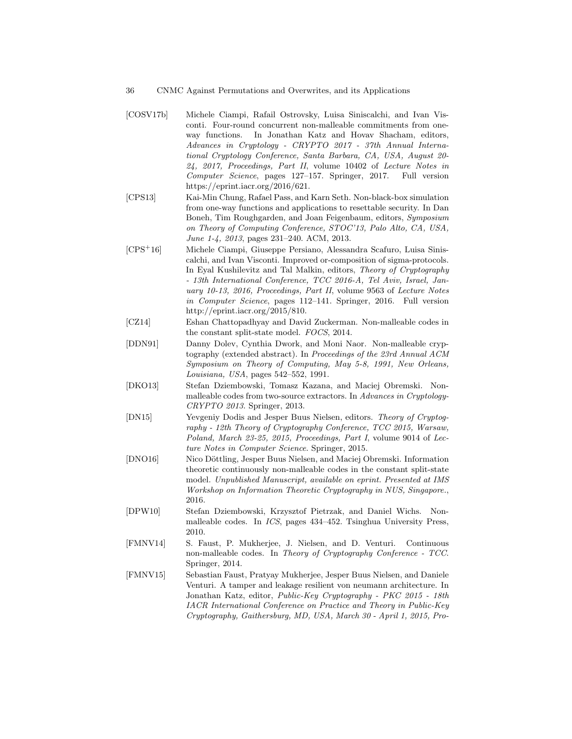- 36 CNMC Against Permutations and Overwrites, and its Applications
- [COSV17b] Michele Ciampi, Rafail Ostrovsky, Luisa Siniscalchi, and Ivan Visconti. Four-round concurrent non-malleable commitments from oneway functions. In Jonathan Katz and Hovav Shacham, editors, Advances in Cryptology - CRYPTO 2017 - 37th Annual International Cryptology Conference, Santa Barbara, CA, USA, August 20- 24, 2017, Proceedings, Part II, volume 10402 of Lecture Notes in Computer Science, pages 127–157. Springer, 2017. Full version https://eprint.iacr.org/2016/621.
- [CPS13] Kai-Min Chung, Rafael Pass, and Karn Seth. Non-black-box simulation from one-way functions and applications to resettable security. In Dan Boneh, Tim Roughgarden, and Joan Feigenbaum, editors, Symposium on Theory of Computing Conference, STOC'13, Palo Alto, CA, USA, June 1-4, 2013, pages 231–240. ACM, 2013.
- [CPS<sup>+</sup>16] Michele Ciampi, Giuseppe Persiano, Alessandra Scafuro, Luisa Siniscalchi, and Ivan Visconti. Improved or-composition of sigma-protocols. In Eyal Kushilevitz and Tal Malkin, editors, Theory of Cryptography - 13th International Conference, TCC 2016-A, Tel Aviv, Israel, January 10-13, 2016, Proceedings, Part II, volume 9563 of Lecture Notes in Computer Science, pages 112–141. Springer, 2016. Full version http://eprint.iacr.org/2015/810.
- [CZ14] Eshan Chattopadhyay and David Zuckerman. Non-malleable codes in the constant split-state model. FOCS, 2014.
- [DDN91] Danny Dolev, Cynthia Dwork, and Moni Naor. Non-malleable cryptography (extended abstract). In Proceedings of the 23rd Annual ACM Symposium on Theory of Computing, May 5-8, 1991, New Orleans, Louisiana, USA, pages 542–552, 1991.
- [DKO13] Stefan Dziembowski, Tomasz Kazana, and Maciej Obremski. Nonmalleable codes from two-source extractors. In Advances in Cryptology-CRYPTO 2013. Springer, 2013.
- [DN15] Yevgeniy Dodis and Jesper Buus Nielsen, editors. Theory of Cryptography - 12th Theory of Cryptography Conference, TCC 2015, Warsaw, Poland, March 23-25, 2015, Proceedings, Part I, volume 9014 of Lecture Notes in Computer Science. Springer, 2015.
- [DNO16] Nico Döttling, Jesper Buus Nielsen, and Maciej Obremski. Information theoretic continuously non-malleable codes in the constant split-state model. Unpublished Manuscript, available on eprint. Presented at IMS Workshop on Information Theoretic Cryptography in NUS, Singapore., 2016.
- [DPW10] Stefan Dziembowski, Krzysztof Pietrzak, and Daniel Wichs. Nonmalleable codes. In ICS, pages 434–452. Tsinghua University Press, 2010.
- [FMNV14] S. Faust, P. Mukherjee, J. Nielsen, and D. Venturi. Continuous non-malleable codes. In Theory of Cryptography Conference - TCC. Springer, 2014.
- [FMNV15] Sebastian Faust, Pratyay Mukherjee, Jesper Buus Nielsen, and Daniele Venturi. A tamper and leakage resilient von neumann architecture. In Jonathan Katz, editor, Public-Key Cryptography - PKC 2015 - 18th IACR International Conference on Practice and Theory in Public-Key Cryptography, Gaithersburg, MD, USA, March 30 - April 1, 2015, Pro-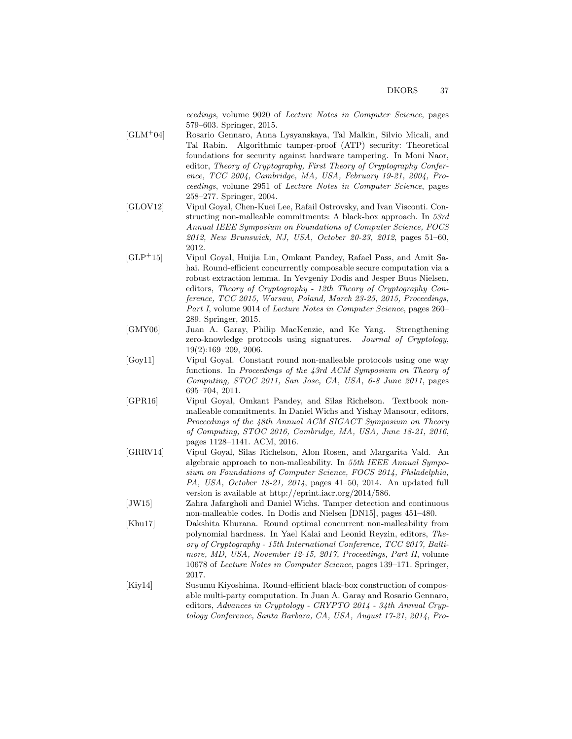ceedings, volume 9020 of Lecture Notes in Computer Science, pages 579–603. Springer, 2015.

- [GLM<sup>+</sup>04] Rosario Gennaro, Anna Lysyanskaya, Tal Malkin, Silvio Micali, and Tal Rabin. Algorithmic tamper-proof (ATP) security: Theoretical foundations for security against hardware tampering. In Moni Naor, editor, Theory of Cryptography, First Theory of Cryptography Conference, TCC 2004, Cambridge, MA, USA, February 19-21, 2004, Proceedings, volume 2951 of Lecture Notes in Computer Science, pages 258–277. Springer, 2004.
- [GLOV12] Vipul Goyal, Chen-Kuei Lee, Rafail Ostrovsky, and Ivan Visconti. Constructing non-malleable commitments: A black-box approach. In 53rd Annual IEEE Symposium on Foundations of Computer Science, FOCS 2012, New Brunswick, NJ, USA, October 20-23, 2012, pages 51–60, 2012.
- [GLP<sup>+</sup>15] Vipul Goyal, Huijia Lin, Omkant Pandey, Rafael Pass, and Amit Sahai. Round-efficient concurrently composable secure computation via a robust extraction lemma. In Yevgeniy Dodis and Jesper Buus Nielsen, editors, Theory of Cryptography - 12th Theory of Cryptography Conference, TCC 2015, Warsaw, Poland, March 23-25, 2015, Proceedings, Part I, volume 9014 of Lecture Notes in Computer Science, pages 260– 289. Springer, 2015.
- [GMY06] Juan A. Garay, Philip MacKenzie, and Ke Yang. Strengthening zero-knowledge protocols using signatures. Journal of Cryptology, 19(2):169–209, 2006.
- [Goy11] Vipul Goyal. Constant round non-malleable protocols using one way functions. In Proceedings of the 43rd ACM Symposium on Theory of Computing, STOC 2011, San Jose, CA, USA, 6-8 June 2011, pages 695–704, 2011.
- [GPR16] Vipul Goyal, Omkant Pandey, and Silas Richelson. Textbook nonmalleable commitments. In Daniel Wichs and Yishay Mansour, editors, Proceedings of the 48th Annual ACM SIGACT Symposium on Theory of Computing, STOC 2016, Cambridge, MA, USA, June 18-21, 2016, pages 1128–1141. ACM, 2016.
- [GRRV14] Vipul Goyal, Silas Richelson, Alon Rosen, and Margarita Vald. An algebraic approach to non-malleability. In 55th IEEE Annual Symposium on Foundations of Computer Science, FOCS 2014, Philadelphia, PA, USA, October 18-21, 2014, pages 41–50, 2014. An updated full version is available at http://eprint.iacr.org/2014/586.
- [JW15] Zahra Jafargholi and Daniel Wichs. Tamper detection and continuous non-malleable codes. In Dodis and Nielsen [DN15], pages 451–480.
- [Khu17] Dakshita Khurana. Round optimal concurrent non-malleability from polynomial hardness. In Yael Kalai and Leonid Reyzin, editors, Theory of Cryptography - 15th International Conference, TCC 2017, Baltimore, MD, USA, November 12-15, 2017, Proceedings, Part II, volume 10678 of Lecture Notes in Computer Science, pages 139–171. Springer, 2017.
- [Kiy14] Susumu Kiyoshima. Round-efficient black-box construction of composable multi-party computation. In Juan A. Garay and Rosario Gennaro, editors, Advances in Cryptology - CRYPTO 2014 - 34th Annual Cryptology Conference, Santa Barbara, CA, USA, August 17-21, 2014, Pro-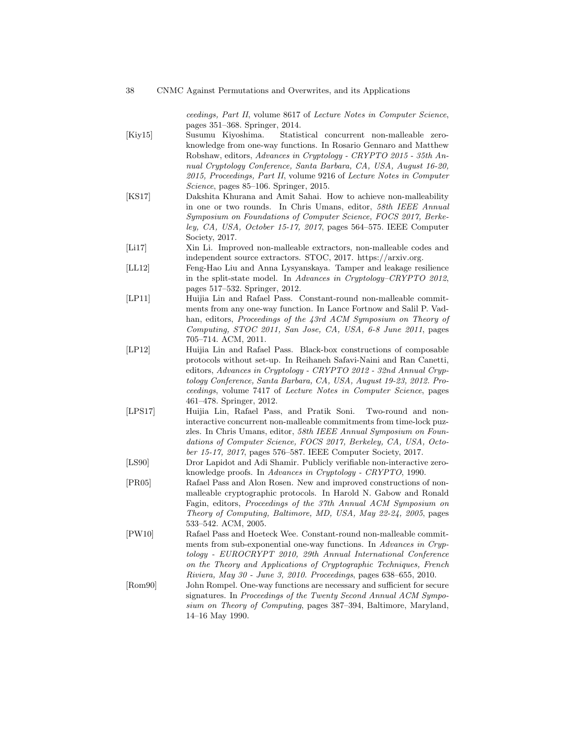ceedings, Part II, volume 8617 of Lecture Notes in Computer Science, pages 351–368. Springer, 2014.

- [Kiy15] Susumu Kiyoshima. Statistical concurrent non-malleable zeroknowledge from one-way functions. In Rosario Gennaro and Matthew Robshaw, editors, Advances in Cryptology - CRYPTO 2015 - 35th Annual Cryptology Conference, Santa Barbara, CA, USA, August 16-20, 2015, Proceedings, Part II, volume 9216 of Lecture Notes in Computer Science, pages 85–106. Springer, 2015.
- [KS17] Dakshita Khurana and Amit Sahai. How to achieve non-malleability in one or two rounds. In Chris Umans, editor, 58th IEEE Annual Symposium on Foundations of Computer Science, FOCS 2017, Berkeley, CA, USA, October 15-17, 2017, pages 564–575. IEEE Computer Society, 2017.
- [Li17] Xin Li. Improved non-malleable extractors, non-malleable codes and independent source extractors. STOC, 2017. https://arxiv.org.
- [LL12] Feng-Hao Liu and Anna Lysyanskaya. Tamper and leakage resilience in the split-state model. In Advances in Cryptology–CRYPTO 2012, pages 517–532. Springer, 2012.
- [LP11] Huijia Lin and Rafael Pass. Constant-round non-malleable commitments from any one-way function. In Lance Fortnow and Salil P. Vadhan, editors, Proceedings of the 43rd ACM Symposium on Theory of Computing, STOC 2011, San Jose, CA, USA, 6-8 June 2011, pages 705–714. ACM, 2011.
- [LP12] Huijia Lin and Rafael Pass. Black-box constructions of composable protocols without set-up. In Reihaneh Safavi-Naini and Ran Canetti, editors, Advances in Cryptology - CRYPTO 2012 - 32nd Annual Cryptology Conference, Santa Barbara, CA, USA, August 19-23, 2012. Proceedings, volume 7417 of Lecture Notes in Computer Science, pages 461–478. Springer, 2012.
- [LPS17] Huijia Lin, Rafael Pass, and Pratik Soni. Two-round and noninteractive concurrent non-malleable commitments from time-lock puzzles. In Chris Umans, editor, 58th IEEE Annual Symposium on Foundations of Computer Science, FOCS 2017, Berkeley, CA, USA, October 15-17, 2017, pages 576–587. IEEE Computer Society, 2017.
- [LS90] Dror Lapidot and Adi Shamir. Publicly verifiable non-interactive zeroknowledge proofs. In Advances in Cryptology - CRYPTO, 1990.
- [PR05] Rafael Pass and Alon Rosen. New and improved constructions of nonmalleable cryptographic protocols. In Harold N. Gabow and Ronald Fagin, editors, Proceedings of the 37th Annual ACM Symposium on Theory of Computing, Baltimore, MD, USA, May 22-24, 2005, pages 533–542. ACM, 2005.
- [PW10] Rafael Pass and Hoeteck Wee. Constant-round non-malleable commitments from sub-exponential one-way functions. In Advances in Cryptology - EUROCRYPT 2010, 29th Annual International Conference on the Theory and Applications of Cryptographic Techniques, French Riviera, May 30 - June 3, 2010. Proceedings, pages 638–655, 2010.
- [Rom90] John Rompel. One-way functions are necessary and sufficient for secure signatures. In Proceedings of the Twenty Second Annual ACM Symposium on Theory of Computing, pages 387–394, Baltimore, Maryland, 14–16 May 1990.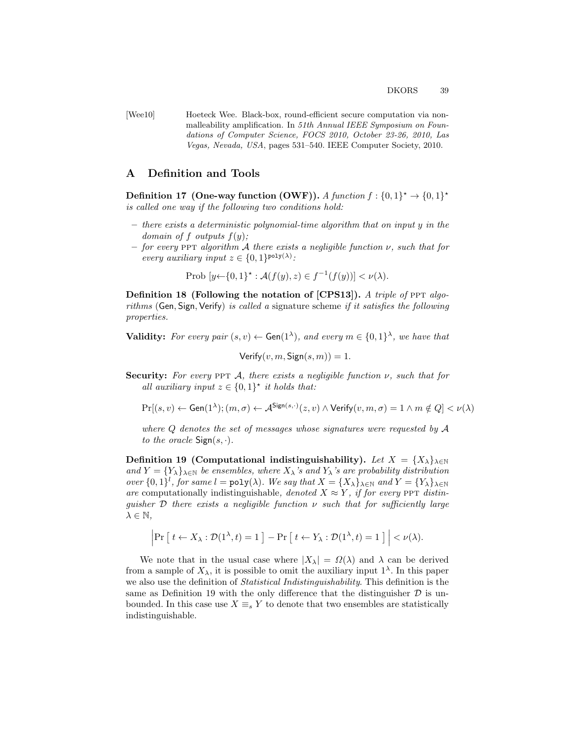[Wee10] Hoeteck Wee. Black-box, round-efficient secure computation via nonmalleability amplification. In 51th Annual IEEE Symposium on Foundations of Computer Science, FOCS 2010, October 23-26, 2010, Las Vegas, Nevada, USA, pages 531–540. IEEE Computer Society, 2010.

# A Definition and Tools

Definition 17 (One-way function (OWF)). A function  $f: \{0,1\}^* \rightarrow \{0,1\}^*$ is called one way if the following two conditions hold:

- there exists a deterministic polynomial-time algorithm that on input y in the domain of f outputs  $f(y)$ ;
- $-$  for every PPT algorithm A there exists a negligible function  $\nu$ , such that for every auxiliary input  $z \in \{0,1\}^{\text{poly}(\lambda)}$ :

Prob  $[y \leftarrow \{0, 1\}^* : \mathcal{A}(f(y), z) \in f^{-1}(f(y)) < \nu(\lambda).$ 

Definition 18 (Following the notation of [CPS13]). A triple of PPT algorithms (Gen, Sign, Verify) is called a signature scheme if it satisfies the following properties.

**Validity:** For every pair  $(s, v) \leftarrow$  Gen $(1^{\lambda})$ , and every  $m \in \{0, 1\}^{\lambda}$ , we have that

$$
Verify(v, m, Sign(s, m)) = 1.
$$

Security: For every PPT A, there exists a negligible function  $\nu$ , such that for all auxiliary input  $z \in \{0,1\}^{\star}$  it holds that:

$$
\Pr[(s,v) \leftarrow \text{Gen}(1^{\lambda}); (m,\sigma) \leftarrow \mathcal{A}^{\text{Sign}(s,\cdot)}(z,v) \land \text{Verify}(v,m,\sigma) = 1 \land m \notin Q] < \nu(\lambda)
$$

where  $Q$  denotes the set of messages whose signatures were requested by  $\mathcal A$ to the oracle  $Sign(s, \cdot)$ .

Definition 19 (Computational indistinguishability). Let  $X = \{X_{\lambda}\}_{{\lambda \in \mathbb{N}}}$ and  $Y = \{Y_{\lambda}\}_{{\lambda \in \mathbb{N}}}$  be ensembles, where  $X_{\lambda}$ 's and  $Y_{\lambda}$ 's are probability distribution over  $\{0,1\}^l$ , for same  $l = \text{poly}(\lambda)$ . We say that  $X = \{X_{\lambda}\}_{\lambda \in \mathbb{N}}$  and  $Y = \{Y_{\lambda}\}_{\lambda \in \mathbb{N}}$ are computationally indistinguishable, denoted  $X \approx Y$ , if for every PPT distinquisher D there exists a negligible function  $\nu$  such that for sufficiently large  $\lambda \in \mathbb{N},$ 

$$
\left|\Pr\left[\;t\leftarrow X_{\lambda}:\mathcal{D}(1^{\lambda},t)=1\;\right]-\Pr\left[\;t\leftarrow Y_{\lambda}:\mathcal{D}(1^{\lambda},t)=1\;\right]\;\right|<\nu(\lambda).
$$

We note that in the usual case where  $|X_\lambda| = \Omega(\lambda)$  and  $\lambda$  can be derived from a sample of  $X_{\lambda}$ , it is possible to omit the auxiliary input  $1^{\lambda}$ . In this paper we also use the definition of Statistical Indistinguishability. This definition is the same as Definition 19 with the only difference that the distinguisher  $\mathcal D$  is unbounded. In this case use  $X \equiv_s Y$  to denote that two ensembles are statistically indistinguishable.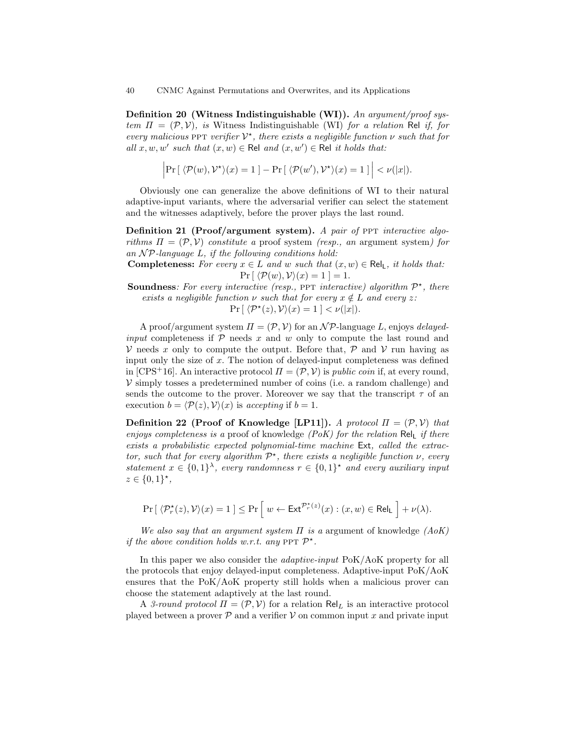Definition 20 (Witness Indistinguishable (WI)). An argument/proof system  $\Pi = (\mathcal{P}, \mathcal{V})$ , is Witness Indistinguishable (WI) for a relation Rel if, for every malicious PPT verifier  $\mathcal{V}^*$ , there exists a negligible function  $\nu$  such that for all  $x, w, w'$  such that  $(x, w) \in \mathsf{Rel}$  and  $(x, w') \in \mathsf{Rel}$  it holds that:

$$
\left|\Pr\left[\ \langle \mathcal{P}(w), \mathcal{V}^{\star}\rangle(x) = 1\right] - \Pr\left[\ \langle \mathcal{P}(w'), \mathcal{V}^{\star}\rangle(x) = 1\right]\right| < \nu(|x|).
$$

Obviously one can generalize the above definitions of WI to their natural adaptive-input variants, where the adversarial verifier can select the statement and the witnesses adaptively, before the prover plays the last round.

Definition 21 (Proof/argument system). A pair of PPT interactive algorithms  $\Pi = (\mathcal{P}, \mathcal{V})$  constitute a proof system (resp., an argument system) for an  $\mathcal{NP}\text{-}language$  L, if the following conditions hold:

**Completeness:** For every  $x \in L$  and w such that  $(x, w) \in Rel_1$ , it holds that:  $Pr[\langle \mathcal{P}(w), \mathcal{V} \rangle | x] = 1] = 1.$ 

**Soundness:** For every interactive (resp., PPT interactive) algorithm  $\mathcal{P}^{\star}$ , there exists a negligible function  $\nu$  such that for every  $x \notin L$  and every z:  $\Pr\left[\langle \mathcal{P}^\star(z), \mathcal{V} \rangle(x) = 1 \right] < \nu(|x|).$ 

A proof/argument system  $\Pi = (\mathcal{P}, \mathcal{V})$  for an  $\mathcal{NP}$ -language L, enjoys delayedinput completeness if  $P$  needs  $x$  and  $w$  only to compute the last round and  $V$  needs x only to compute the output. Before that, P and V run having as input only the size of  $x$ . The notion of delayed-input completeness was defined in [CPS<sup>+</sup>16]. An interactive protocol  $\Pi = (\mathcal{P}, \mathcal{V})$  is *public coin* if, at every round,  $V$  simply tosses a predetermined number of coins (i.e. a random challenge) and sends the outcome to the prover. Moreover we say that the transcript  $\tau$  of an execution  $b = \langle \mathcal{P}(z), \mathcal{V} \rangle(x)$  is accepting if  $b = 1$ .

Definition 22 (Proof of Knowledge [LP11]). A protocol  $\Pi = (\mathcal{P}, \mathcal{V})$  that enjoys completeness is a proof of knowledge (PoK) for the relation Rel<sub>L</sub> if there exists a probabilistic expected polynomial-time machine Ext, called the extractor, such that for every algorithm  $\mathcal{P}^*$ , there exists a negligible function  $\nu$ , every statement  $x \in \{0,1\}^{\lambda}$ , every randomness  $r \in \{0,1\}^{\star}$  and every auxiliary input  $z \in \{0,1\}^{\star},$ 

$$
\Pr\left[\ \langle \mathcal{P}_r^\star(z), \mathcal{V} \rangle(x) = 1 \ \right] \le \Pr\left[\ w \leftarrow \mathsf{Ext}^{\mathcal{P}_r^\star(z)}(x) : (x, w) \in \mathsf{Rel}_L \right] + \nu(\lambda).
$$

We also say that an argument system  $\Pi$  is a argument of knowledge  $(AoK)$ if the above condition holds w.r.t. any PPT  $\mathcal{P}^*$ .

In this paper we also consider the *adaptive-input* PoK/AoK property for all the protocols that enjoy delayed-input completeness. Adaptive-input PoK/AoK ensures that the PoK/AoK property still holds when a malicious prover can choose the statement adaptively at the last round.

A 3-round protocol  $\Pi = (\mathcal{P}, \mathcal{V})$  for a relation  $\text{Rel}_L$  is an interactive protocol played between a prover  $P$  and a verifier  $V$  on common input x and private input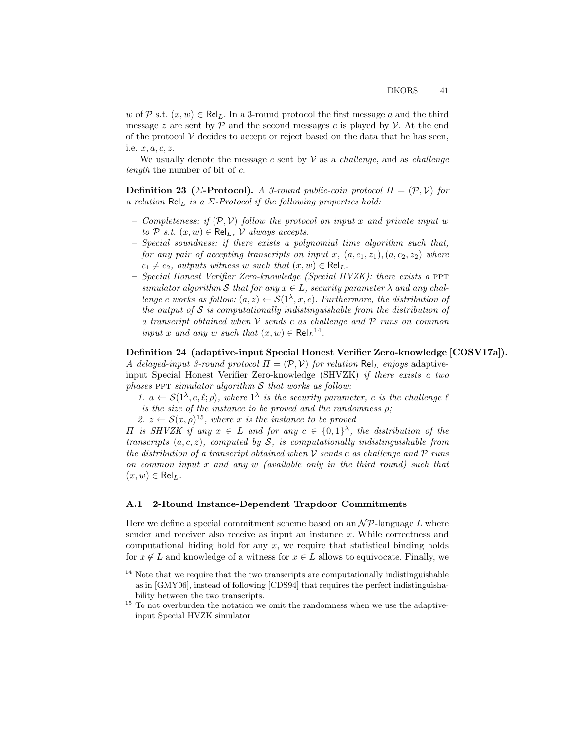w of P s.t.  $(x, w) \in \text{Rel}_L$ . In a 3-round protocol the first message a and the third message z are sent by  $\mathcal P$  and the second messages c is played by  $\mathcal V$ . At the end of the protocol  $V$  decides to accept or reject based on the data that he has seen, i.e.  $x, a, c, z$ .

We usually denote the message c sent by  $V$  as a challenge, and as challenge length the number of bit of c.

Definition 23 (Σ-Protocol). A 3-round public-coin protocol  $\Pi = (\mathcal{P}, \mathcal{V})$  for a relation  $\text{Rel}_L$  is a  $\Sigma$ -Protocol if the following properties hold:

- Completeness: if  $(\mathcal{P}, \mathcal{V})$  follow the protocol on input x and private input w to P s.t.  $(x, w) \in \text{Rel}_L$ , V always accepts.
- $-$  Special soundness: if there exists a polynomial time algorithm such that, for any pair of accepting transcripts on input x,  $(a, c_1, z_1), (a, c_2, z_2)$  where  $c_1 \neq c_2$ , outputs witness w such that  $(x, w) \in \text{Rel}_L$ .
- $-$  Special Honest Verifier Zero-knowledge (Special HVZK): there exists a PPT simulator algorithm S that for any  $x \in L$ , security parameter  $\lambda$  and any challenge c works as follow:  $(a, z) \leftarrow \mathcal{S}(1^{\lambda}, x, c)$ . Furthermore, the distribution of the output of  $S$  is computationally indistinguishable from the distribution of a transcript obtained when  $V$  sends c as challenge and  $P$  runs on common input x and any w such that  $(x, w) \in \text{Rel}_L^{14}$ .

#### Definition 24 (adaptive-input Special Honest Verifier Zero-knowledge [COSV17a]).

A delayed-input 3-round protocol  $\Pi = (\mathcal{P}, \mathcal{V})$  for relation  $\text{Rel}_L$  enjoys adaptiveinput Special Honest Verifier Zero-knowledge (SHVZK) if there exists a two phases PPT simulator algorithm  $S$  that works as follow:

1.  $a \leftarrow \mathcal{S}(1^{\lambda}, c, \ell; \rho)$ , where  $1^{\lambda}$  is the security parameter, c is the challenge  $\ell$ is the size of the instance to be proved and the randomness  $\rho$ ;

2.  $z \leftarrow \mathcal{S}(x,\rho)^{15}$ , where x is the instance to be proved.

 $\Pi$  is SHVZK if any  $x \in L$  and for any  $c \in \{0,1\}^{\lambda}$ , the distribution of the transcripts  $(a, c, z)$ , computed by S, is computationally indistinguishable from the distribution of a transcript obtained when  $\mathcal V$  sends c as challenge and  $\mathcal P$  runs on common input x and any w (available only in the third round) such that  $(x, w) \in \text{Rel}_L$ .

#### A.1 2-Round Instance-Dependent Trapdoor Commitments

Here we define a special commitment scheme based on an  $\mathcal{NP}$ -language L where sender and receiver also receive as input an instance  $x$ . While correctness and computational hiding hold for any  $x$ , we require that statistical binding holds for  $x \notin L$  and knowledge of a witness for  $x \in L$  allows to equivocate. Finally, we

 $14$  Note that we require that the two transcripts are computationally indistinguishable as in [GMY06], instead of following [CDS94] that requires the perfect indistinguishability between the two transcripts.

 $15$  To not overburden the notation we omit the randomness when we use the adaptiveinput Special HVZK simulator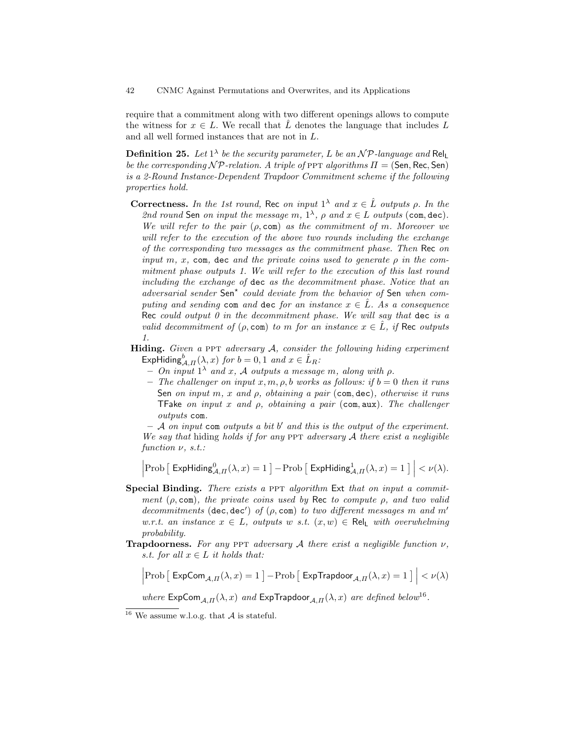require that a commitment along with two different openings allows to compute the witness for  $x \in L$ . We recall that L denotes the language that includes L and all well formed instances that are not in L.

**Definition 25.** Let  $1^{\lambda}$  be the security parameter, L be an NP-language and Rel<sub>L</sub> be the corresponding  $\mathcal{NP}$ -relation. A triple of PPT algorithms  $\Pi = (\mathsf{Sen}, \mathsf{Rec}, \mathsf{Sen})$ is a 2-Round Instance-Dependent Trapdoor Commitment scheme if the following properties hold.

- **Correctness.** In the 1st round, Rec on input  $1^{\lambda}$  and  $x \in \hat{L}$  outputs  $\rho$ . In the 2nd round Sen on input the message m,  $1^{\lambda}$ ,  $\rho$  and  $x \in L$  outputs (com, dec). We will refer to the pair  $(\rho, \text{com})$  as the commitment of m. Moreover we will refer to the execution of the above two rounds including the exchange of the corresponding two messages as the commitment phase. Then Rec on input m, x, com, dec and the private coins used to generate  $\rho$  in the commitment phase outputs 1. We will refer to the execution of this last round including the exchange of dec as the decommitment phase. Notice that an adversarial sender  $\mathsf{Sen}^*$  could deviate from the behavior of  $\mathsf{Sen}$  when computing and sending com and dec for an instance  $x \in \hat{L}$ . As a consequence Rec could output  $\theta$  in the decommitment phase. We will say that dec is a valid decommitment of  $(\rho, \text{com})$  to m for an instance  $x \in \hat{L}$ , if Rec outputs 1.
- Hiding. Given a PPT adversary A, consider the following hiding experiment ExpHiding  $_{A, H}^{b}(\lambda, x)$  for  $b = 0, 1$  and  $x \in \hat{L}_R$ :
	- $-$  On input  $1^{\lambda}$  and x, A outputs a message m, along with  $\rho$ .
	- The challenger on input  $x, m, \rho, b$  works as follows: if  $b = 0$  then it runs Sen on input m, x and  $\rho$ , obtaining a pair (com, dec), otherwise it runs TFake on input x and  $\rho$ , obtaining a pair (com, aux). The challenger outputs com.

 $-$  A on input com outputs a bit b' and this is the output of the experiment. We say that hiding holds if for any  $PPT$  adversary  $A$  there exist a negligible function  $\nu$ , s.t.:

$$
\left|\text{Prob}\left[\text{ ExpHiding}_{\mathcal{A},\Pi}^0(\lambda,x)=1\right]-\text{Prob}\left[\text{ ExpHiding}_{\mathcal{A},\Pi}^1(\lambda,x)=1\right]\right| < \nu(\lambda).
$$

- Special Binding. There exists a PPT algorithm Ext that on input a commitment ( $\rho$ , com), the private coins used by Rec to compute  $\rho$ , and two valid decommitments (dec, dec') of  $(\rho, \text{com})$  to two different messages m and m' w.r.t. an instance  $x \in L$ , outputs w s.t.  $(x, w) \in \mathsf{Rel}_L$  with overwhelming probability.
- **Trapdoorness.** For any PPT adversary A there exist a negligible function  $\nu$ , s.t. for all  $x \in L$  it holds that:

 $\left|\text{Prob}\left[\text{ExpCom}_{\mathcal{A},\Pi}(\lambda,x)=1\right.\right]-\text{Prob}\left[\text{ExpTrapdoor}_{\mathcal{A},\Pi}(\lambda,x)=1\right]\right| < \nu(\lambda)$ 

where  $\textsf{ExpCom}_{\mathcal{A},\Pi}(\lambda,x)$  and  $\textsf{ExpTrapdoor}_{\mathcal{A},\Pi}(\lambda,x)$  are defined below<sup>16</sup>.

 $^{16}$  We assume w.l.o.g. that  $\mathcal A$  is stateful.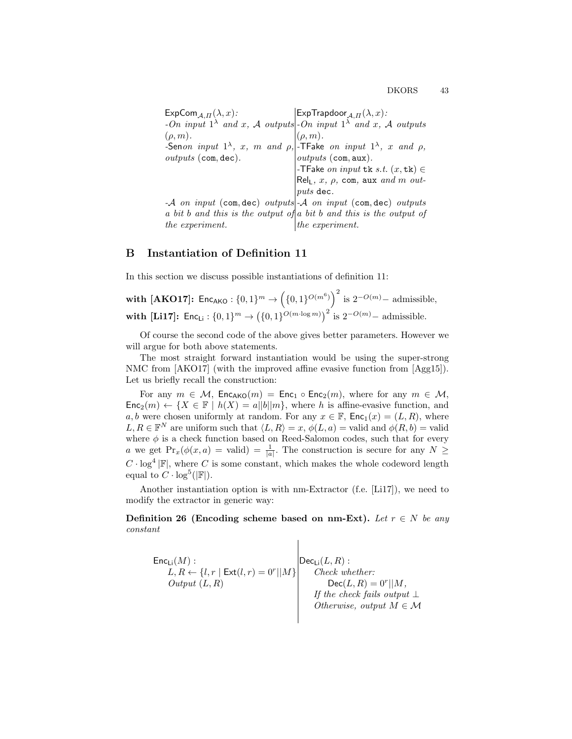| $\mathsf{ExpCom}_{\mathcal{A},\Pi}(\lambda,x)$ : | $\big $ ExpTrapdoor $\mathcal{A}, \Pi(\lambda, x)$ :                                                                                                                                                                                         |
|--------------------------------------------------|----------------------------------------------------------------------------------------------------------------------------------------------------------------------------------------------------------------------------------------------|
|                                                  | ExpCom <sub>A,<math>\Pi</math></sub> ( $\lambda$ , $x$ ):<br>-On input $1^{\lambda}$ and $x$ , $A$ outputs $\begin{bmatrix}$ ExpTrapdoor <sub>A,<math>\Pi</math></sub> ( $\lambda$ , $x$ ):<br>-On input $1^{\lambda}$ and $x$ , $A$ outputs |
| $(\rho, m)$ .                                    | $ (\rho,m) $ .                                                                                                                                                                                                                               |
|                                                  | -Senon input $1^{\lambda}$ , x, m and $\rho$ , TFake on input $1^{\lambda}$ , x and $\rho$ ,                                                                                                                                                 |
| $outputs$ (com, dec).                            | $outputs$ (com, aux).                                                                                                                                                                                                                        |
|                                                  | -TFake on input tk s.t. $(x,tk) \in$                                                                                                                                                                                                         |
|                                                  | $\mathsf{Rel}_L, x, \rho, \mathsf{com}, \mathsf{aux} \text{ and } m \text{ out-}$                                                                                                                                                            |
|                                                  | $puts$ dec.                                                                                                                                                                                                                                  |
|                                                  | -A on input (com, dec) outputs -A on input (com, dec) outputs                                                                                                                                                                                |
|                                                  | $a$ bit $b$ and this is the output of $a$ bit $b$ and this is the output of                                                                                                                                                                  |
| the experiment.                                  | the experiment.                                                                                                                                                                                                                              |

### B Instantiation of Definition 11

In this section we discuss possible instantiations of definition 11:

with **[AKO17]:** Enc<sub>AKO</sub> : 
$$
\{0,1\}^m \rightarrow \left(\{0,1\}^{O(m^6)}\right)^2
$$
 is  $2^{-O(m)} -$  admissible,  
with **[Li17]:** Enc<sub>Li</sub> :  $\{0,1\}^m \rightarrow \left(\{0,1\}^{O(m \cdot \log m)}\right)^2$  is  $2^{-O(m)} -$  admissible.

Of course the second code of the above gives better parameters. However we will argue for both above statements.

The most straight forward instantiation would be using the super-strong NMC from [AKO17] (with the improved affine evasive function from [Agg15]). Let us briefly recall the construction:

For any  $m \in \mathcal{M}$ ,  $Enc_{AKO}(m) = Enc_1 \circ Enc_2(m)$ , where for any  $m \in \mathcal{M}$ ,  $\mathsf{Enc}_2(m) \leftarrow \{ X \in \mathbb{F} \mid h(X) = a ||b|| m \}$ , where h is affine-evasive function, and a, b were chosen uniformly at random. For any  $x \in \mathbb{F}$ ,  $\mathsf{Enc}_1(x) = (L, R)$ , where  $L, R \in \mathbb{F}^N$  are uniform such that  $\langle L, R \rangle = x$ ,  $\phi(L, a) =$  valid and  $\phi(R, b) =$  valid where  $\phi$  is a check function based on Reed-Salomon codes, such that for every a we get  $Pr_x(\phi(x, a) = \text{valid}) = \frac{1}{|a|}$ . The construction is secure for any  $N \geq$  $C \cdot \log^4 |\mathbb{F}|$ , where C is some constant, which makes the whole codeword length equal to  $C \cdot \log^5(|\mathbb{F}|)$ .

Another instantiation option is with nm-Extractor (f.e. [Li17]), we need to modify the extractor in generic way:

Definition 26 (Encoding scheme based on nm-Ext). Let  $r \in N$  be any constant

 $\mathsf{Enc}_{\mathsf{Li}}(M):$  $L, R \leftarrow \{l, r \mid \text{Ext}(l, r) = 0^r || M \}$ Output  $(L, R)$  $\mathsf{Dec}_{\mathsf{Li}}(L,R):$ Check whether:  $Dec(L, R) = 0^r || M,$ If the check fails output  $\perp$ Otherwise, output  $M \in \mathcal{M}$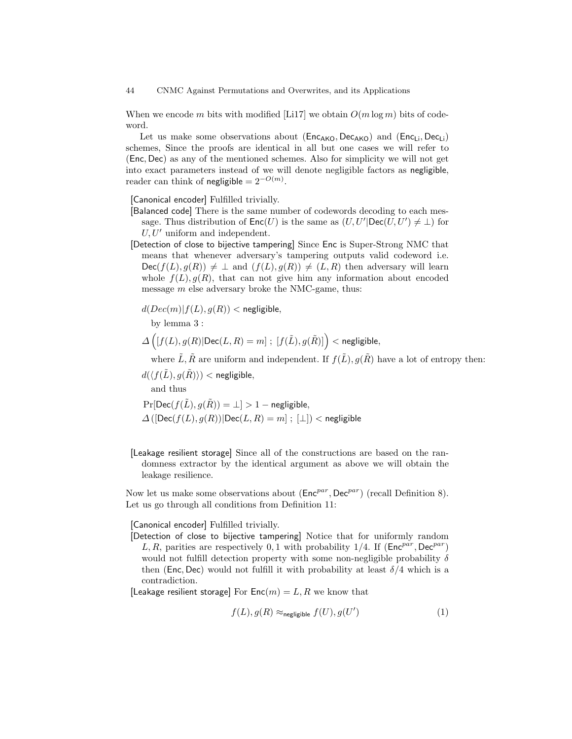When we encode m bits with modified [Li17] we obtain  $O(m \log m)$  bits of codeword.

Let us make some observations about  $(Enc_{AKO}, Dec_{AKO})$  and  $(Enc_{Li}, Dec_{Li})$ schemes, Since the proofs are identical in all but one cases we will refer to (Enc, Dec) as any of the mentioned schemes. Also for simplicity we will not get into exact parameters instead of we will denote negligible factors as negligible, reader can think of negligible =  $2^{-O(m)}$ .

[Canonical encoder] Fulfilled trivially.

- [Balanced code] There is the same number of codewords decoding to each message. Thus distribution of  $\mathsf{Enc}(U)$  is the same as  $(U, U') \mathsf{Dec}(U, U') \neq \bot$  for  $U, U'$  uniform and independent.
- [Detection of close to bijective tampering] Since Enc is Super-Strong NMC that means that whenever adversary's tampering outputs valid codeword i.e.  $Dec(f(L), g(R)) \neq \perp$  and  $(f(L), g(R)) \neq (L, R)$  then adversary will learn whole  $f(L)$ ,  $g(R)$ , that can not give him any information about encoded message  $m$  else adversary broke the NMC-game, thus:
	- $d(Dec(m)|f(L), g(R))$  < negligible,

by lemma 3 :

 $\Delta \left( [f(L),g(R)|\mathsf{Dec}(L,R) = m] ~;~ [f(\tilde{L}),g(\tilde{R})] \right) < \mathsf{negligible},$ 

where  $\tilde{L}, \tilde{R}$  are uniform and independent. If  $f(\tilde{L}), g(\tilde{R})$  have a lot of entropy then:

 $d(\langle f(\tilde{L}), g(\tilde{R})\rangle) <$  negligible,

and thus

 $Pr[Dec(f(\tilde{L}), g(\tilde{R})) = \perp] > 1 -$  negligible,

 $\Delta$  ( $[Dec(f(L), g(R))|Dec(L, R) = m$ ];  $[\bot]$ ) < negligible

[Leakage resilient storage] Since all of the constructions are based on the randomness extractor by the identical argument as above we will obtain the leakage resilience.

Now let us make some observations about  $(Enc<sup>par</sup>, Dec<sup>par</sup>)$  (recall Definition 8). Let us go through all conditions from Definition 11:

# [Canonical encoder] Fulfilled trivially.

[Detection of close to bijective tampering] Notice that for uniformly random L, R, parities are respectively 0, 1 with probability 1/4. If  $(\text{Enc}^{par}, \text{Dec}^{par})$ would not fulfill detection property with some non-negligible probability  $\delta$ then (Enc, Dec) would not fulfill it with probability at least  $\delta/4$  which is a contradiction.

[Leakage resilient storage] For  $Enc(m) = L, R$  we know that

$$
f(L), g(R) \approx_{\text{negligible}} f(U), g(U')
$$
 (1)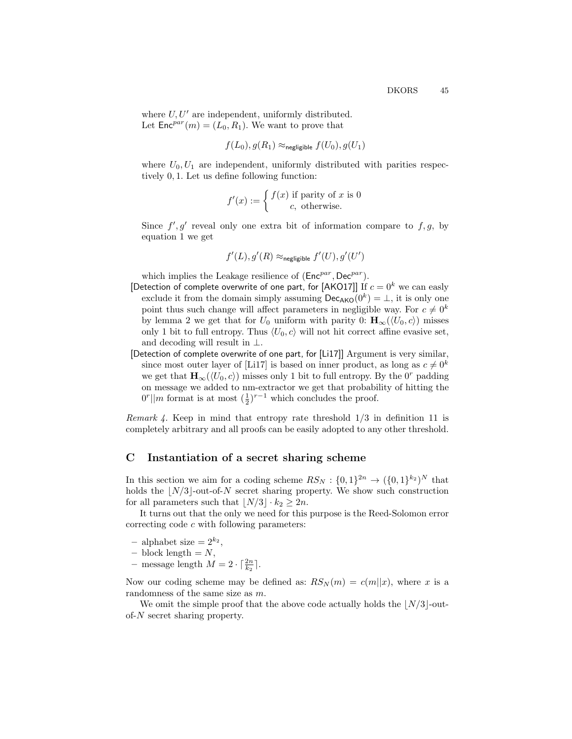where  $U, U'$  are independent, uniformly distributed. Let  $\mathsf{Enc}^{par}(m) = (L_0, R_1)$ . We want to prove that

$$
f(L_0), g(R_1) \approx_{\text{negligible}} f(U_0), g(U_1)
$$

where  $U_0, U_1$  are independent, uniformly distributed with parities respectively 0, 1. Let us define following function:

$$
f'(x) := \begin{cases} f(x) & \text{if parity of } x \text{ is 0} \\ c, & \text{otherwise.} \end{cases}
$$

Since  $f', g'$  reveal only one extra bit of information compare to  $f, g$ , by equation 1 we get

$$
f'(L), g'(R) \approx_{\text{negligible}} f'(U), g'(U')
$$

which implies the Leakage resilience of  $(Enc<sup>par</sup>, Dec<sup>par</sup>)$ .

- [Detection of complete overwrite of one part, for [AKO17]] If  $c = 0^k$  we can easly exclude it from the domain simply assuming  $\mathsf{Dec}_{\mathsf{AKO}}(0^k) = \perp$ , it is only one point thus such change will affect parameters in negligible way. For  $c \neq 0^k$ by lemma 2 we get that for  $U_0$  uniform with parity 0:  $\mathbf{H}_{\infty}(\langle U_0, c \rangle)$  misses only 1 bit to full entropy. Thus  $\langle U_0, c \rangle$  will not hit correct affine evasive set, and decoding will result in  $\perp$ .
- [Detection of complete overwrite of one part, for [Li17]] Argument is very similar, since most outer layer of [Li17] is based on inner product, as long as  $c \neq 0^k$ we get that  $\mathbf{H}_{\infty}(\langle U_0, c \rangle)$  misses only 1 bit to full entropy. By the 0<sup>r</sup> padding on message we added to nm-extractor we get that probability of hitting the  $0^r \mid m$  format is at most  $(\frac{1}{2})^{r-1}$  which concludes the proof.

Remark 4. Keep in mind that entropy rate threshold 1/3 in definition 11 is completely arbitrary and all proofs can be easily adopted to any other threshold.

# C Instantiation of a secret sharing scheme

In this section we aim for a coding scheme  $RS_N: \{0,1\}^{2n} \to (\{0,1\}^{k_2})^N$  that holds the  $|N/3|$ -out-of-N secret sharing property. We show such construction for all parameters such that  $|N/3| \cdot k_2 \geq 2n$ .

It turns out that the only we need for this purpose is the Reed-Solomon error correcting code c with following parameters:

- alphabet size =  $2^{k_2}$ ,
- block length  $=N$ ,
- message length  $M = 2 \cdot \lceil \frac{2n}{k_2} \rceil$ .

Now our coding scheme may be defined as:  $RS_N(m) = c(m||x)$ , where x is a randomness of the same size as m.

We omit the simple proof that the above code actually holds the  $\lfloor N/3 \rfloor$ -outof-N secret sharing property.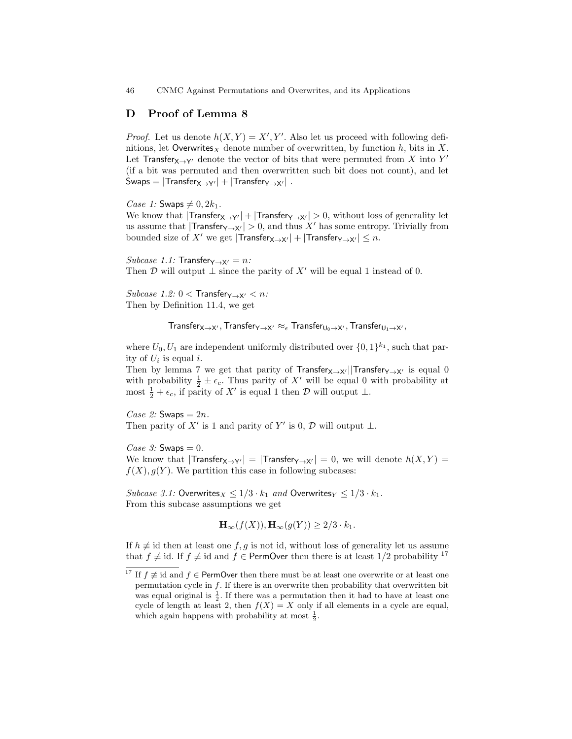# D Proof of Lemma 8

*Proof.* Let us denote  $h(X, Y) = X', Y'$ . Also let us proceed with following definitions, let Overwrites<sub>X</sub> denote number of overwritten, by function  $h$ , bits in X. Let Transfer<sub>X→Y'</sub> denote the vector of bits that were permuted from X into Y' (if a bit was permuted and then overwritten such bit does not count), and let Swaps =  $|Transfer_{X\rightarrow Y'}| + |Transfer_{Y\rightarrow X'}|$ .

Case 1: Swaps  $\neq 0, 2k_1$ .

We know that  $|Transfer_{X\rightarrow Y'}| + |Transfer_{Y\rightarrow X'}| > 0$ , without loss of generality let us assume that  $|Transferv_{\rightarrow X'}| > 0$ , and thus X' has some entropy. Trivially from bounded size of X' we get  $|Transf_{\text{ex}}\rightarrow x'| + |Transf_{\text{ex}}\rightarrow x'| \leq n$ .

Subcase 1.1: Transfer $y\rightarrow x'=n$ : Then  $\mathcal D$  will output  $\perp$  since the parity of X' will be equal 1 instead of 0.

Subcase 1.2:  $0 <$  Transfer $y \rightarrow x' < n$ : Then by Definition 11.4, we get

Transfer<sub>X→X'</sub>, Transfer<sub>Y→X'</sub>  $\approx_{\epsilon}$  Transfer<sub>U<sub>0→X'</sub>, Transfer<sub>U<sub>1→X'</sub>,</sub></sub>

where  $U_0, U_1$  are independent uniformly distributed over  $\{0, 1\}^{k_1}$ , such that parity of  $U_i$  is equal i.

Then by lemma 7 we get that parity of  $Transf$ er $\chi \rightarrow \chi$ <sup>0</sup> ||Transfer $\chi \rightarrow \chi$ <sup>0</sup> is equal 0 with probability  $\frac{1}{2} \pm \epsilon_c$ . Thus parity of X' will be equal 0 with probability at most  $\frac{1}{2} + \epsilon_c$ , if parity of X' is equal 1 then D will output  $\perp$ .

Case 2: Swaps  $= 2n$ . Then parity of X' is 1 and parity of Y' is 0,  $\mathcal D$  will output  $\bot$ .

Case 3: Swaps  $= 0$ . We know that  $|Transfer_{X\to Y'}| = |Transfer_{Y\to X'}| = 0$ , we will denote  $h(X, Y) =$  $f(X), g(Y)$ . We partition this case in following subcases:

Subcase 3.1: Overwrites $X \leq 1/3 \cdot k_1$  and Overwrites $Y \leq 1/3 \cdot k_1$ . From this subcase assumptions we get

$$
\mathbf{H}_{\infty}(f(X)), \mathbf{H}_{\infty}(g(Y)) \ge 2/3 \cdot k_1.
$$

If  $h \not\equiv$  id then at least one f, g is not id, without loss of generality let us assume that  $f \not\equiv id$ . If  $f \not\equiv id$  and  $f \in \text{PermOver}$  then there is at least  $1/2$  probability <sup>17</sup>

<sup>&</sup>lt;sup>17</sup> If  $f \not\equiv$  id and  $f \in$  PermOver then there must be at least one overwrite or at least one permutation cycle in  $f$ . If there is an overwrite then probability that overwritten bit was equal original is  $\frac{1}{2}$ . If there was a permutation then it had to have at least one cycle of length at least 2, then  $f(X) = X$  only if all elements in a cycle are equal, which again happens with probability at most  $\frac{1}{2}$ .